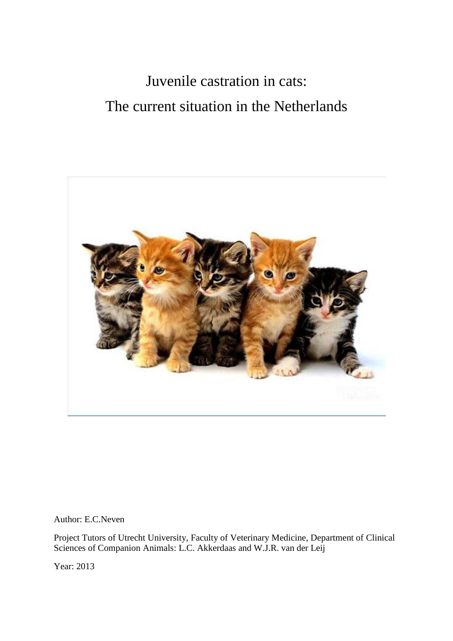# Juvenile castration in cats: The current situation in the Netherlands



Author: E.C.Neven

Project Tutors of Utrecht University, Faculty of Veterinary Medicine, Department of Clinical Sciences of Companion Animals: L.C. Akkerdaas and W.J.R. van der Leij

Year: 2013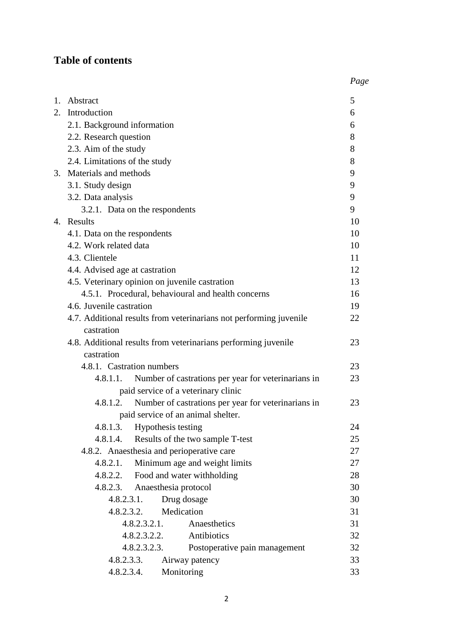# **Table of contents**

|                                                                                  | Page |
|----------------------------------------------------------------------------------|------|
| 1. Abstract                                                                      | 5    |
| 2. Introduction                                                                  | 6    |
| 2.1. Background information                                                      | 6    |
| 2.2. Research question                                                           | 8    |
| 2.3. Aim of the study                                                            | 8    |
| 2.4. Limitations of the study                                                    | 8    |
| 3. Materials and methods                                                         | 9    |
| 3.1. Study design                                                                | 9    |
| 3.2. Data analysis                                                               | 9    |
| 3.2.1. Data on the respondents                                                   | 9    |
| 4. Results                                                                       | 10   |
| 4.1. Data on the respondents                                                     | 10   |
| 4.2. Work related data                                                           | 10   |
| 4.3. Clientele                                                                   | 11   |
| 4.4. Advised age at castration                                                   | 12   |
| 4.5. Veterinary opinion on juvenile castration                                   | 13   |
| 4.5.1. Procedural, behavioural and health concerns                               | 16   |
| 4.6. Juvenile castration                                                         | 19   |
| 4.7. Additional results from veterinarians not performing juvenile<br>castration | 22   |
| 4.8. Additional results from veterinarians performing juvenile<br>castration     | 23   |
| 4.8.1. Castration numbers                                                        | 23   |
| 4.8.1.1. Number of castrations per year for veterinarians in                     | 23   |
| paid service of a veterinary clinic                                              |      |
| Number of castrations per year for veterinarians in<br>4.8.1.2.                  | 23   |
| paid service of an animal shelter.                                               |      |
| 4.8.1.3.<br>Hypothesis testing                                                   | 24   |
| Results of the two sample T-test<br>4.8.1.4.                                     | 25   |
| 4.8.2. Anaesthesia and perioperative care                                        | 27   |
| 4.8.2.1.<br>Minimum age and weight limits                                        | 27   |
| Food and water withholding<br>4.8.2.2.                                           | 28   |
| Anaesthesia protocol<br>4.8.2.3.                                                 | 30   |
| Drug dosage<br>4.8.2.3.1.                                                        | 30   |
| Medication<br>4.8.2.3.2.                                                         | 31   |
| Anaesthetics<br>4.8.2.3.2.1.                                                     | 31   |
| Antibiotics<br>4.8.2.3.2.2.                                                      | 32   |
| 4.8.2.3.2.3.<br>Postoperative pain management                                    | 32   |
| 4.8.2.3.3.<br>Airway patency                                                     | 33   |
| Monitoring<br>4.8.2.3.4.                                                         | 33   |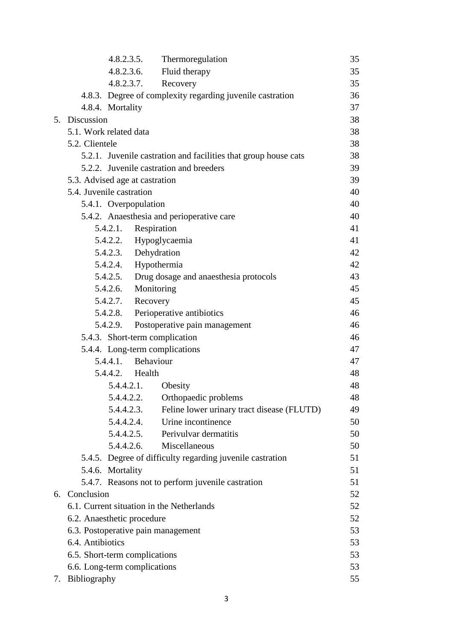|    |                                    | $4.8.2.3.5$ .        | Thermoregulation                                                | 35 |
|----|------------------------------------|----------------------|-----------------------------------------------------------------|----|
|    |                                    | $4.8.2.3.6$ .        | Fluid therapy                                                   | 35 |
|    |                                    | 4.8.2.3.7.           | Recovery                                                        | 35 |
|    |                                    |                      | 4.8.3. Degree of complexity regarding juvenile castration       | 36 |
|    | 4.8.4. Mortality                   |                      |                                                                 | 37 |
|    | 5. Discussion                      |                      |                                                                 | 38 |
|    | 5.1. Work related data             |                      |                                                                 | 38 |
|    | 5.2. Clientele                     |                      |                                                                 | 38 |
|    |                                    |                      | 5.2.1. Juvenile castration and facilities that group house cats | 38 |
|    |                                    |                      | 5.2.2. Juvenile castration and breeders                         | 39 |
|    | 5.3. Advised age at castration     |                      |                                                                 | 39 |
|    | 5.4. Juvenile castration           |                      |                                                                 | 40 |
|    | 5.4.1. Overpopulation              |                      |                                                                 | 40 |
|    |                                    |                      | 5.4.2. Anaesthesia and perioperative care                       | 40 |
|    | 5.4.2.1.                           |                      | Respiration                                                     | 41 |
|    |                                    |                      | 5.4.2.2. Hypoglycaemia                                          | 41 |
|    |                                    | 5.4.2.3. Dehydration |                                                                 | 42 |
|    |                                    | 5.4.2.4. Hypothermia |                                                                 | 42 |
|    |                                    |                      | 5.4.2.5. Drug dosage and anaesthesia protocols                  | 43 |
|    |                                    | 5.4.2.6. Monitoring  |                                                                 | 45 |
|    |                                    | 5.4.2.7. Recovery    |                                                                 | 45 |
|    |                                    |                      | 5.4.2.8. Perioperative antibiotics                              | 46 |
|    |                                    |                      | 5.4.2.9. Postoperative pain management                          | 46 |
|    |                                    |                      | 5.4.3. Short-term complication                                  | 46 |
|    |                                    |                      | 5.4.4. Long-term complications                                  | 47 |
|    |                                    | 5.4.4.1. Behaviour   |                                                                 | 47 |
|    |                                    | 5.4.4.2. Health      |                                                                 | 48 |
|    |                                    | 5.4.4.2.1.           | Obesity                                                         | 48 |
|    |                                    | 5.4.4.2.2.           | Orthopaedic problems                                            | 48 |
|    |                                    | 5.4.4.2.3.           | Feline lower urinary tract disease (FLUTD)                      | 49 |
|    |                                    | 5.4.4.2.4.           | Urine incontinence                                              | 50 |
|    |                                    | 5.4.4.2.5.           | Perivulvar dermatitis                                           | 50 |
|    |                                    | 5.4.4.2.6.           | Miscellaneous                                                   | 50 |
|    |                                    |                      | 5.4.5. Degree of difficulty regarding juvenile castration       | 51 |
|    | 5.4.6. Mortality                   |                      |                                                                 | 51 |
|    |                                    |                      | 5.4.7. Reasons not to perform juvenile castration               | 51 |
| 6. | Conclusion                         |                      |                                                                 | 52 |
|    |                                    |                      | 6.1. Current situation in the Netherlands                       | 52 |
|    | 6.2. Anaesthetic procedure         |                      |                                                                 | 52 |
|    | 6.3. Postoperative pain management |                      |                                                                 | 53 |
|    | 6.4. Antibiotics                   |                      |                                                                 | 53 |
|    | 6.5. Short-term complications      |                      |                                                                 | 53 |
|    | 6.6. Long-term complications       |                      |                                                                 | 53 |
|    | 7. Bibliography                    |                      |                                                                 | 55 |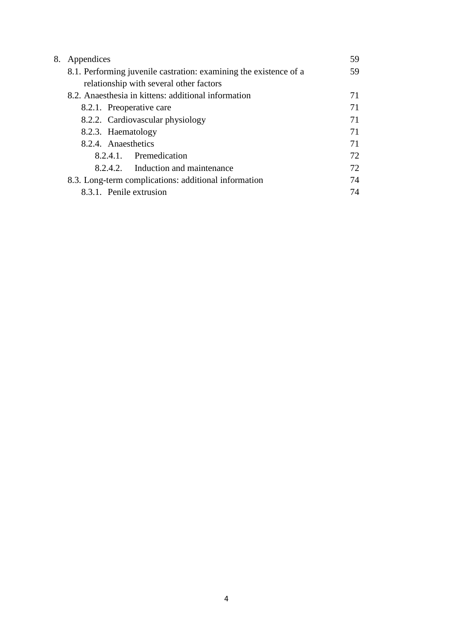| 8. | Appendices                                                        | 59 |
|----|-------------------------------------------------------------------|----|
|    | 8.1. Performing juvenile castration: examining the existence of a | 59 |
|    | relationship with several other factors                           |    |
|    | 8.2. Anaesthesia in kittens: additional information               | 71 |
|    | 8.2.1. Preoperative care                                          | 71 |
|    | 8.2.2. Cardiovascular physiology                                  | 71 |
|    | 8.2.3. Haematology                                                | 71 |
|    | 8.2.4. Anaesthetics                                               | 71 |
|    | 8.2.4.1. Premedication                                            | 72 |
|    | 8.2.4.2. Induction and maintenance                                | 72 |
|    | 8.3. Long-term complications: additional information              | 74 |
|    | 8.3.1. Penile extrusion                                           | 74 |
|    |                                                                   |    |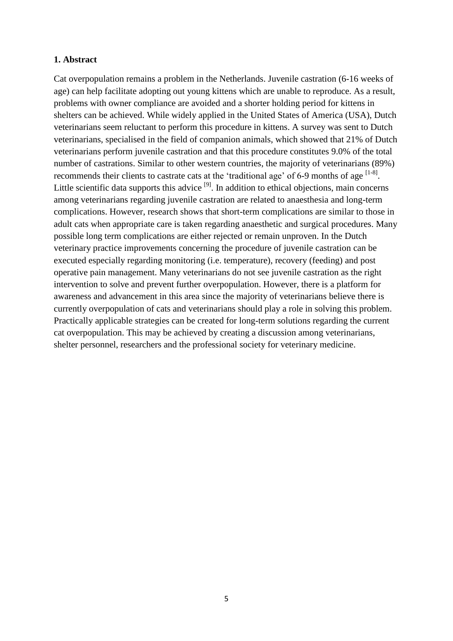#### **1. Abstract**

Cat overpopulation remains a problem in the Netherlands. Juvenile castration (6-16 weeks of age) can help facilitate adopting out young kittens which are unable to reproduce. As a result, problems with owner compliance are avoided and a shorter holding period for kittens in shelters can be achieved. While widely applied in the United States of America (USA), Dutch veterinarians seem reluctant to perform this procedure in kittens. A survey was sent to Dutch veterinarians, specialised in the field of companion animals, which showed that 21% of Dutch veterinarians perform juvenile castration and that this procedure constitutes 9.0% of the total number of castrations. Similar to other western countries, the majority of veterinarians (89%) recommends their clients to castrate cats at the 'traditional age' of 6-9 months of age  $^{[1-8]}$ . Little scientific data supports this advice  $[9]$ . In addition to ethical objections, main concerns among veterinarians regarding juvenile castration are related to anaesthesia and long-term complications. However, research shows that short-term complications are similar to those in adult cats when appropriate care is taken regarding anaesthetic and surgical procedures. Many possible long term complications are either rejected or remain unproven. In the Dutch veterinary practice improvements concerning the procedure of juvenile castration can be executed especially regarding monitoring (i.e. temperature), recovery (feeding) and post operative pain management. Many veterinarians do not see juvenile castration as the right intervention to solve and prevent further overpopulation. However, there is a platform for awareness and advancement in this area since the majority of veterinarians believe there is currently overpopulation of cats and veterinarians should play a role in solving this problem. Practically applicable strategies can be created for long-term solutions regarding the current cat overpopulation. This may be achieved by creating a discussion among veterinarians, shelter personnel, researchers and the professional society for veterinary medicine.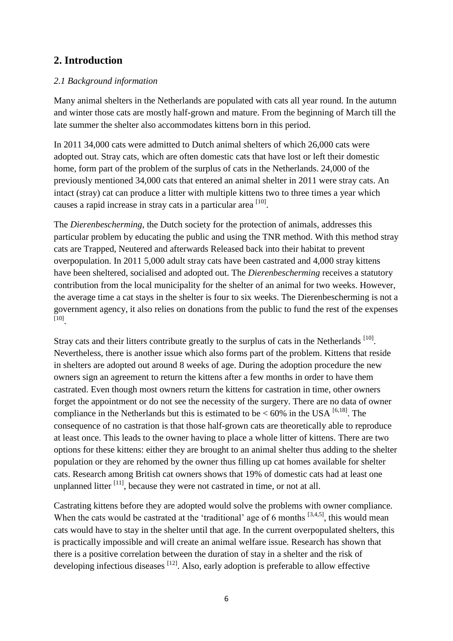# **2. Introduction**

# *2.1 Background information*

Many animal shelters in the Netherlands are populated with cats all year round. In the autumn and winter those cats are mostly half-grown and mature. From the beginning of March till the late summer the shelter also accommodates kittens born in this period.

In 2011 34,000 cats were admitted to Dutch animal shelters of which 26,000 cats were adopted out. Stray cats, which are often domestic cats that have lost or left their domestic home, form part of the problem of the surplus of cats in the Netherlands. 24,000 of the previously mentioned 34,000 cats that entered an animal shelter in 2011 were stray cats. An intact (stray) cat can produce a litter with multiple kittens two to three times a year which causes a rapid increase in stray cats in a particular area [10].

The *Dierenbescherming*, the Dutch society for the protection of animals, addresses this particular problem by educating the public and using the TNR method. With this method stray cats are Trapped, Neutered and afterwards Released back into their habitat to prevent overpopulation. In 2011 5,000 adult stray cats have been castrated and 4,000 stray kittens have been sheltered, socialised and adopted out. The *Dierenbescherming* receives a statutory contribution from the local municipality for the shelter of an animal for two weeks. However, the average time a cat stays in the shelter is four to six weeks. The Dierenbescherming is not a government agency, it also relies on donations from the public to fund the rest of the expenses [10] .

Stray cats and their litters contribute greatly to the surplus of cats in the Netherlands [10]. Nevertheless, there is another issue which also forms part of the problem. Kittens that reside in shelters are adopted out around 8 weeks of age. During the adoption procedure the new owners sign an agreement to return the kittens after a few months in order to have them castrated. Even though most owners return the kittens for castration in time, other owners forget the appointment or do not see the necessity of the surgery. There are no data of owner compliance in the Netherlands but this is estimated to be  $< 60\%$  in the USA  $^{[6,18]}$ . The consequence of no castration is that those half-grown cats are theoretically able to reproduce at least once. This leads to the owner having to place a whole litter of kittens. There are two options for these kittens: either they are brought to an animal shelter thus adding to the shelter population or they are rehomed by the owner thus filling up cat homes available for shelter cats. Research among British cat owners shows that 19% of domestic cats had at least one unplanned litter  $\left[11\right]$ , because they were not castrated in time, or not at all.

Castrating kittens before they are adopted would solve the problems with owner compliance. When the cats would be castrated at the 'traditional' age of 6 months  $[3,4,5]$ , this would mean cats would have to stay in the shelter until that age. In the current overpopulated shelters, this is practically impossible and will create an animal welfare issue. Research has shown that there is a positive correlation between the duration of stay in a shelter and the risk of developing infectious diseases  $[12]$ . Also, early adoption is preferable to allow effective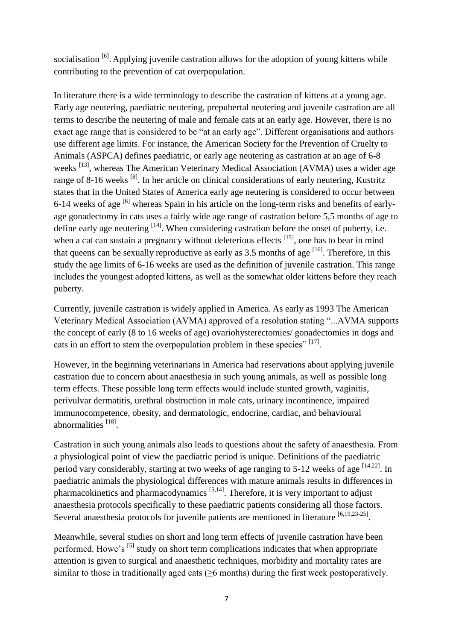socialisation <sup>[6]</sup>. Applying juvenile castration allows for the adoption of young kittens while contributing to the prevention of cat overpopulation.

In literature there is a wide terminology to describe the castration of kittens at a young age. Early age neutering, paediatric neutering, prepubertal neutering and juvenile castration are all terms to describe the neutering of male and female cats at an early age. However, there is no exact age range that is considered to be "at an early age". Different organisations and authors use different age limits. For instance, the American Society for the Prevention of Cruelty to Animals (ASPCA) defines paediatric, or early age neutering as castration at an age of 6-8 weeks<sup>[13]</sup>, whereas The American Veterinary Medical Association (AVMA) uses a wider age range of 8-16 weeks <sup>[8]</sup>. In her article on clinical considerations of early neutering, Kustritz states that in the United States of America early age neutering is considered to occur between 6-14 weeks of age  $\left[6\right]$  whereas Spain in his article on the long-term risks and benefits of earlyage gonadectomy in cats uses a fairly wide age range of castration before 5,5 months of age to define early age neutering  $^{[14]}$ . When considering castration before the onset of puberty, i.e. when a cat can sustain a pregnancy without deleterious effects <sup>[15]</sup>, one has to bear in mind that queens can be sexually reproductive as early as  $3.5$  months of age  $^{[16]}$ . Therefore, in this study the age limits of 6-16 weeks are used as the definition of juvenile castration. This range includes the youngest adopted kittens, as well as the somewhat older kittens before they reach puberty.

Currently, juvenile castration is widely applied in America. As early as 1993 The American Veterinary Medical Association (AVMA) approved of a resolution stating "...AVMA supports the concept of early (8 to 16 weeks of age) ovariohysterectomies/ gonadectomies in dogs and cats in an effort to stem the overpopulation problem in these species"  $[17]$ .

However, in the beginning veterinarians in America had reservations about applying juvenile castration due to concern about anaesthesia in such young animals, as well as possible long term effects. These possible long term effects would include stunted growth, vaginitis, perivulvar dermatitis, urethral obstruction in male cats, urinary incontinence, impaired immunocompetence, obesity, and dermatologic, endocrine, cardiac, and behavioural abnormalities<sup>[18]</sup>.

Castration in such young animals also leads to questions about the safety of anaesthesia. From a physiological point of view the paediatric period is unique. Definitions of the paediatric period vary considerably, starting at two weeks of age ranging to 5-12 weeks of age <sup>[14,22]</sup>. In paediatric animals the physiological differences with mature animals results in differences in pharmacokinetics and pharmacodynamics<sup>[5,14]</sup>. Therefore, it is very important to adjust anaesthesia protocols specifically to these paediatric patients considering all those factors. Several anaesthesia protocols for juvenile patients are mentioned in literature <sup>[6,19,23-25]</sup>.

Meanwhile, several studies on short and long term effects of juvenile castration have been performed. Howe's  $\left[5\right]$  study on short term complications indicates that when appropriate attention is given to surgical and anaesthetic techniques, morbidity and mortality rates are similar to those in traditionally aged cats  $(\geq 6 \text{ months})$  during the first week postoperatively.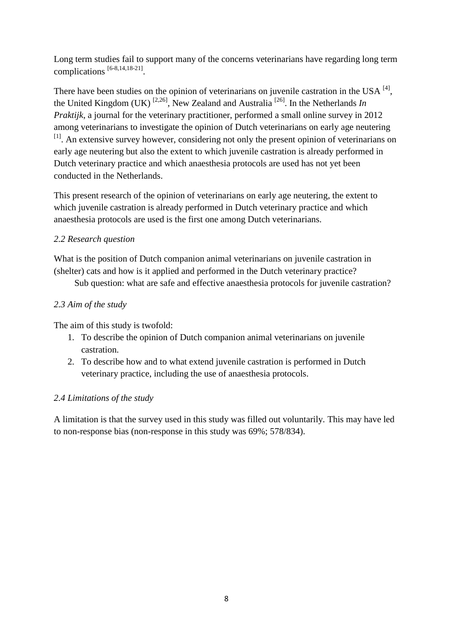Long term studies fail to support many of the concerns veterinarians have regarding long term complications [6-8,14,18-21] .

There have been studies on the opinion of veterinarians on juvenile castration in the USA  $^{[4]}$ , the United Kingdom (UK)<sup>[2,26]</sup>, New Zealand and Australia<sup>[26]</sup>. In the Netherlands *In Praktijk*, a journal for the veterinary practitioner, performed a small online survey in 2012 among veterinarians to investigate the opinion of Dutch veterinarians on early age neutering <sup>[1]</sup>. An extensive survey however, considering not only the present opinion of veterinarians on early age neutering but also the extent to which juvenile castration is already performed in Dutch veterinary practice and which anaesthesia protocols are used has not yet been conducted in the Netherlands.

This present research of the opinion of veterinarians on early age neutering, the extent to which juvenile castration is already performed in Dutch veterinary practice and which anaesthesia protocols are used is the first one among Dutch veterinarians.

# *2.2 Research question*

What is the position of Dutch companion animal veterinarians on juvenile castration in (shelter) cats and how is it applied and performed in the Dutch veterinary practice?

Sub question: what are safe and effective anaesthesia protocols for juvenile castration?

# *2.3 Aim of the study*

The aim of this study is twofold:

- 1. To describe the opinion of Dutch companion animal veterinarians on juvenile castration.
- 2. To describe how and to what extend juvenile castration is performed in Dutch veterinary practice, including the use of anaesthesia protocols.

# *2.4 Limitations of the study*

A limitation is that the survey used in this study was filled out voluntarily. This may have led to non*-*response bias (non-response in this study was 69%; 578/834).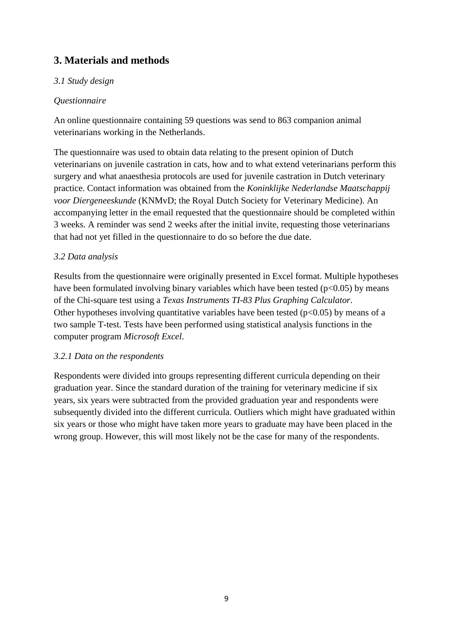# **3. Materials and methods**

# *3.1 Study design*

# *Questionnaire*

An online questionnaire containing 59 questions was send to 863 companion animal veterinarians working in the Netherlands.

The questionnaire was used to obtain data relating to the present opinion of Dutch veterinarians on juvenile castration in cats, how and to what extend veterinarians perform this surgery and what anaesthesia protocols are used for juvenile castration in Dutch veterinary practice. Contact information was obtained from the *Koninklijke Nederlandse Maatschappij voor Diergeneeskunde* (KNMvD; the Royal Dutch Society for Veterinary Medicine). An accompanying letter in the email requested that the questionnaire should be completed within 3 weeks. A reminder was send 2 weeks after the initial invite, requesting those veterinarians that had not yet filled in the questionnaire to do so before the due date.

# *3.2 Data analysis*

Results from the questionnaire were originally presented in Excel format. Multiple hypotheses have been formulated involving binary variables which have been tested ( $p<0.05$ ) by means of the Chi-square test using a *Texas Instruments TI-83 Plus Graphing Calculator*. Other hypotheses involving quantitative variables have been tested ( $p<0.05$ ) by means of a two sample T-test. Tests have been performed using statistical analysis functions in the computer program *Microsoft Excel*.

# *3.2.1 Data on the respondents*

Respondents were divided into groups representing different curricula depending on their graduation year. Since the standard duration of the training for veterinary medicine if six years, six years were subtracted from the provided graduation year and respondents were subsequently divided into the different curricula. Outliers which might have graduated within six years or those who might have taken more years to graduate may have been placed in the wrong group. However, this will most likely not be the case for many of the respondents.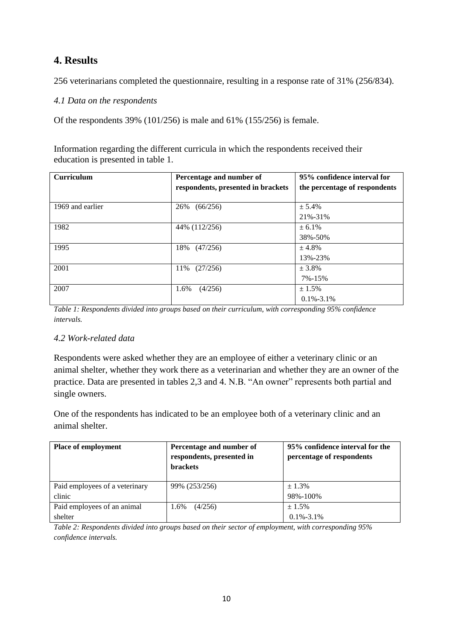# **4. Results**

256 veterinarians completed the questionnaire, resulting in a response rate of 31% (256/834).

*4.1 Data on the respondents*

Of the respondents 39% (101/256) is male and 61% (155/256) is female.

Information regarding the different curricula in which the respondents received their education is presented in table 1.

| <b>Curriculum</b> | Percentage and number of<br>respondents, presented in brackets | 95% confidence interval for<br>the percentage of respondents |
|-------------------|----------------------------------------------------------------|--------------------------------------------------------------|
| 1969 and earlier  | (66/256)<br>26%                                                | ± 5.4%<br>21%-31%                                            |
| 1982              | 44% (112/256)                                                  | ± 6.1%<br>38%-50%                                            |
| 1995              | 18%<br>(47/256)                                                | ± 4.8%<br>13%-23%                                            |
| 2001              | (27/256)<br>11%                                                | ± 3.8%<br>7%-15%                                             |
| 2007              | (4/256)<br>1.6%                                                | ± 1.5%<br>$0.1\% - 3.1\%$                                    |

*Table 1: Respondents divided into groups based on their curriculum, with corresponding 95% confidence intervals.*

#### *4.2 Work-related data*

Respondents were asked whether they are an employee of either a veterinary clinic or an animal shelter, whether they work there as a veterinarian and whether they are an owner of the practice. Data are presented in tables 2,3 and 4. N.B. "An owner" represents both partial and single owners.

One of the respondents has indicated to be an employee both of a veterinary clinic and an animal shelter.

| <b>Place of employment</b>     | Percentage and number of<br>respondents, presented in<br><b>brackets</b> | 95% confidence interval for the<br>percentage of respondents |
|--------------------------------|--------------------------------------------------------------------------|--------------------------------------------------------------|
| Paid employees of a veterinary | 99% (253/256)                                                            | ± 1.3%                                                       |
| clinic                         |                                                                          | 98%-100%                                                     |
| Paid employees of an animal    | (4/256)<br>1.6%                                                          | ± 1.5%                                                       |
| shelter                        |                                                                          | $0.1\% - 3.1\%$                                              |

*Table 2: Respondents divided into groups based on their sector of employment, with corresponding 95% confidence intervals.*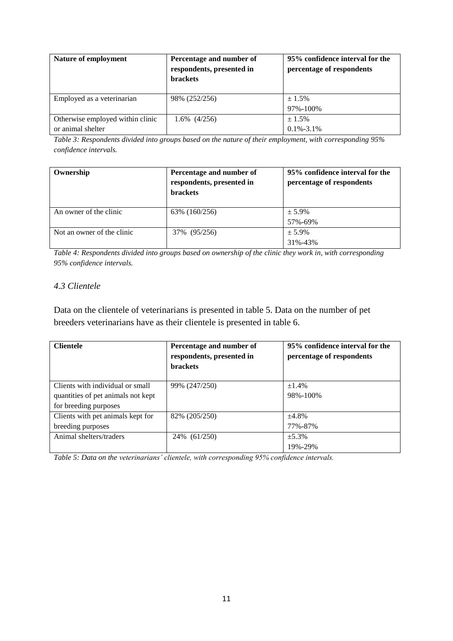| Nature of employment             | Percentage and number of<br>respondents, presented in<br><b>brackets</b> | 95% confidence interval for the<br>percentage of respondents |
|----------------------------------|--------------------------------------------------------------------------|--------------------------------------------------------------|
| Employed as a veterinarian       | 98% (252/256)                                                            | ± 1.5%                                                       |
|                                  |                                                                          | 97%-100%                                                     |
| Otherwise employed within clinic | $1.6\%$ $(4/256)$                                                        | $+1.5\%$                                                     |
| or animal shelter                |                                                                          | $0.1\% - 3.1\%$                                              |

*Table 3: Respondents divided into groups based on the nature of their employment, with corresponding 95% confidence intervals.*

| Ownership                  | Percentage and number of<br>respondents, presented in<br><b>brackets</b> | 95% confidence interval for the<br>percentage of respondents |
|----------------------------|--------------------------------------------------------------------------|--------------------------------------------------------------|
| An owner of the clinic     | 63\% (160/256)                                                           | $± 5.9\%$                                                    |
|                            |                                                                          | 57%-69%                                                      |
| Not an owner of the clinic | 37% (95/256)                                                             | $+5.9\%$                                                     |
|                            |                                                                          | 31%-43%                                                      |

*Table 4: Respondents divided into groups based on ownership of the clinic they work in, with corresponding 95% confidence intervals.*

#### *4.3 Clientele*

Data on the clientele of veterinarians is presented in table 5. Data on the number of pet breeders veterinarians have as their clientele is presented in table 6.

| <b>Clientele</b>                   | Percentage and number of<br>respondents, presented in<br><b>brackets</b> | 95% confidence interval for the<br>percentage of respondents |
|------------------------------------|--------------------------------------------------------------------------|--------------------------------------------------------------|
| Clients with individual or small   | 99% (247/250)                                                            | ±1.4%                                                        |
| quantities of pet animals not kept |                                                                          | 98%-100%                                                     |
| for breeding purposes              |                                                                          |                                                              |
| Clients with pet animals kept for  | 82\% (205/250)                                                           | ±4.8%                                                        |
| breeding purposes                  |                                                                          | 77%-87%                                                      |
| Animal shelters/traders            | 24% (61/250)                                                             | ±5.3%                                                        |
|                                    |                                                                          | 19%-29%                                                      |

*Table 5: Data on the veterinarians' clientele, with corresponding 95% confidence intervals.*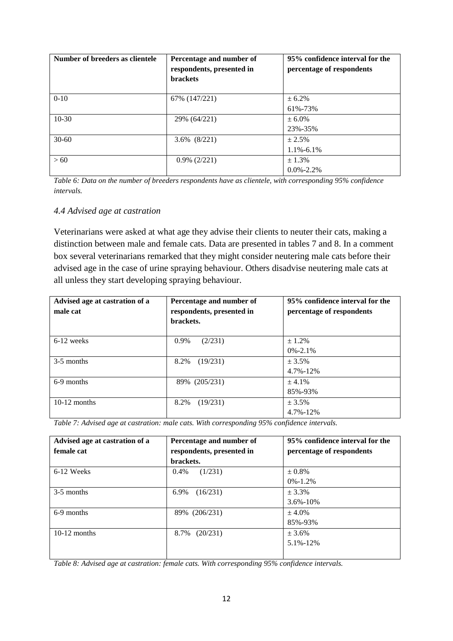| Number of breeders as clientele | Percentage and number of<br>respondents, presented in<br><b>brackets</b> | 95% confidence interval for the<br>percentage of respondents |
|---------------------------------|--------------------------------------------------------------------------|--------------------------------------------------------------|
| $0 - 10$                        | 67% (147/221)                                                            | ± 6.2%<br>61%-73%                                            |
| $10-30$                         | 29% (64/221)                                                             | $± 6.0\%$<br>23%-35%                                         |
| $30 - 60$                       | 3.6% (8/221)                                                             | ± 2.5%<br>$1.1\% - 6.1\%$                                    |
| > 60                            | $0.9\%$ (2/221)                                                          | ± 1.3%<br>$0.0\% - 2.2\%$                                    |

*Table 6: Data on the number of breeders respondents have as clientele, with corresponding 95% confidence intervals.*

#### *4.4 Advised age at castration*

Veterinarians were asked at what age they advise their clients to neuter their cats, making a distinction between male and female cats. Data are presented in tables 7 and 8. In a comment box several veterinarians remarked that they might consider neutering male cats before their advised age in the case of urine spraying behaviour. Others disadvise neutering male cats at all unless they start developing spraying behaviour.

| Advised age at castration of a<br>male cat | Percentage and number of<br>respondents, presented in<br>brackets. | 95% confidence interval for the<br>percentage of respondents |
|--------------------------------------------|--------------------------------------------------------------------|--------------------------------------------------------------|
| $6-12$ weeks                               | 0.9%<br>(2/231)                                                    | $+1.2\%$<br>$0\% - 2.1\%$                                    |
| 3-5 months                                 | (19/231)<br>8.2%                                                   | ± 3.5%<br>$4.7\% - 12\%$                                     |
| 6-9 months                                 | 89% (205/231)                                                      | ± 4.1%<br>85%-93%                                            |
| $10-12$ months                             | 8.2%<br>(19/231)                                                   | $+3.5%$<br>$4.7\% - 12\%$                                    |

*Table 7: Advised age at castration: male cats. With corresponding 95% confidence intervals.*

| Advised age at castration of a | Percentage and number of  | 95% confidence interval for the |
|--------------------------------|---------------------------|---------------------------------|
| female cat                     | respondents, presented in | percentage of respondents       |
|                                | brackets.                 |                                 |
| 6-12 Weeks                     | (1/231)<br>$0.4\%$        | $± 0.8\%$                       |
|                                |                           | $0\% - 1.2\%$                   |
| 3-5 months                     | (16/231)<br>6.9%          | $+3.3%$                         |
|                                |                           | $3.6\% - 10\%$                  |
| 6-9 months                     | (206/231)<br>89%          | ± 4.0%                          |
|                                |                           | 85%-93%                         |
| $10-12$ months                 | (20/231)<br>8.7%          | ± 3.6%                          |
|                                |                           | 5.1%-12%                        |
|                                |                           |                                 |

*Table 8: Advised age at castration: female cats. With corresponding 95% confidence intervals.*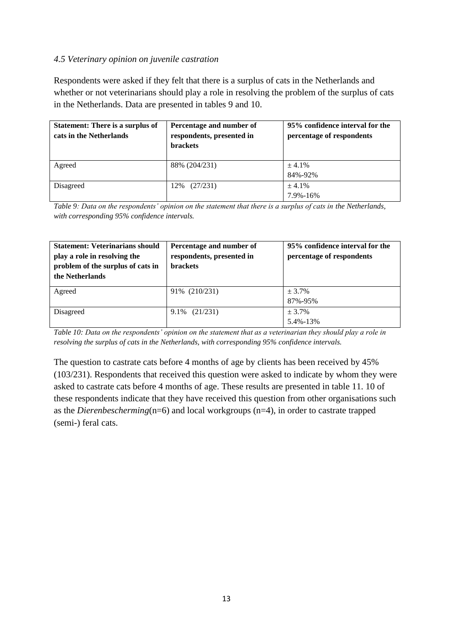#### *4.5 Veterinary opinion on juvenile castration*

Respondents were asked if they felt that there is a surplus of cats in the Netherlands and whether or not veterinarians should play a role in resolving the problem of the surplus of cats in the Netherlands. Data are presented in tables 9 and 10.

| <b>Statement: There is a surplus of</b><br>cats in the Netherlands | Percentage and number of<br>respondents, presented in<br><b>brackets</b> | 95% confidence interval for the<br>percentage of respondents |
|--------------------------------------------------------------------|--------------------------------------------------------------------------|--------------------------------------------------------------|
| Agreed                                                             | 88% (204/231)                                                            | ± 4.1%                                                       |
|                                                                    |                                                                          | 84%-92%                                                      |
| Disagreed                                                          | (27/231)<br>12%                                                          | $+4.1%$                                                      |
|                                                                    |                                                                          | 7.9%-16%                                                     |

*Table 9: Data on the respondents' opinion on the statement that there is a surplus of cats in the Netherlands, with corresponding 95% confidence intervals.*

| <b>Statement: Veterinarians should</b><br>play a role in resolving the<br>problem of the surplus of cats in<br>the Netherlands | Percentage and number of<br>respondents, presented in<br><b>brackets</b> | 95% confidence interval for the<br>percentage of respondents |
|--------------------------------------------------------------------------------------------------------------------------------|--------------------------------------------------------------------------|--------------------------------------------------------------|
| Agreed                                                                                                                         | 91% (210/231)                                                            | ± 3.7%<br>87%-95%                                            |
|                                                                                                                                |                                                                          |                                                              |
| Disagreed                                                                                                                      | (21/231)<br>9.1%                                                         | $+3.7%$                                                      |
|                                                                                                                                |                                                                          | 5.4%-13%                                                     |

*Table 10: Data on the respondents' opinion on the statement that as a veterinarian they should play a role in resolving the surplus of cats in the Netherlands, with corresponding 95% confidence intervals.*

The question to castrate cats before 4 months of age by clients has been received by 45% (103/231). Respondents that received this question were asked to indicate by whom they were asked to castrate cats before 4 months of age. These results are presented in table 11. 10 of these respondents indicate that they have received this question from other organisations such as the *Dierenbescherming*(n=6) and local workgroups (n=4), in order to castrate trapped (semi-) feral cats.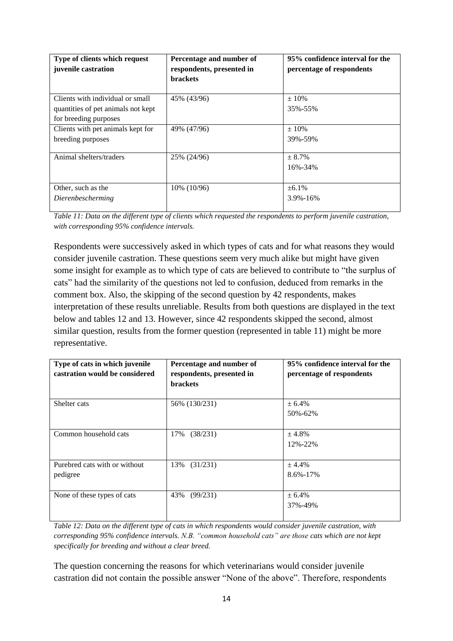| Type of clients which request<br>juvenile castration | Percentage and number of<br>respondents, presented in<br><b>brackets</b> | 95% confidence interval for the<br>percentage of respondents |
|------------------------------------------------------|--------------------------------------------------------------------------|--------------------------------------------------------------|
| Clients with individual or small                     | 45% (43/96)                                                              | $+10%$                                                       |
| quantities of pet animals not kept                   |                                                                          | 35%-55%                                                      |
| for breeding purposes                                |                                                                          |                                                              |
| Clients with pet animals kept for                    | 49% (47/96)                                                              | $\pm 10\%$                                                   |
| breeding purposes                                    |                                                                          | 39%-59%                                                      |
| Animal shelters/traders                              | 25% (24/96)                                                              | $+8.7%$                                                      |
|                                                      |                                                                          | 16%-34%                                                      |
| Other, such as the                                   | $10\%$ (10/96)                                                           | $\pm 6.1\%$                                                  |
| Dierenbescherming                                    |                                                                          | $3.9\% - 16\%$                                               |

*Table 11: Data on the different type of clients which requested the respondents to perform juvenile castration, with corresponding 95% confidence intervals.*

Respondents were successively asked in which types of cats and for what reasons they would consider juvenile castration. These questions seem very much alike but might have given some insight for example as to which type of cats are believed to contribute to "the surplus of cats" had the similarity of the questions not led to confusion, deduced from remarks in the comment box. Also, the skipping of the second question by 42 respondents, makes interpretation of these results unreliable. Results from both questions are displayed in the text below and tables 12 and 13. However, since 42 respondents skipped the second, almost similar question, results from the former question (represented in table 11) might be more representative.

| Type of cats in which juvenile<br>castration would be considered | Percentage and number of<br>respondents, presented in<br><b>brackets</b> | 95% confidence interval for the<br>percentage of respondents |
|------------------------------------------------------------------|--------------------------------------------------------------------------|--------------------------------------------------------------|
| Shelter cats                                                     | 56% (130/231)                                                            | ± 6.4%                                                       |
|                                                                  |                                                                          | 50%-62%                                                      |
| Common household cats                                            | (38/231)<br>17%                                                          | ± 4.8%                                                       |
|                                                                  |                                                                          | 12%-22%                                                      |
| Purebred cats with or without                                    | 13% (31/231)                                                             | ± 4.4%                                                       |
| pedigree                                                         |                                                                          | $8.6\% - 17\%$                                               |
| None of these types of cats                                      | 43%<br>(99/231)                                                          | ± 6.4%                                                       |
|                                                                  |                                                                          | 37%-49%                                                      |

*Table 12: Data on the different type of cats in which respondents would consider juvenile castration, with corresponding 95% confidence intervals. N.B. "common household cats" are those cats which are not kept specifically for breeding and without a clear breed.* 

The question concerning the reasons for which veterinarians would consider juvenile castration did not contain the possible answer "None of the above". Therefore, respondents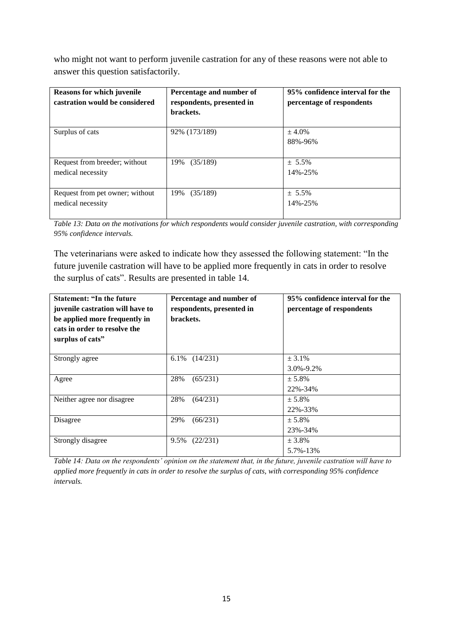who might not want to perform juvenile castration for any of these reasons were not able to answer this question satisfactorily.

| <b>Reasons for which juvenile</b><br>castration would be considered | Percentage and number of<br>respondents, presented in<br>brackets. | 95% confidence interval for the<br>percentage of respondents |
|---------------------------------------------------------------------|--------------------------------------------------------------------|--------------------------------------------------------------|
| Surplus of cats                                                     | 92% (173/189)                                                      | ± 4.0%<br>88%-96%                                            |
| Request from breeder; without                                       | (35/189)                                                           | $+ 5.5\%$                                                    |
| medical necessity                                                   | 19%                                                                | 14%-25%                                                      |
| Request from pet owner; without                                     | 19%                                                                | $+ 5.5\%$                                                    |
| medical necessity                                                   | (35/189)                                                           | 14%-25%                                                      |

*Table 13: Data on the motivations for which respondents would consider juvenile castration, with corresponding 95% confidence intervals.*

The veterinarians were asked to indicate how they assessed the following statement: "In the future juvenile castration will have to be applied more frequently in cats in order to resolve the surplus of cats". Results are presented in table 14.

| <b>Statement: "In the future</b><br>juvenile castration will have to<br>be applied more frequently in<br>cats in order to resolve the<br>surplus of cats" | Percentage and number of<br>respondents, presented in<br>brackets. | 95% confidence interval for the<br>percentage of respondents |
|-----------------------------------------------------------------------------------------------------------------------------------------------------------|--------------------------------------------------------------------|--------------------------------------------------------------|
| Strongly agree                                                                                                                                            | (14/231)<br>6.1%                                                   | ± 3.1%                                                       |
|                                                                                                                                                           |                                                                    | $3.0\% - 9.2\%$                                              |
| Agree                                                                                                                                                     | 28%<br>(65/231)                                                    | $+5.8\%$                                                     |
|                                                                                                                                                           |                                                                    | 22%-34%                                                      |
| Neither agree nor disagree                                                                                                                                | 28%<br>(64/231)                                                    | $+5.8\%$                                                     |
|                                                                                                                                                           |                                                                    | 22%-33%                                                      |
| Disagree                                                                                                                                                  | 29%<br>(66/231)                                                    | $± 5.8\%$                                                    |
|                                                                                                                                                           |                                                                    | 23%-34%                                                      |
| Strongly disagree                                                                                                                                         | 9.5%<br>(22/231)                                                   | $+3.8\%$                                                     |
|                                                                                                                                                           |                                                                    | 5.7%-13%                                                     |

*Table 14: Data on the respondents' opinion on the statement that, in the future, juvenile castration will have to applied more frequently in cats in order to resolve the surplus of cats, with corresponding 95% confidence intervals.*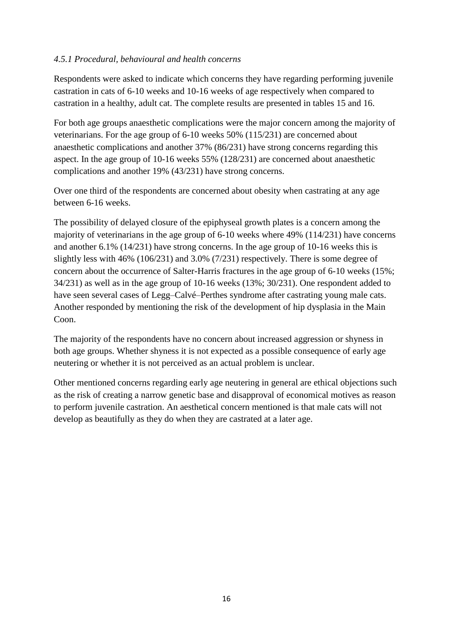#### *4.5.1 Procedural, behavioural and health concerns*

Respondents were asked to indicate which concerns they have regarding performing juvenile castration in cats of 6-10 weeks and 10-16 weeks of age respectively when compared to castration in a healthy, adult cat. The complete results are presented in tables 15 and 16.

For both age groups anaesthetic complications were the major concern among the majority of veterinarians. For the age group of 6-10 weeks 50% (115/231) are concerned about anaesthetic complications and another 37% (86/231) have strong concerns regarding this aspect. In the age group of 10-16 weeks 55% (128/231) are concerned about anaesthetic complications and another 19% (43/231) have strong concerns.

Over one third of the respondents are concerned about obesity when castrating at any age between 6-16 weeks.

The possibility of delayed closure of the epiphyseal growth plates is a concern among the majority of veterinarians in the age group of 6-10 weeks where 49% (114/231) have concerns and another 6.1% (14/231) have strong concerns. In the age group of 10-16 weeks this is slightly less with 46% (106/231) and 3.0% (7/231) respectively. There is some degree of concern about the occurrence of Salter-Harris fractures in the age group of 6-10 weeks (15%; 34/231) as well as in the age group of 10-16 weeks (13%; 30/231). One respondent added to have seen several cases of Legg–Calvé–Perthes syndrome after castrating young male cats. Another responded by mentioning the risk of the development of hip dysplasia in the Main Coon.

The majority of the respondents have no concern about increased aggression or shyness in both age groups. Whether shyness it is not expected as a possible consequence of early age neutering or whether it is not perceived as an actual problem is unclear.

Other mentioned concerns regarding early age neutering in general are ethical objections such as the risk of creating a narrow genetic base and disapproval of economical motives as reason to perform juvenile castration. An aesthetical concern mentioned is that male cats will not develop as beautifully as they do when they are castrated at a later age.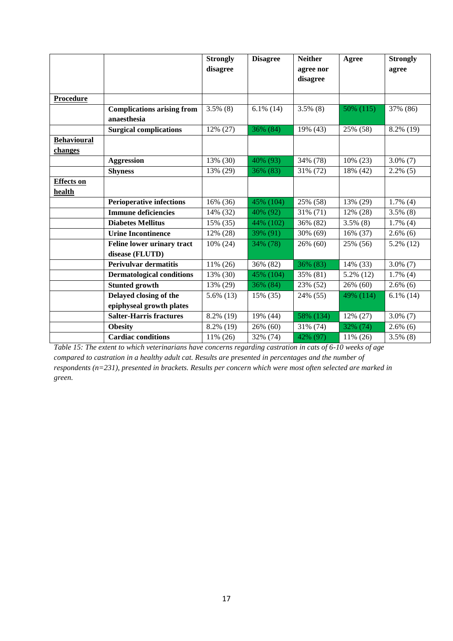|                                      |                                   | <b>Strongly</b><br>disagree | <b>Disagree</b> | <b>Neither</b><br>agree nor<br>disagree | Agree       | <b>Strongly</b><br>agree |
|--------------------------------------|-----------------------------------|-----------------------------|-----------------|-----------------------------------------|-------------|--------------------------|
| <b>Procedure</b>                     |                                   |                             |                 |                                         |             |                          |
|                                      | <b>Complications arising from</b> | $3.5\%$ (8)                 | $6.1\%$ (14)    | $3.5\%$ (8)                             | 50% (115)   | 37% (86)                 |
|                                      | anaesthesia                       |                             |                 |                                         |             |                          |
|                                      | <b>Surgical complications</b>     | 12% (27)                    | 36% (84)        | 19% (43)                                | 25% (58)    | 8.2% (19)                |
| <b>Behavioural</b><br><u>changes</u> |                                   |                             |                 |                                         |             |                          |
|                                      | <b>Aggression</b>                 | 13% (30)                    | 40% (93)        | 34% (78)                                | 10% (23)    | $3.0\%$ (7)              |
|                                      | <b>Shyness</b>                    | 13% (29)                    | 36% (83)        | 31% (72)                                | 18% (42)    | $2.2\%$ (5)              |
| <b>Effects</b> on<br>health          |                                   |                             |                 |                                         |             |                          |
|                                      | <b>Perioperative infections</b>   | 16% (36)                    | 45% (104)       | 25% (58)                                | 13% (29)    | $1.7\%$ (4)              |
|                                      | <b>Immune deficiencies</b>        | 14% (32)                    | 40% (92)        | 31% (71)                                | 12% (28)    | $3.5\%$ (8)              |
|                                      | <b>Diabetes Mellitus</b>          | 15% (35)                    | 44% (102)       | 36% (82)                                | $3.5\%$ (8) | $1.7\%$ (4)              |
|                                      | <b>Urine Incontinence</b>         | 12% (28)                    | 39% (91)        | 30% (69)                                | 16% (37)    | $2.6\%$ (6)              |
|                                      | Feline lower urinary tract        | 10% (24)                    | 34% (78)        | 26% (60)                                | 25% (56)    | 5.2% (12)                |
|                                      | disease (FLUTD)                   |                             |                 |                                         |             |                          |
|                                      | <b>Perivulvar dermatitis</b>      | 11% (26)                    | 36% (82)        | 36% (83)                                | 14% (33)    | $3.0\%$ (7)              |
|                                      | <b>Dermatological conditions</b>  | 13% (30)                    | 45% (104)       | 35% (81)                                | 5.2% (12)   | $1.7\%$ (4)              |
|                                      | <b>Stunted growth</b>             | 13% (29)                    | 36% (84)        | 23% (52)                                | 26% (60)    | $2.6\%$ (6)              |
|                                      | Delayed closing of the            | $5.6\%$ (13)                | 15% (35)        | 24% (55)                                | 49% (114)   | $6.1\%$ (14)             |
|                                      | epiphyseal growth plates          |                             |                 |                                         |             |                          |
|                                      | <b>Salter-Harris fractures</b>    | 8.2% (19)                   | 19% (44)        | 58% (134)                               | 12% (27)    | $3.0\%$ (7)              |
|                                      | <b>Obesity</b>                    | 8.2% (19)                   | 26% (60)        | 31% (74)                                | 32% (74)    | $2.6\%$ (6)              |
|                                      | <b>Cardiac conditions</b>         | 11% (26)                    | 32% (74)        | 42% (97)                                | 11% (26)    | $3.5\%$ (8)              |

*Table 15: The extent to which veterinarians have concerns regarding castration in cats of 6-10 weeks of age compared to castration in a healthy adult cat. Results are presented in percentages and the number of respondents (n=231), presented in brackets. Results per concern which were most often selected are marked in green.*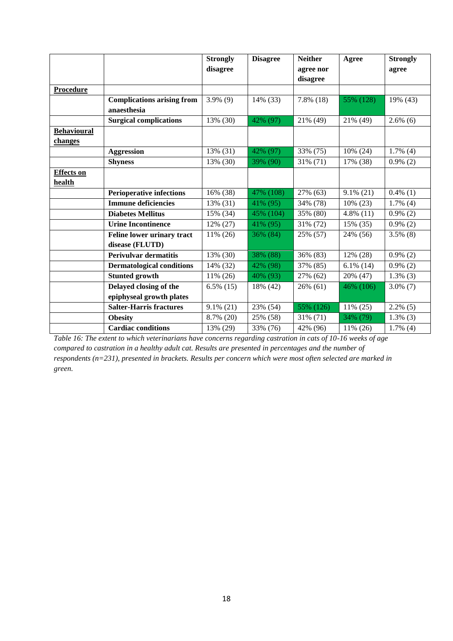|                    |                                   | <b>Strongly</b> | <b>Disagree</b> | <b>Neither</b> | Agree        | <b>Strongly</b> |
|--------------------|-----------------------------------|-----------------|-----------------|----------------|--------------|-----------------|
|                    |                                   | disagree        |                 | agree nor      |              | agree           |
|                    |                                   |                 |                 | disagree       |              |                 |
| <b>Procedure</b>   |                                   |                 |                 |                |              |                 |
|                    | <b>Complications arising from</b> | $3.9\%$ (9)     | 14% (33)        | $7.8\%$ (18)   | 55% (128)    | 19% (43)        |
|                    | anaesthesia                       |                 |                 |                |              |                 |
|                    | <b>Surgical complications</b>     | 13% (30)        | 42% (97)        | 21% (49)       | 21% (49)     | $2.6\%$ (6)     |
| <b>Behavioural</b> |                                   |                 |                 |                |              |                 |
| changes            |                                   |                 |                 |                |              |                 |
|                    | <b>Aggression</b>                 | 13% (31)        | 42% (97)        | 33% (75)       | 10% (24)     | $1.7\%$ (4)     |
|                    | <b>Shyness</b>                    | 13% (30)        | 39% (90)        | 31% (71)       | 17% (38)     | $0.9\%$ (2)     |
| <b>Effects</b> on  |                                   |                 |                 |                |              |                 |
| health             |                                   |                 |                 |                |              |                 |
|                    | <b>Perioperative infections</b>   | 16% (38)        | 47% (108)       | 27% (63)       | $9.1\%$ (21) | $0.4\%$ (1)     |
|                    | <b>Immune deficiencies</b>        | 13% (31)        | 41% (95)        | 34% (78)       | $10\% (23)$  | $1.7\%$ (4)     |
|                    | <b>Diabetes Mellitus</b>          | 15% (34)        | 45% (104)       | 35% (80)       | $4.8\%$ (11) | $0.9\%$ (2)     |
|                    | <b>Urine Incontinence</b>         | 12% (27)        | 41% (95)        | 31% (72)       | 15% (35)     | $0.9\%$ (2)     |
|                    | Feline lower urinary tract        | 11% (26)        | 36% (84)        | 25% (57)       | 24% (56)     | $3.5\%$ (8)     |
|                    | disease (FLUTD)                   |                 |                 |                |              |                 |
|                    | <b>Perivulvar dermatitis</b>      | 13% (30)        | 38% (88)        | 36% (83)       | 12% (28)     | $0.9\%$ (2)     |
|                    | <b>Dermatological conditions</b>  | 14% (32)        | 42% (98)        | 37% (85)       | $6.1\%$ (14) | $0.9\%$ (2)     |
|                    | <b>Stunted growth</b>             | 11% (26)        | 40% (93)        | 27% (62)       | 20% (47)     | $1.3\%$ (3)     |
|                    | Delayed closing of the            | $6.5\%$ (15)    | 18% (42)        | 26% (61)       | 46% (106)    | $3.0\%$ (7)     |
|                    | epiphyseal growth plates          |                 |                 |                |              |                 |
|                    | <b>Salter-Harris fractures</b>    | $9.1\%$ (21)    | 23% (54)        | 55% (126)      | $11\% (25)$  | $2.2\%$ (5)     |
|                    | <b>Obesity</b>                    | 8.7% (20)       | 25% (58)        | 31% (71)       | 34% (79)     | $1.3\%$ (3)     |
|                    | <b>Cardiac conditions</b>         | 13% (29)        | 33% (76)        | 42% (96)       | 11% (26)     | $1.7\%$ (4)     |

*Table 16: The extent to which veterinarians have concerns regarding castration in cats of 10-16 weeks of age compared to castration in a healthy adult cat. Results are presented in percentages and the number of respondents (n=231), presented in brackets. Results per concern which were most often selected are marked in green.*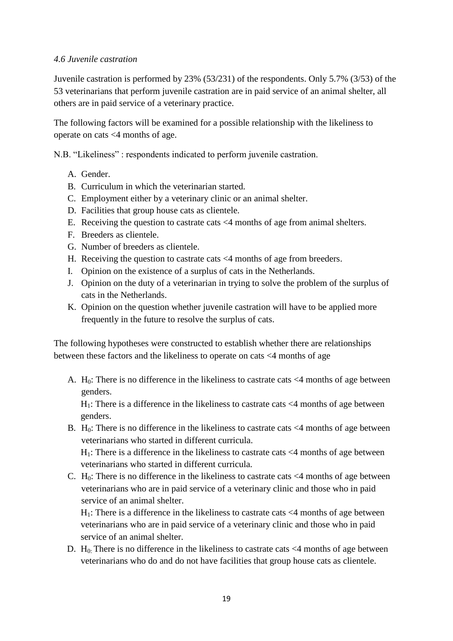#### *4.6 Juvenile castration*

Juvenile castration is performed by 23% (53/231) of the respondents. Only 5.7% (3/53) of the 53 veterinarians that perform juvenile castration are in paid service of an animal shelter, all others are in paid service of a veterinary practice.

The following factors will be examined for a possible relationship with the likeliness to operate on cats <4 months of age.

N.B. "Likeliness" : respondents indicated to perform juvenile castration.

- A. Gender.
- B. Curriculum in which the veterinarian started.
- C. Employment either by a veterinary clinic or an animal shelter.
- D. Facilities that group house cats as clientele.
- E. Receiving the question to castrate cats <4 months of age from animal shelters.
- F. Breeders as clientele.
- G. Number of breeders as clientele.
- H. Receiving the question to castrate cats <4 months of age from breeders.
- I. Opinion on the existence of a surplus of cats in the Netherlands.
- J. Opinion on the duty of a veterinarian in trying to solve the problem of the surplus of cats in the Netherlands.
- K. Opinion on the question whether juvenile castration will have to be applied more frequently in the future to resolve the surplus of cats.

The following hypotheses were constructed to establish whether there are relationships between these factors and the likeliness to operate on cats <4 months of age

A. H<sub>0</sub>: There is no difference in the likeliness to castrate cats  $\langle 4 \rangle$  months of age between genders.

 $H_1$ : There is a difference in the likeliness to castrate cats  $\leq 4$  months of age between genders.

B. H<sub>0</sub>: There is no difference in the likeliness to castrate cats  $\langle 4 \rangle$  months of age between veterinarians who started in different curricula.

 $H_1$ : There is a difference in the likeliness to castrate cats  $\leq 4$  months of age between veterinarians who started in different curricula.

C. H<sub>0</sub>: There is no difference in the likeliness to castrate cats  $\langle 4 \rangle$  months of age between veterinarians who are in paid service of a veterinary clinic and those who in paid service of an animal shelter.

 $H_1$ : There is a difference in the likeliness to castrate cats  $\leq 4$  months of age between veterinarians who are in paid service of a veterinary clinic and those who in paid service of an animal shelter.

D.  $H_0$ : There is no difference in the likeliness to castrate cats  $\leq 4$  months of age between veterinarians who do and do not have facilities that group house cats as clientele.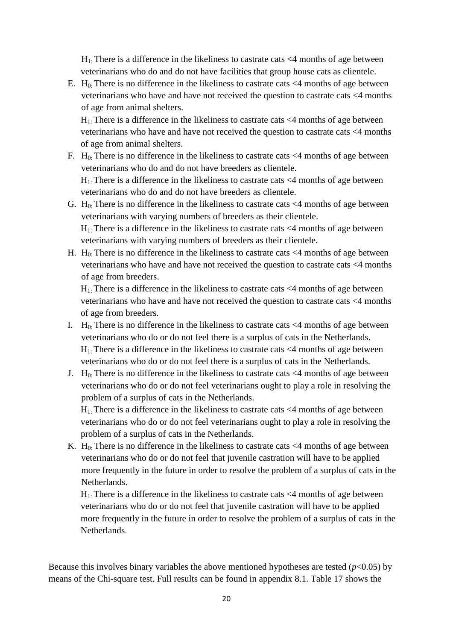$H_1$ : There is a difference in the likeliness to castrate cats  $\leq 4$  months of age between veterinarians who do and do not have facilities that group house cats as clientele.

E. H<sub>0:</sub> There is no difference in the likeliness to castrate cats  $\langle 4 \rangle$  months of age between veterinarians who have and have not received the question to castrate cats <4 months of age from animal shelters.

 $H<sub>1</sub>$ : There is a difference in the likeliness to castrate cats  $\leq$  4 months of age between veterinarians who have and have not received the question to castrate cats <4 months of age from animal shelters.

F. H<sub>0</sub>. There is no difference in the likeliness to castrate cats  $\langle 4 \rangle$  months of age between veterinarians who do and do not have breeders as clientele.

 $H_1$ . There is a difference in the likeliness to castrate cats  $\leq 4$  months of age between veterinarians who do and do not have breeders as clientele.

G.  $H_0$ : There is no difference in the likeliness to castrate cats  $\leq 4$  months of age between veterinarians with varying numbers of breeders as their clientele.

 $H_1$ : There is a difference in the likeliness to castrate cats  $\leq 4$  months of age between veterinarians with varying numbers of breeders as their clientele.

H. H<sub>0</sub>: There is no difference in the likeliness to castrate cats  $\langle 4 \rangle$  months of age between veterinarians who have and have not received the question to castrate cats <4 months of age from breeders.

 $H_1$ . There is a difference in the likeliness to castrate cats  $\leq 4$  months of age between veterinarians who have and have not received the question to castrate cats <4 months of age from breeders.

- I. H<sub>0</sub>: There is no difference in the likeliness to castrate cats  $\langle 4 \rangle$  months of age between veterinarians who do or do not feel there is a surplus of cats in the Netherlands.  $H_1$ : There is a difference in the likeliness to castrate cats  $\leq 4$  months of age between veterinarians who do or do not feel there is a surplus of cats in the Netherlands.
- J. H<sub>0:</sub> There is no difference in the likeliness to castrate cats  $\leq$ 4 months of age between veterinarians who do or do not feel veterinarians ought to play a role in resolving the problem of a surplus of cats in the Netherlands.

 $H_1$ : There is a difference in the likeliness to castrate cats  $\leq 4$  months of age between veterinarians who do or do not feel veterinarians ought to play a role in resolving the problem of a surplus of cats in the Netherlands.

K. H<sub>0:</sub> There is no difference in the likeliness to castrate cats  $\leq$ 4 months of age between veterinarians who do or do not feel that juvenile castration will have to be applied more frequently in the future in order to resolve the problem of a surplus of cats in the Netherlands.

 $H_1$ . There is a difference in the likeliness to castrate cats  $\leq 4$  months of age between veterinarians who do or do not feel that juvenile castration will have to be applied more frequently in the future in order to resolve the problem of a surplus of cats in the Netherlands.

Because this involves binary variables the above mentioned hypotheses are tested  $(p<0.05)$  by means of the Chi-square test. Full results can be found in appendix 8.1. Table 17 shows the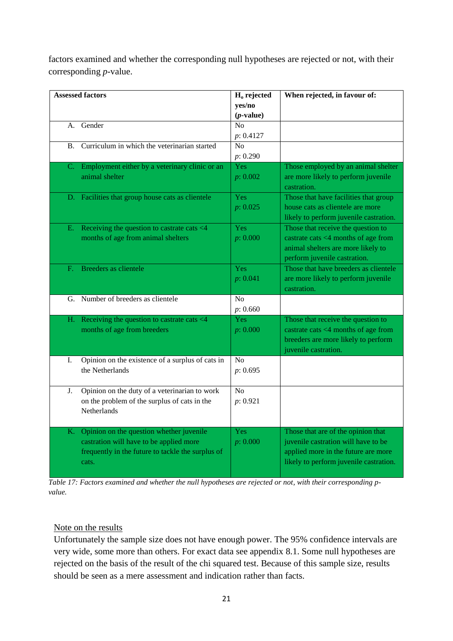factors examined and whether the corresponding null hypotheses are rejected or not, with their corresponding *p*-value.

|             | <b>Assessed factors</b>                                                                                                                           | $Ho$ rejected<br>yes/no<br>$(p$ -value) | When rejected, in favour of:                                                                                                                               |
|-------------|---------------------------------------------------------------------------------------------------------------------------------------------------|-----------------------------------------|------------------------------------------------------------------------------------------------------------------------------------------------------------|
|             | A. Gender                                                                                                                                         | No<br>p: 0.4127                         |                                                                                                                                                            |
| B.          | Curriculum in which the veterinarian started                                                                                                      | $\overline{No}$<br>p: 0.290             |                                                                                                                                                            |
| C.          | Employment either by a veterinary clinic or an<br>animal shelter                                                                                  | Yes<br>p: 0.002                         | Those employed by an animal shelter<br>are more likely to perform juvenile<br>castration.                                                                  |
|             | D. Facilities that group house cats as clientele                                                                                                  | Yes<br>p: 0.025                         | Those that have facilities that group<br>house cats as clientele are more<br>likely to perform juvenile castration.                                        |
| Е.          | Receiving the question to castrate cats <4<br>months of age from animal shelters                                                                  | Yes<br>p: 0.000                         | Those that receive the question to<br>castrate cats <4 months of age from<br>animal shelters are more likely to<br>perform juvenile castration.            |
| $F_{\rm c}$ | Breeders as clientele                                                                                                                             | Yes<br>p: 0.041                         | Those that have breeders as clientele<br>are more likely to perform juvenile<br>castration.                                                                |
|             | G. Number of breeders as clientele                                                                                                                | No<br>p: 0.660                          |                                                                                                                                                            |
| Н.          | Receiving the question to castrate cats <4<br>months of age from breeders                                                                         | <b>Yes</b><br>p: 0.000                  | Those that receive the question to<br>castrate cats <4 months of age from<br>breeders are more likely to perform<br>juvenile castration.                   |
| Ι.          | Opinion on the existence of a surplus of cats in<br>the Netherlands                                                                               | N <sub>o</sub><br>p: 0.695              |                                                                                                                                                            |
| J.          | Opinion on the duty of a veterinarian to work<br>on the problem of the surplus of cats in the<br>Netherlands                                      | No<br>p: 0.921                          |                                                                                                                                                            |
| K.          | Opinion on the question whether juvenile<br>castration will have to be applied more<br>frequently in the future to tackle the surplus of<br>cats. | Yes<br>p: 0.000                         | Those that are of the opinion that<br>juvenile castration will have to be<br>applied more in the future are more<br>likely to perform juvenile castration. |

*Table 17: Factors examined and whether the null hypotheses are rejected or not, with their corresponding pvalue.*

#### Note on the results

Unfortunately the sample size does not have enough power. The 95% confidence intervals are very wide, some more than others. For exact data see appendix 8.1. Some null hypotheses are rejected on the basis of the result of the chi squared test. Because of this sample size, results should be seen as a mere assessment and indication rather than facts.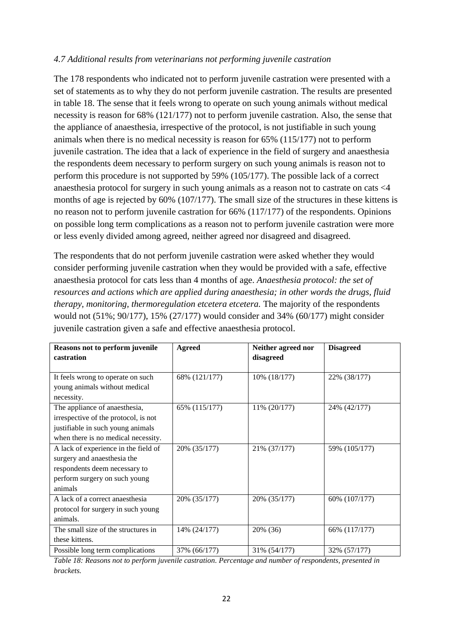#### *4.7 Additional results from veterinarians not performing juvenile castration*

The 178 respondents who indicated not to perform juvenile castration were presented with a set of statements as to why they do not perform juvenile castration. The results are presented in table 18. The sense that it feels wrong to operate on such young animals without medical necessity is reason for 68% (121/177) not to perform juvenile castration. Also, the sense that the appliance of anaesthesia, irrespective of the protocol, is not justifiable in such young animals when there is no medical necessity is reason for 65% (115/177) not to perform juvenile castration. The idea that a lack of experience in the field of surgery and anaesthesia the respondents deem necessary to perform surgery on such young animals is reason not to perform this procedure is not supported by 59% (105/177). The possible lack of a correct anaesthesia protocol for surgery in such young animals as a reason not to castrate on cats <4 months of age is rejected by 60% (107/177). The small size of the structures in these kittens is no reason not to perform juvenile castration for 66% (117/177) of the respondents. Opinions on possible long term complications as a reason not to perform juvenile castration were more or less evenly divided among agreed, neither agreed nor disagreed and disagreed.

The respondents that do not perform juvenile castration were asked whether they would consider performing juvenile castration when they would be provided with a safe, effective anaesthesia protocol for cats less than 4 months of age. *Anaesthesia protocol: the set of resources and actions which are applied during anaesthesia; in other words the drugs, fluid therapy, monitoring, thermoregulation etcetera etcetera.* The majority of the respondents would not (51%; 90/177), 15% (27/177) would consider and 34% (60/177) might consider juvenile castration given a safe and effective anaesthesia protocol.

| Reasons not to perform juvenile<br>castration | <b>Agreed</b> | Neither agreed nor<br>disagreed | <b>Disagreed</b> |
|-----------------------------------------------|---------------|---------------------------------|------------------|
| It feels wrong to operate on such             | 68% (121/177) | 10% (18/177)                    | 22% (38/177)     |
| young animals without medical<br>necessity.   |               |                                 |                  |
| The appliance of anaesthesia,                 | 65% (115/177) | 11% (20/177)                    | 24% (42/177)     |
| irrespective of the protocol, is not          |               |                                 |                  |
| justifiable in such young animals             |               |                                 |                  |
| when there is no medical necessity.           |               |                                 |                  |
| A lack of experience in the field of          | 20% (35/177)  | 21% (37/177)                    | 59% (105/177)    |
| surgery and anaesthesia the                   |               |                                 |                  |
| respondents deem necessary to                 |               |                                 |                  |
| perform surgery on such young                 |               |                                 |                  |
| animals                                       |               |                                 |                  |
| A lack of a correct anaesthesia               | 20% (35/177)  | 20% (35/177)                    | 60% (107/177)    |
| protocol for surgery in such young            |               |                                 |                  |
| animals.                                      |               |                                 |                  |
| The small size of the structures in           | 14% (24/177)  | 20% (36)                        | 66% (117/177)    |
| these kittens.                                |               |                                 |                  |
| Possible long term complications              | 37% (66/177)  | 31% (54/177)                    | 32% (57/177)     |

*Table 18: Reasons not to perform juvenile castration. Percentage and number of respondents, presented in brackets.*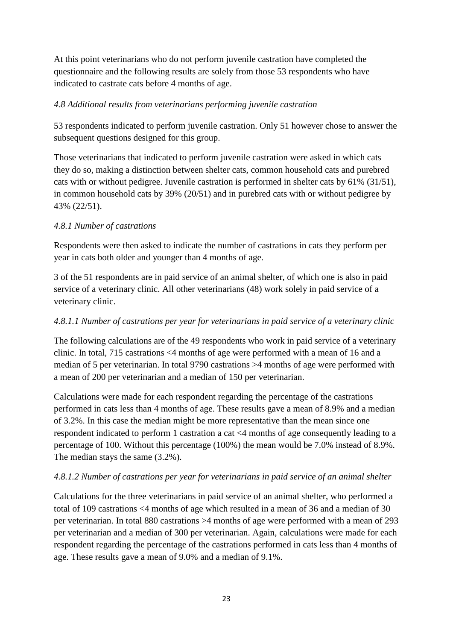At this point veterinarians who do not perform juvenile castration have completed the questionnaire and the following results are solely from those 53 respondents who have indicated to castrate cats before 4 months of age.

# *4.8 Additional results from veterinarians performing juvenile castration*

53 respondents indicated to perform juvenile castration. Only 51 however chose to answer the subsequent questions designed for this group.

Those veterinarians that indicated to perform juvenile castration were asked in which cats they do so, making a distinction between shelter cats, common household cats and purebred cats with or without pedigree. Juvenile castration is performed in shelter cats by 61% (31/51), in common household cats by 39% (20/51) and in purebred cats with or without pedigree by 43% (22/51).

# *4.8.1 Number of castrations*

Respondents were then asked to indicate the number of castrations in cats they perform per year in cats both older and younger than 4 months of age.

3 of the 51 respondents are in paid service of an animal shelter, of which one is also in paid service of a veterinary clinic. All other veterinarians (48) work solely in paid service of a veterinary clinic.

# *4.8.1.1 Number of castrations per year for veterinarians in paid service of a veterinary clinic*

The following calculations are of the 49 respondents who work in paid service of a veterinary clinic. In total, 715 castrations <4 months of age were performed with a mean of 16 and a median of 5 per veterinarian. In total 9790 castrations >4 months of age were performed with a mean of 200 per veterinarian and a median of 150 per veterinarian.

Calculations were made for each respondent regarding the percentage of the castrations performed in cats less than 4 months of age. These results gave a mean of 8.9% and a median of 3.2%. In this case the median might be more representative than the mean since one respondent indicated to perform 1 castration a cat <4 months of age consequently leading to a percentage of 100. Without this percentage (100%) the mean would be 7.0% instead of 8.9%. The median stays the same (3.2%).

# *4.8.1.2 Number of castrations per year for veterinarians in paid service of an animal shelter*

Calculations for the three veterinarians in paid service of an animal shelter, who performed a total of 109 castrations <4 months of age which resulted in a mean of 36 and a median of 30 per veterinarian. In total 880 castrations >4 months of age were performed with a mean of 293 per veterinarian and a median of 300 per veterinarian. Again, calculations were made for each respondent regarding the percentage of the castrations performed in cats less than 4 months of age. These results gave a mean of 9.0% and a median of 9.1%.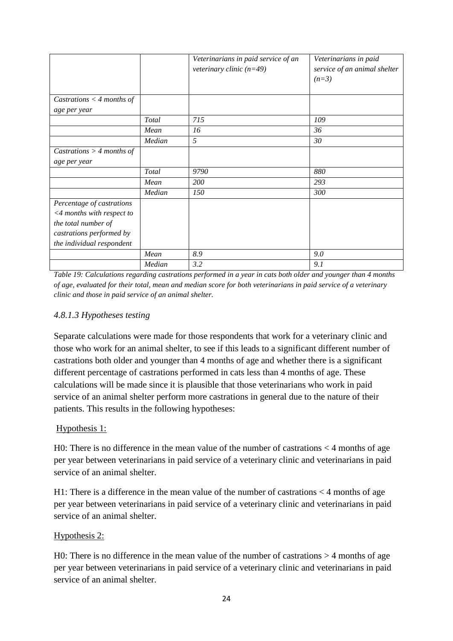|                                                                                                                                        |        | Veterinarians in paid service of an<br>veterinary clinic $(n=49)$ | Veterinarians in paid<br>service of an animal shelter<br>$(n=3)$ |
|----------------------------------------------------------------------------------------------------------------------------------------|--------|-------------------------------------------------------------------|------------------------------------------------------------------|
| Castrations $<$ 4 months of                                                                                                            |        |                                                                   |                                                                  |
| age per year                                                                                                                           |        |                                                                   |                                                                  |
|                                                                                                                                        | Total  | 715                                                               | 109                                                              |
|                                                                                                                                        | Mean   | 16                                                                | 36                                                               |
|                                                                                                                                        | Median | 5                                                                 | 30                                                               |
| Castrations $>$ 4 months of                                                                                                            |        |                                                                   |                                                                  |
| age per year                                                                                                                           |        |                                                                   |                                                                  |
|                                                                                                                                        | Total  | 9790                                                              | 880                                                              |
|                                                                                                                                        | Mean   | 200                                                               | 293                                                              |
|                                                                                                                                        | Median | 150                                                               | 300                                                              |
| Percentage of castrations<br><4 months with respect to<br>the total number of<br>castrations performed by<br>the individual respondent |        |                                                                   |                                                                  |
|                                                                                                                                        | Mean   | 8.9                                                               | 9.0                                                              |
|                                                                                                                                        | Median | 3.2                                                               | 9.1                                                              |

*Table 19: Calculations regarding castrations performed in a year in cats both older and younger than 4 months of age, evaluated for their total, mean and median score for both veterinarians in paid service of a veterinary clinic and those in paid service of an animal shelter.* 

# *4.8.1.3 Hypotheses testing*

Separate calculations were made for those respondents that work for a veterinary clinic and those who work for an animal shelter, to see if this leads to a significant different number of castrations both older and younger than 4 months of age and whether there is a significant different percentage of castrations performed in cats less than 4 months of age. These calculations will be made since it is plausible that those veterinarians who work in paid service of an animal shelter perform more castrations in general due to the nature of their patients. This results in the following hypotheses:

#### Hypothesis 1:

H0: There is no difference in the mean value of the number of castrations  $\leq$  4 months of age per year between veterinarians in paid service of a veterinary clinic and veterinarians in paid service of an animal shelter.

H1: There is a difference in the mean value of the number of castrations < 4 months of age per year between veterinarians in paid service of a veterinary clinic and veterinarians in paid service of an animal shelter.

#### Hypothesis 2:

H0: There is no difference in the mean value of the number of castrations > 4 months of age per year between veterinarians in paid service of a veterinary clinic and veterinarians in paid service of an animal shelter.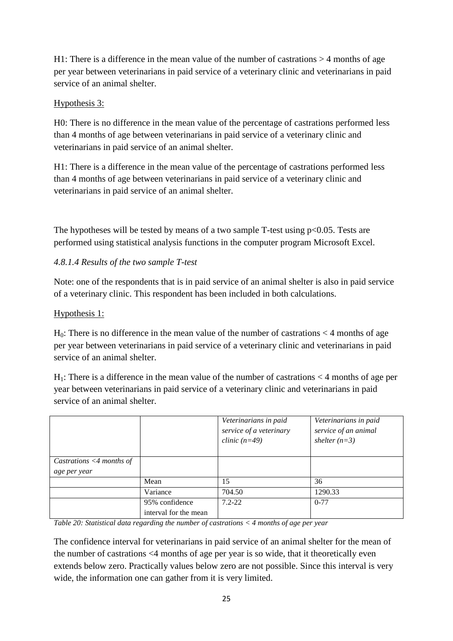H1: There is a difference in the mean value of the number of castrations  $>$  4 months of age per year between veterinarians in paid service of a veterinary clinic and veterinarians in paid service of an animal shelter.

# Hypothesis 3:

H0: There is no difference in the mean value of the percentage of castrations performed less than 4 months of age between veterinarians in paid service of a veterinary clinic and veterinarians in paid service of an animal shelter.

H1: There is a difference in the mean value of the percentage of castrations performed less than 4 months of age between veterinarians in paid service of a veterinary clinic and veterinarians in paid service of an animal shelter.

The hypotheses will be tested by means of a two sample T-test using  $p<0.05$ . Tests are performed using statistical analysis functions in the computer program Microsoft Excel.

# *4.8.1.4 Results of the two sample T-test*

Note: one of the respondents that is in paid service of an animal shelter is also in paid service of a veterinary clinic. This respondent has been included in both calculations.

# Hypothesis 1:

 $H_0$ : There is no difference in the mean value of the number of castrations  $\lt 4$  months of age per year between veterinarians in paid service of a veterinary clinic and veterinarians in paid service of an animal shelter.

 $H_1$ : There is a difference in the mean value of the number of castrations  $\lt 4$  months of age per year between veterinarians in paid service of a veterinary clinic and veterinarians in paid service of an animal shelter.

|                                |                                         | Veterinarians in paid<br>service of a veterinary<br>clinic $(n=49)$ | Veterinarians in paid<br>service of an animal<br>shelter $(n=3)$ |
|--------------------------------|-----------------------------------------|---------------------------------------------------------------------|------------------------------------------------------------------|
| Castrations $\leq$ 4 months of |                                         |                                                                     |                                                                  |
| age per year                   |                                         |                                                                     |                                                                  |
|                                | Mean                                    | 15                                                                  | 36                                                               |
|                                | Variance                                | 704.50                                                              | 1290.33                                                          |
|                                | 95% confidence<br>interval for the mean | $7.2 - 22$                                                          | $0 - 77$                                                         |

*Table 20: Statistical data regarding the number of castrations < 4 months of age per year*

The confidence interval for veterinarians in paid service of an animal shelter for the mean of the number of castrations <4 months of age per year is so wide, that it theoretically even extends below zero. Practically values below zero are not possible. Since this interval is very wide, the information one can gather from it is very limited.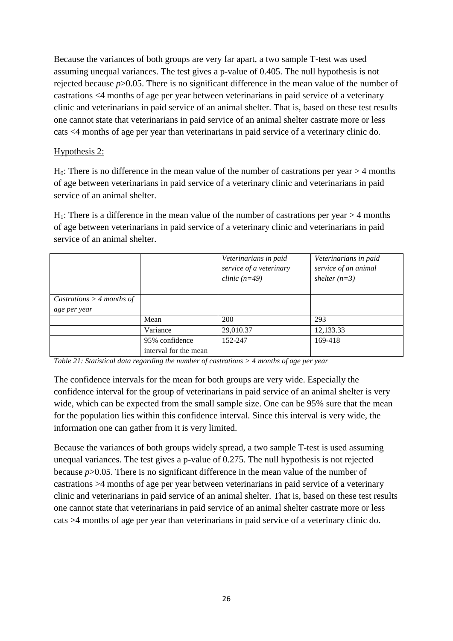Because the variances of both groups are very far apart, a two sample T-test was used assuming unequal variances. The test gives a p-value of 0.405. The null hypothesis is not rejected because *p*>0.05. There is no significant difference in the mean value of the number of castrations <4 months of age per year between veterinarians in paid service of a veterinary clinic and veterinarians in paid service of an animal shelter. That is, based on these test results one cannot state that veterinarians in paid service of an animal shelter castrate more or less cats <4 months of age per year than veterinarians in paid service of a veterinary clinic do.

# Hypothesis 2:

 $H<sub>0</sub>$ : There is no difference in the mean value of the number of castrations per year  $> 4$  months of age between veterinarians in paid service of a veterinary clinic and veterinarians in paid service of an animal shelter.

 $H_1$ : There is a difference in the mean value of the number of castrations per year  $>$  4 months of age between veterinarians in paid service of a veterinary clinic and veterinarians in paid service of an animal shelter.

|                             |                       | Veterinarians in paid<br>service of a veterinary<br>clinic $(n=49)$ | Veterinarians in paid<br>service of an animal<br>shelter $(n=3)$ |
|-----------------------------|-----------------------|---------------------------------------------------------------------|------------------------------------------------------------------|
| Castrations $>$ 4 months of |                       |                                                                     |                                                                  |
| age per year                |                       |                                                                     |                                                                  |
|                             | Mean                  | 200                                                                 | 293                                                              |
|                             | Variance              | 29,010.37                                                           | 12,133.33                                                        |
|                             | 95% confidence        | 152-247                                                             | 169-418                                                          |
|                             | interval for the mean |                                                                     |                                                                  |

*Table 21: Statistical data regarding the number of castrations > 4 months of age per year*

The confidence intervals for the mean for both groups are very wide. Especially the confidence interval for the group of veterinarians in paid service of an animal shelter is very wide, which can be expected from the small sample size. One can be 95% sure that the mean for the population lies within this confidence interval. Since this interval is very wide, the information one can gather from it is very limited.

Because the variances of both groups widely spread, a two sample T-test is used assuming unequal variances. The test gives a p-value of 0.275. The null hypothesis is not rejected because *p*>0.05. There is no significant difference in the mean value of the number of castrations >4 months of age per year between veterinarians in paid service of a veterinary clinic and veterinarians in paid service of an animal shelter. That is, based on these test results one cannot state that veterinarians in paid service of an animal shelter castrate more or less cats >4 months of age per year than veterinarians in paid service of a veterinary clinic do.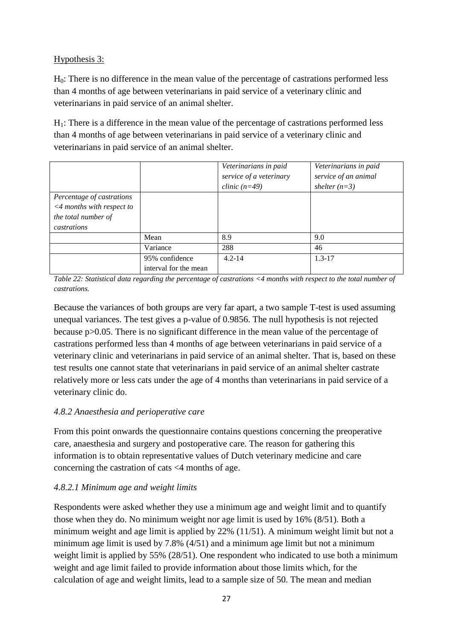# Hypothesis 3:

 $H<sub>0</sub>$ : There is no difference in the mean value of the percentage of castrations performed less than 4 months of age between veterinarians in paid service of a veterinary clinic and veterinarians in paid service of an animal shelter.

 $H<sub>1</sub>$ : There is a difference in the mean value of the percentage of castrations performed less than 4 months of age between veterinarians in paid service of a veterinary clinic and veterinarians in paid service of an animal shelter.

|                                                                                                    |                                         | Veterinarians in paid<br>service of a veterinary<br>clinic $(n=49)$ | Veterinarians in paid<br>service of an animal<br>shelter $(n=3)$ |
|----------------------------------------------------------------------------------------------------|-----------------------------------------|---------------------------------------------------------------------|------------------------------------------------------------------|
| Percentage of castrations<br>$\leq$ 4 months with respect to<br>the total number of<br>castrations |                                         |                                                                     |                                                                  |
|                                                                                                    | Mean                                    | 8.9                                                                 | 9.0                                                              |
|                                                                                                    | Variance                                | 288                                                                 | 46                                                               |
|                                                                                                    | 95% confidence<br>interval for the mean | $4.2 - 14$                                                          | $1.3 - 17$                                                       |

*Table 22: Statistical data regarding the percentage of castrations <4 months with respect to the total number of castrations.*

Because the variances of both groups are very far apart, a two sample T-test is used assuming unequal variances. The test gives a p-value of 0.9856. The null hypothesis is not rejected because p>0.05. There is no significant difference in the mean value of the percentage of castrations performed less than 4 months of age between veterinarians in paid service of a veterinary clinic and veterinarians in paid service of an animal shelter. That is, based on these test results one cannot state that veterinarians in paid service of an animal shelter castrate relatively more or less cats under the age of 4 months than veterinarians in paid service of a veterinary clinic do.

# *4.8.2 Anaesthesia and perioperative care*

From this point onwards the questionnaire contains questions concerning the preoperative care, anaesthesia and surgery and postoperative care. The reason for gathering this information is to obtain representative values of Dutch veterinary medicine and care concerning the castration of cats <4 months of age.

# *4.8.2.1 Minimum age and weight limits*

Respondents were asked whether they use a minimum age and weight limit and to quantify those when they do. No minimum weight nor age limit is used by 16% (8/51). Both a minimum weight and age limit is applied by 22% (11/51). A minimum weight limit but not a minimum age limit is used by 7.8% (4/51) and a minimum age limit but not a minimum weight limit is applied by 55% (28/51). One respondent who indicated to use both a minimum weight and age limit failed to provide information about those limits which, for the calculation of age and weight limits, lead to a sample size of 50. The mean and median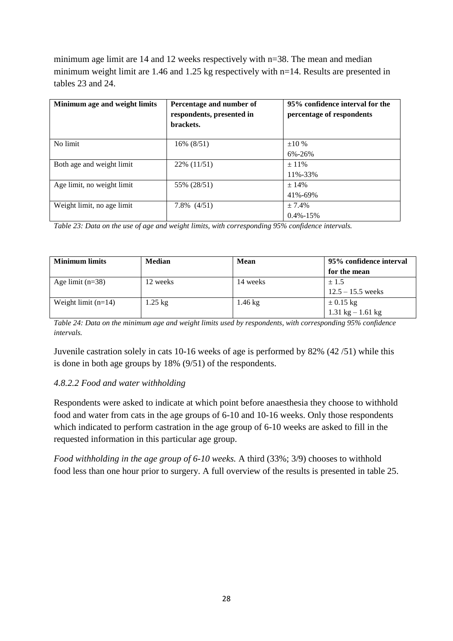minimum age limit are 14 and 12 weeks respectively with n=38. The mean and median minimum weight limit are 1.46 and 1.25 kg respectively with n=14. Results are presented in tables 23 and 24.

| Minimum age and weight limits | Percentage and number of<br>respondents, presented in<br>brackets. | 95% confidence interval for the<br>percentage of respondents |
|-------------------------------|--------------------------------------------------------------------|--------------------------------------------------------------|
| No limit                      | 16% (8/51)                                                         | ±10%<br>6%-26%                                               |
| Both age and weight limit     | 22\% (11/51)                                                       | $+11\%$<br>11%-33%                                           |
| Age limit, no weight limit    | 55% (28/51)                                                        | $+14%$<br>41%-69%                                            |
| Weight limit, no age limit    | $7.8\%$ $(4/51)$                                                   | $+7.4%$<br>$0.4\% - 15\%$                                    |

*Table 23: Data on the use of age and weight limits, with corresponding 95% confidence intervals.*

| <b>Minimum limits</b> | Median    | <b>Mean</b> | 95% confidence interval             |
|-----------------------|-----------|-------------|-------------------------------------|
|                       |           |             | for the mean                        |
| Age limit $(n=38)$    | 12 weeks  | 14 weeks    | $\pm 1.5$                           |
|                       |           |             | $12.5 - 15.5$ weeks                 |
| Weight limit $(n=14)$ | $1.25$ kg | .46 $kg$    | $\pm$ 0.15 kg                       |
|                       |           |             | $1.31 \text{ kg} - 1.61 \text{ kg}$ |

*Table 24: Data on the minimum age and weight limits used by respondents, with corresponding 95% confidence intervals.*

Juvenile castration solely in cats 10-16 weeks of age is performed by 82% (42 /51) while this is done in both age groups by 18% (9/51) of the respondents.

#### *4.8.2.2 Food and water withholding*

Respondents were asked to indicate at which point before anaesthesia they choose to withhold food and water from cats in the age groups of 6-10 and 10-16 weeks. Only those respondents which indicated to perform castration in the age group of 6-10 weeks are asked to fill in the requested information in this particular age group.

*Food withholding in the age group of 6-10 weeks.* A third (33%; 3/9) chooses to withhold food less than one hour prior to surgery. A full overview of the results is presented in table 25.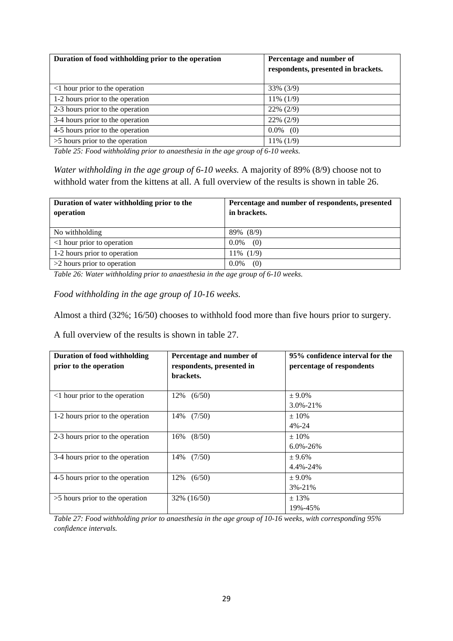| Duration of food withholding prior to the operation | Percentage and number of<br>respondents, presented in brackets. |
|-----------------------------------------------------|-----------------------------------------------------------------|
| <1 hour prior to the operation                      | 33% (3/9)                                                       |
| 1-2 hours prior to the operation                    | 11% (1/9)                                                       |
| 2-3 hours prior to the operation                    | $22\% (2/9)$                                                    |
| 3-4 hours prior to the operation                    | $22\% (2/9)$                                                    |
| 4-5 hours prior to the operation                    | $0.0\%$<br>(0)                                                  |
| $>5$ hours prior to the operation                   | 11% (1/9)                                                       |

*Table 25: Food withholding prior to anaesthesia in the age group of 6-10 weeks.*

*Water withholding in the age group of 6-10 weeks.* A majority of 89% (8/9) choose not to withhold water from the kittens at all. A full overview of the results is shown in table 26.

| Duration of water withholding prior to the<br>operation | Percentage and number of respondents, presented<br>in brackets. |
|---------------------------------------------------------|-----------------------------------------------------------------|
| No withholding                                          | 89% (8/9)                                                       |
| $\leq$ 1 hour prior to operation                        | $0.0\%$<br>(0)                                                  |
| 1-2 hours prior to operation                            | $11\%$ (1/9)                                                    |
| $>2$ hours prior to operation                           | $0.0\%$<br>(0)                                                  |

*Table 26: Water withholding prior to anaesthesia in the age group of 6-10 weeks.*

*Food withholding in the age group of 10-16 weeks.*

Almost a third (32%; 16/50) chooses to withhold food more than five hours prior to surgery.

A full overview of the results is shown in table 27.

| <b>Duration of food withholding</b><br>prior to the operation | Percentage and number of<br>respondents, presented in<br>brackets. | 95% confidence interval for the<br>percentage of respondents |
|---------------------------------------------------------------|--------------------------------------------------------------------|--------------------------------------------------------------|
| <1 hour prior to the operation                                | 12%<br>(6/50)                                                      | $± 9.0\%$<br>$3.0\% - 21\%$                                  |
| 1-2 hours prior to the operation                              | (7/50)<br>14%                                                      | $+10%$<br>$4\% - 24$                                         |
| 2-3 hours prior to the operation                              | (8/50)<br>16%                                                      | $+10%$<br>$6.0\% - 26\%$                                     |
| 3-4 hours prior to the operation                              | 14%<br>(7/50)                                                      | $+9.6%$<br>$4.4\% - 24\%$                                    |
| 4-5 hours prior to the operation                              | 12%<br>(6/50)                                                      | $± 9.0\%$<br>$3\% - 21\%$                                    |
| $>5$ hours prior to the operation                             | 32% (16/50)                                                        | $+13%$<br>19%-45%                                            |

*Table 27: Food withholding prior to anaesthesia in the age group of 10-16 weeks, with corresponding 95% confidence intervals.*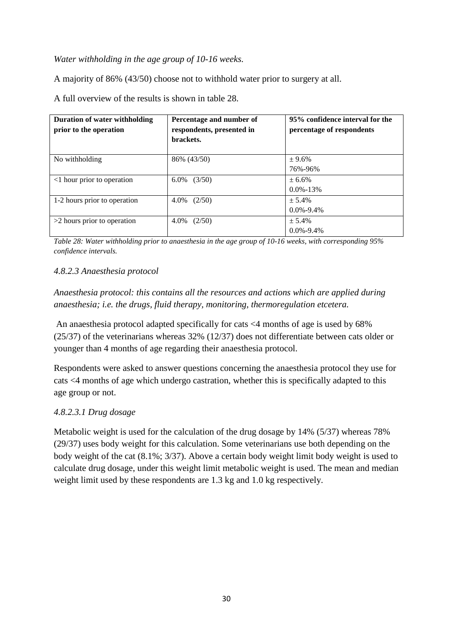#### *Water withholding in the age group of 10-16 weeks.*

A majority of 86% (43/50) choose not to withhold water prior to surgery at all.

**Duration of water withholding prior to the operation Percentage and number of respondents, presented in brackets. 95% confidence interval for the percentage of respondents** No withholding  $86\% (43/50)$   $\pm 9.6\%$ 76%-96%  $\leq$ 1 hour prior to operation  $\left(6.0\% \quad (3/50)\right)$   $\pm 6.6\%$ 0.0%-13% 1-2 hours prior to operation  $\left| \begin{array}{cc} 4.0\% & (2/50) \end{array} \right|$   $\pm 5.4\%$ 0.0%-9.4%  $>$ 2 hours prior to operation  $\left| 4.0\% \right| (2/50)$   $\pm 5.4\%$ 0.0%-9.4%

A full overview of the results is shown in table 28.

*Table 28: Water withholding prior to anaesthesia in the age group of 10-16 weeks, with corresponding 95% confidence intervals.*

#### *4.8.2.3 Anaesthesia protocol*

*Anaesthesia protocol: this contains all the resources and actions which are applied during anaesthesia; i.e. the drugs, fluid therapy, monitoring, thermoregulation etcetera.*

An anaesthesia protocol adapted specifically for cats <4 months of age is used by 68% (25/37) of the veterinarians whereas 32% (12/37) does not differentiate between cats older or younger than 4 months of age regarding their anaesthesia protocol.

Respondents were asked to answer questions concerning the anaesthesia protocol they use for cats <4 months of age which undergo castration, whether this is specifically adapted to this age group or not.

#### *4.8.2.3.1 Drug dosage*

Metabolic weight is used for the calculation of the drug dosage by 14% (5/37) whereas 78% (29/37) uses body weight for this calculation. Some veterinarians use both depending on the body weight of the cat (8.1%; 3/37). Above a certain body weight limit body weight is used to calculate drug dosage, under this weight limit metabolic weight is used. The mean and median weight limit used by these respondents are 1.3 kg and 1.0 kg respectively.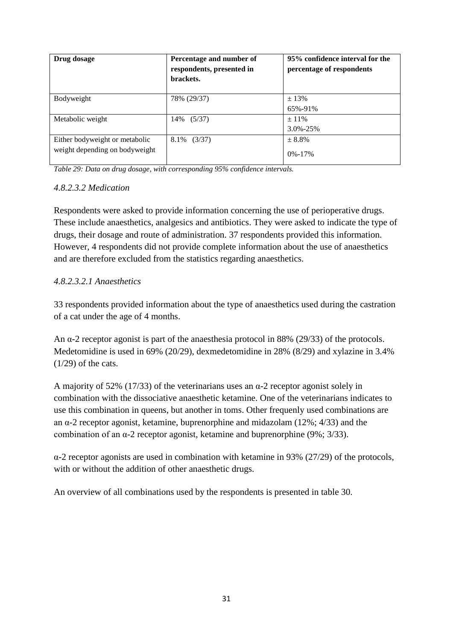| Drug dosage                                                      | Percentage and number of<br>respondents, presented in<br>brackets. | 95% confidence interval for the<br>percentage of respondents |
|------------------------------------------------------------------|--------------------------------------------------------------------|--------------------------------------------------------------|
| Bodyweight                                                       | 78% (29/37)                                                        | $\pm$ 13%<br>65%-91%                                         |
| Metabolic weight                                                 | (5/37)<br>14%                                                      | $\pm$ 11%<br>$3.0\% - 25\%$                                  |
| Either bodyweight or metabolic<br>weight depending on bodyweight | 8.1%<br>(3/37)                                                     | $+8.8\%$<br>$0\% - 17\%$                                     |

*Table 29: Data on drug dosage, with corresponding 95% confidence intervals.*

#### *4.8.2.3.2 Medication*

Respondents were asked to provide information concerning the use of perioperative drugs. These include anaesthetics, analgesics and antibiotics. They were asked to indicate the type of drugs, their dosage and route of administration. 37 respondents provided this information. However, 4 respondents did not provide complete information about the use of anaesthetics and are therefore excluded from the statistics regarding anaesthetics.

#### *4.8.2.3.2.1 Anaesthetics*

33 respondents provided information about the type of anaesthetics used during the castration of a cat under the age of 4 months.

An α-2 receptor agonist is part of the anaesthesia protocol in 88% (29/33) of the protocols. Medetomidine is used in 69% (20/29), dexmedetomidine in 28% (8/29) and xylazine in 3.4%  $(1/29)$  of the cats.

A majority of 52% (17/33) of the veterinarians uses an  $\alpha$ -2 receptor agonist solely in combination with the dissociative anaesthetic ketamine. One of the veterinarians indicates to use this combination in queens, but another in toms. Other frequenly used combinations are an α-2 receptor agonist, ketamine, buprenorphine and midazolam (12%; 4/33) and the combination of an α-2 receptor agonist, ketamine and buprenorphine (9%; 3/33).

α-2 receptor agonists are used in combination with ketamine in 93% (27/29) of the protocols, with or without the addition of other anaesthetic drugs.

An overview of all combinations used by the respondents is presented in table 30.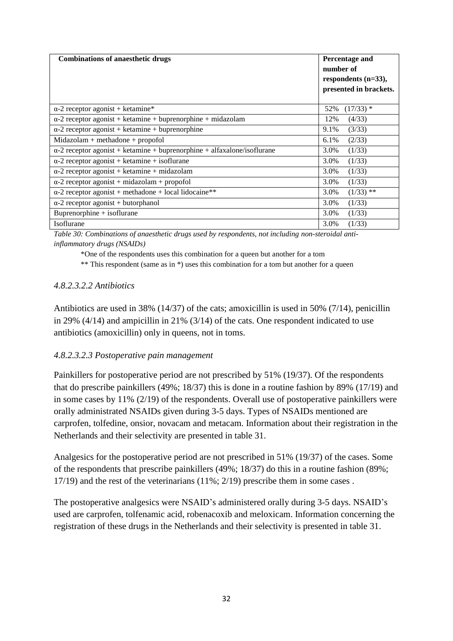| <b>Combinations of anaesthetic drugs</b>                                        | Percentage and<br>number of<br>respondents $(n=33)$ ,<br>presented in brackets. |
|---------------------------------------------------------------------------------|---------------------------------------------------------------------------------|
| $\alpha$ -2 receptor agonist + ketamine*                                        | $(17/33)$ *<br>52%                                                              |
| $\alpha$ -2 receptor agonist + ketamine + buprenorphine + midazolam             | 12%<br>(4/33)                                                                   |
| $\alpha$ -2 receptor agonist + ketamine + buprenorphine                         | 9.1%<br>(3/33)                                                                  |
| $Midazolam + methadone + propofol$                                              | $6.1\%$<br>(2/33)                                                               |
| $\alpha$ -2 receptor agonist + ketamine + buprenorphine + alfaxalone/isoflurane | 3.0%<br>(1/33)                                                                  |
| $\alpha$ -2 receptor agonist + ketamine + isoflurane                            | 3.0%<br>(1/33)                                                                  |
| $\alpha$ -2 receptor agonist + ketamine + midazolam                             | 3.0%<br>(1/33)                                                                  |
| $\alpha$ -2 receptor agonist + midazolam + propofol                             | 3.0%<br>(1/33)                                                                  |
| $\alpha$ -2 receptor agonist + methadone + local lidocaine**                    | $(1/33)$ **<br>3.0%                                                             |
| $\alpha$ -2 receptor agonist + butorphanol                                      | 3.0%<br>(1/33)                                                                  |
| $Buperonphine + isoflurane$                                                     | 3.0%<br>(1/33)                                                                  |
| Isoflurane                                                                      | 3.0%<br>(1/33)                                                                  |

*Table 30: Combinations of anaesthetic drugs used by respondents, not including non-steroidal antiinflammatory drugs (NSAIDs)*

\*One of the respondents uses this combination for a queen but another for a tom

\*\* This respondent (same as in \*) uses this combination for a tom but another for a queen

#### *4.8.2.3.2.2 Antibiotics*

Antibiotics are used in 38% (14/37) of the cats; amoxicillin is used in 50% (7/14), penicillin in 29% (4/14) and ampicillin in 21% (3/14) of the cats. One respondent indicated to use antibiotics (amoxicillin) only in queens, not in toms.

#### *4.8.2.3.2.3 Postoperative pain management*

Painkillers for postoperative period are not prescribed by 51% (19/37). Of the respondents that do prescribe painkillers (49%; 18/37) this is done in a routine fashion by 89% (17/19) and in some cases by 11% (2/19) of the respondents. Overall use of postoperative painkillers were orally administrated NSAIDs given during 3-5 days. Types of NSAIDs mentioned are carprofen, tolfedine, onsior, novacam and metacam. Information about their registration in the Netherlands and their selectivity are presented in table 31.

Analgesics for the postoperative period are not prescribed in 51% (19/37) of the cases. Some of the respondents that prescribe painkillers (49%; 18/37) do this in a routine fashion (89%; 17/19) and the rest of the veterinarians (11%; 2/19) prescribe them in some cases .

The postoperative analgesics were NSAID's administered orally during 3-5 days. NSAID's used are carprofen, tolfenamic acid, robenacoxib and meloxicam. Information concerning the registration of these drugs in the Netherlands and their selectivity is presented in table 31.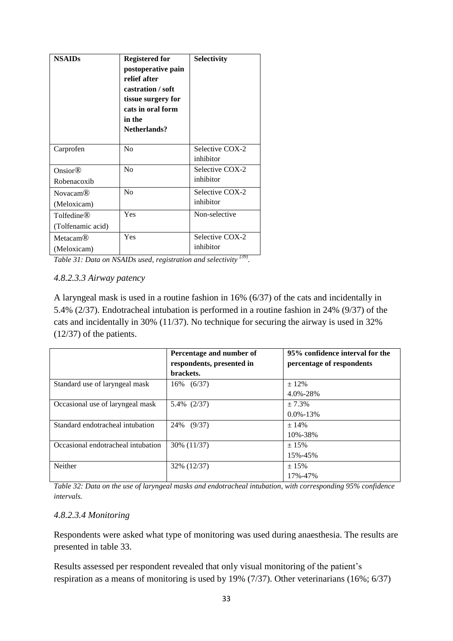| <b>NSAIDs</b>                               | <b>Registered for</b><br>postoperative pain<br>relief after<br>castration / soft<br>tissue surgery for<br>cats in oral form<br>in the<br>Netherlands? | <b>Selectivity</b>           |
|---------------------------------------------|-------------------------------------------------------------------------------------------------------------------------------------------------------|------------------------------|
| Carprofen                                   | N <sub>0</sub>                                                                                                                                        | Selective COX-2<br>inhibitor |
| Onsior <sup>®</sup><br>Robenacoxib          | N <sub>0</sub>                                                                                                                                        | Selective COX-2<br>inhibitor |
| Novacam <sup>®</sup><br>(Meloxicam)         | No                                                                                                                                                    | Selective COX-2<br>inhibitor |
| Tolfedine <sup>®</sup><br>(Tolfenamic acid) | Yes                                                                                                                                                   | Non-selective                |
| <b>Metacam<sup>®</sup></b><br>(Meloxicam)   | Yes                                                                                                                                                   | Selective COX-2<br>inhibitor |

Table 31: Data on NSAIDs used, registration and selectivity <sup>[39]</sup>.

#### *4.8.2.3.3 Airway patency*

A laryngeal mask is used in a routine fashion in 16% (6/37) of the cats and incidentally in 5.4% (2/37). Endotracheal intubation is performed in a routine fashion in 24% (9/37) of the cats and incidentally in 30% (11/37). No technique for securing the airway is used in 32% (12/37) of the patients.

|                                    | Percentage and number of<br>respondents, presented in | 95% confidence interval for the<br>percentage of respondents |
|------------------------------------|-------------------------------------------------------|--------------------------------------------------------------|
|                                    | brackets.                                             |                                                              |
| Standard use of laryngeal mask     | 16% (6/37)                                            | $± 12\%$                                                     |
|                                    |                                                       | 4.0%-28%                                                     |
| Occasional use of laryngeal mask   | 5.4% (2/37)                                           | $+7.3%$                                                      |
|                                    |                                                       | $0.0\% - 13\%$                                               |
| Standard endotracheal intubation   | 24%<br>(9/37)                                         | $+14%$                                                       |
|                                    |                                                       | 10%-38%                                                      |
| Occasional endotracheal intubation | 30% (11/37)                                           | $\pm$ 15%                                                    |
|                                    |                                                       | 15%-45%                                                      |
| Neither                            | 32% (12/37)                                           | ± 15%                                                        |
|                                    |                                                       | 17%-47%                                                      |

*Table 32: Data on the use of laryngeal masks and endotracheal intubation, with corresponding 95% confidence intervals.*

#### *4.8.2.3.4 Monitoring*

Respondents were asked what type of monitoring was used during anaesthesia. The results are presented in table 33.

Results assessed per respondent revealed that only visual monitoring of the patient's respiration as a means of monitoring is used by 19% (7/37). Other veterinarians (16%; 6/37)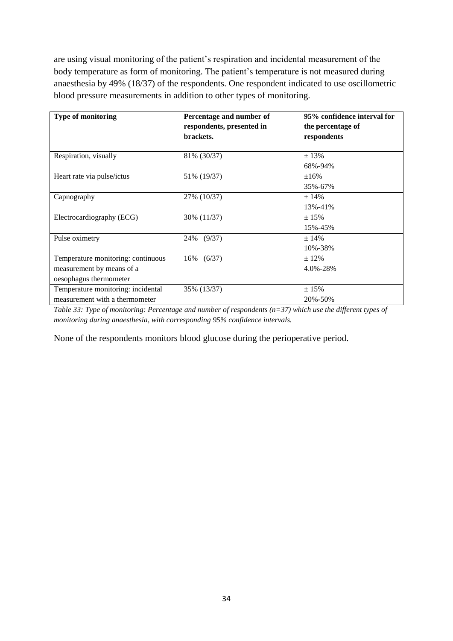are using visual monitoring of the patient's respiration and incidental measurement of the body temperature as form of monitoring. The patient's temperature is not measured during anaesthesia by 49% (18/37) of the respondents. One respondent indicated to use oscillometric blood pressure measurements in addition to other types of monitoring.

| <b>Type of monitoring</b>          | Percentage and number of  | 95% confidence interval for |
|------------------------------------|---------------------------|-----------------------------|
|                                    | respondents, presented in | the percentage of           |
|                                    | brackets.                 | respondents                 |
|                                    |                           |                             |
| Respiration, visually              | 81% (30/37)               | ±13%                        |
|                                    |                           | 68%-94%                     |
| Heart rate via pulse/ictus         | 51% (19/37)               | $\pm 16\%$                  |
|                                    |                           | 35%-67%                     |
| Capnography                        | 27% (10/37)               | $+14%$                      |
|                                    |                           | 13%-41%                     |
| Electrocardiography (ECG)          | 30% (11/37)               | ± 15%                       |
|                                    |                           | 15%-45%                     |
| Pulse oximetry                     | (9/37)<br>24%             | ± 14%                       |
|                                    |                           | 10%-38%                     |
| Temperature monitoring: continuous | (6/37)<br>16%             | $± 12\%$                    |
| measurement by means of a          |                           | 4.0%-28%                    |
| oesophagus thermometer             |                           |                             |
| Temperature monitoring: incidental | 35% (13/37)               | ± 15%                       |
| measurement with a thermometer     |                           | 20%-50%                     |

*Table 33: Type of monitoring: Percentage and number of respondents (n=37) which use the different types of monitoring during anaesthesia, with corresponding 95% confidence intervals.*

None of the respondents monitors blood glucose during the perioperative period.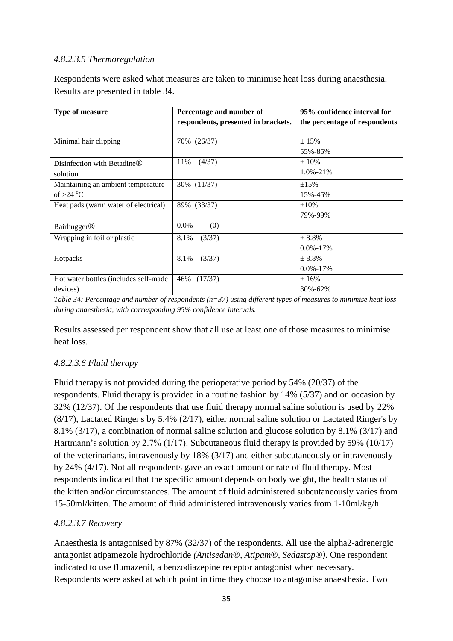#### *4.8.2.3.5 Thermoregulation*

Respondents were asked what measures are taken to minimise heat loss during anaesthesia. Results are presented in table 34.

| <b>Type of measure</b>                  | Percentage and number of            | 95% confidence interval for   |
|-----------------------------------------|-------------------------------------|-------------------------------|
|                                         | respondents, presented in brackets. | the percentage of respondents |
|                                         |                                     |                               |
| Minimal hair clipping                   | 70% (26/37)                         | ± 15%                         |
|                                         |                                     | 55%-85%                       |
| Disinfection with Betadine <sup>®</sup> | 11%<br>(4/37)                       | $\pm 10\%$                    |
| solution                                |                                     | $1.0\% - 21\%$                |
| Maintaining an ambient temperature      | 30% (11/37)                         | $\pm 15\%$                    |
| of $>24$ °C                             |                                     | 15%-45%                       |
| Heat pads (warm water of electrical)    | 89% (33/37)                         | $\pm 10\%$                    |
|                                         |                                     | 79%-99%                       |
| <b>Bairhugger<sup>®</sup></b>           | $0.0\%$<br>(0)                      |                               |
| Wrapping in foil or plastic             | 8.1%<br>(3/37)                      | ± 8.8%                        |
|                                         |                                     | $0.0\% - 17\%$                |
| Hotpacks                                | 8.1%<br>(3/37)                      | ± 8.8%                        |
|                                         |                                     | $0.0\% - 17\%$                |
| Hot water bottles (includes self-made)  | 46%<br>(17/37)                      | ±16%                          |
| devices)                                |                                     | 30%-62%                       |

*Table 34: Percentage and number of respondents (n=37) using different types of measures to minimise heat loss during anaesthesia, with corresponding 95% confidence intervals.*

Results assessed per respondent show that all use at least one of those measures to minimise heat loss.

#### *4.8.2.3.6 Fluid therapy*

Fluid therapy is not provided during the perioperative period by 54% (20/37) of the respondents. Fluid therapy is provided in a routine fashion by 14% (5/37) and on occasion by 32% (12/37). Of the respondents that use fluid therapy normal saline solution is used by 22% (8/17), Lactated Ringer's by 5.4% (2/17), either normal saline solution or Lactated Ringer's by 8.1% (3/17), a combination of normal saline solution and glucose solution by 8.1% (3/17) and Hartmann's solution by 2.7% (1/17). Subcutaneous fluid therapy is provided by 59% (10/17) of the veterinarians, intravenously by 18% (3/17) and either subcutaneously or intravenously by 24% (4/17). Not all respondents gave an exact amount or rate of fluid therapy. Most respondents indicated that the specific amount depends on body weight, the health status of the kitten and/or circumstances. The amount of fluid administered subcutaneously varies from 15-50ml/kitten. The amount of fluid administered intravenously varies from 1-10ml/kg/h.

#### *4.8.2.3.7 Recovery*

Anaesthesia is antagonised by 87% (32/37) of the respondents. All use the alpha2-adrenergic antagonist atipamezole hydrochloride *(Antisedan*®*, Atipam*®*, Sedastop*®*).* One respondent indicated to use flumazenil, a benzodiazepine receptor antagonist when necessary*.*  Respondents were asked at which point in time they choose to antagonise anaesthesia. Two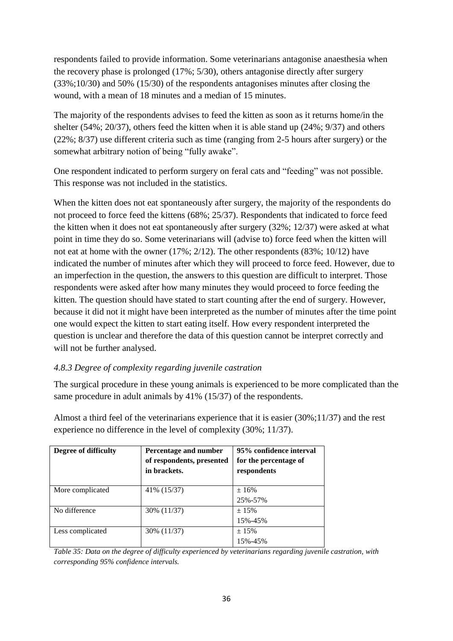respondents failed to provide information. Some veterinarians antagonise anaesthesia when the recovery phase is prolonged (17%; 5/30), others antagonise directly after surgery (33%;10/30) and 50% (15/30) of the respondents antagonises minutes after closing the wound, with a mean of 18 minutes and a median of 15 minutes.

The majority of the respondents advises to feed the kitten as soon as it returns home/in the shelter (54%; 20/37), others feed the kitten when it is able stand up (24%; 9/37) and others (22%; 8/37) use different criteria such as time (ranging from 2-5 hours after surgery) or the somewhat arbitrary notion of being "fully awake".

One respondent indicated to perform surgery on feral cats and "feeding" was not possible. This response was not included in the statistics.

When the kitten does not eat spontaneously after surgery, the majority of the respondents do not proceed to force feed the kittens (68%; 25/37). Respondents that indicated to force feed the kitten when it does not eat spontaneously after surgery (32%; 12/37) were asked at what point in time they do so. Some veterinarians will (advise to) force feed when the kitten will not eat at home with the owner (17%; 2/12). The other respondents (83%; 10/12) have indicated the number of minutes after which they will proceed to force feed. However, due to an imperfection in the question, the answers to this question are difficult to interpret. Those respondents were asked after how many minutes they would proceed to force feeding the kitten. The question should have stated to start counting after the end of surgery. However, because it did not it might have been interpreted as the number of minutes after the time point one would expect the kitten to start eating itself. How every respondent interpreted the question is unclear and therefore the data of this question cannot be interpret correctly and will not be further analysed.

# *4.8.3 Degree of complexity regarding juvenile castration*

The surgical procedure in these young animals is experienced to be more complicated than the same procedure in adult animals by 41% (15/37) of the respondents.

| Degree of difficulty | Percentage and number<br>of respondents, presented<br>in brackets. | 95% confidence interval<br>for the percentage of<br>respondents |
|----------------------|--------------------------------------------------------------------|-----------------------------------------------------------------|
| More complicated     | 41\% (15/37)                                                       | ±16%                                                            |
|                      |                                                                    | 25%-57%                                                         |
| No difference        | 30% (11/37)                                                        | $+15%$                                                          |
|                      |                                                                    | 15%-45%                                                         |
| Less complicated     | 30% (11/37)                                                        | ± 15%                                                           |
|                      |                                                                    | 15%-45%                                                         |

Almost a third feel of the veterinarians experience that it is easier (30%;11/37) and the rest experience no difference in the level of complexity (30%; 11/37).

*Table 35: Data on the degree of difficulty experienced by veterinarians regarding juvenile castration, with corresponding 95% confidence intervals.*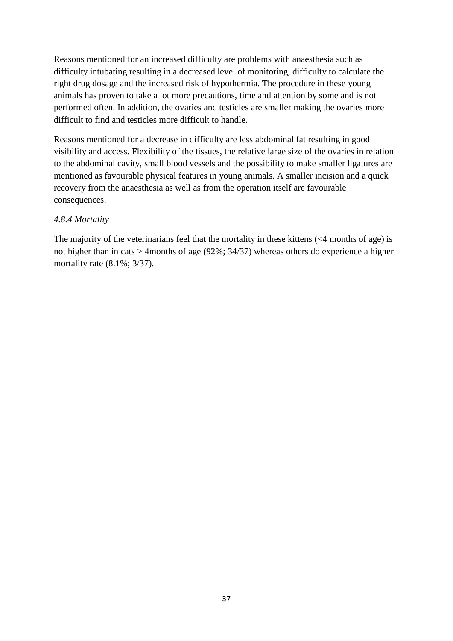Reasons mentioned for an increased difficulty are problems with anaesthesia such as difficulty intubating resulting in a decreased level of monitoring, difficulty to calculate the right drug dosage and the increased risk of hypothermia. The procedure in these young animals has proven to take a lot more precautions, time and attention by some and is not performed often. In addition, the ovaries and testicles are smaller making the ovaries more difficult to find and testicles more difficult to handle.

Reasons mentioned for a decrease in difficulty are less abdominal fat resulting in good visibility and access. Flexibility of the tissues, the relative large size of the ovaries in relation to the abdominal cavity, small blood vessels and the possibility to make smaller ligatures are mentioned as favourable physical features in young animals. A smaller incision and a quick recovery from the anaesthesia as well as from the operation itself are favourable consequences.

## *4.8.4 Mortality*

The majority of the veterinarians feel that the mortality in these kittens (<4 months of age) is not higher than in cats > 4months of age (92%; 34/37) whereas others do experience a higher mortality rate (8.1%; 3/37).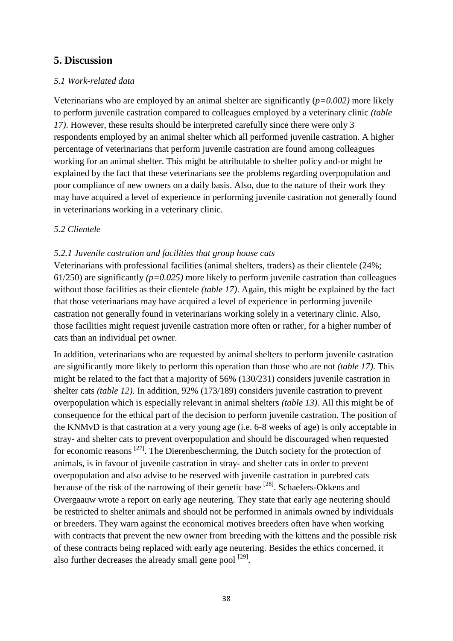# **5. Discussion**

#### *5.1 Work-related data*

Veterinarians who are employed by an animal shelter are significantly (*p=0.002)* more likely to perform juvenile castration compared to colleagues employed by a veterinary clinic *(table 17)*. However, these results should be interpreted carefully since there were only 3 respondents employed by an animal shelter which all performed juvenile castration. A higher percentage of veterinarians that perform juvenile castration are found among colleagues working for an animal shelter. This might be attributable to shelter policy and-or might be explained by the fact that these veterinarians see the problems regarding overpopulation and poor compliance of new owners on a daily basis. Also, due to the nature of their work they may have acquired a level of experience in performing juvenile castration not generally found in veterinarians working in a veterinary clinic.

#### *5.2 Clientele*

#### *5.2.1 Juvenile castration and facilities that group house cats*

Veterinarians with professional facilities (animal shelters, traders) as their clientele (24%; 61/250) are significantly *(p=0.025)* more likely to perform juvenile castration than colleagues without those facilities as their clientele *(table 17)*. Again, this might be explained by the fact that those veterinarians may have acquired a level of experience in performing juvenile castration not generally found in veterinarians working solely in a veterinary clinic. Also, those facilities might request juvenile castration more often or rather, for a higher number of cats than an individual pet owner.

In addition, veterinarians who are requested by animal shelters to perform juvenile castration are significantly more likely to perform this operation than those who are not *(table 17)*. This might be related to the fact that a majority of 56% (130/231) considers juvenile castration in shelter cats *(table 12)*. In addition, 92% (173/189) considers juvenile castration to prevent overpopulation which is especially relevant in animal shelters *(table 13)*. All this might be of consequence for the ethical part of the decision to perform juvenile castration. The position of the KNMvD is that castration at a very young age (i.e. 6-8 weeks of age) is only acceptable in stray- and shelter cats to prevent overpopulation and should be discouraged when requested for economic reasons  $^{[27]}$ . The Dierenbescherming, the Dutch society for the protection of animals, is in favour of juvenile castration in stray- and shelter cats in order to prevent overpopulation and also advise to be reserved with juvenile castration in purebred cats because of the risk of the narrowing of their genetic base [28]. Schaefers-Okkens and Overgaauw wrote a report on early age neutering. They state that early age neutering should be restricted to shelter animals and should not be performed in animals owned by individuals or breeders. They warn against the economical motives breeders often have when working with contracts that prevent the new owner from breeding with the kittens and the possible risk of these contracts being replaced with early age neutering. Besides the ethics concerned, it also further decreases the already small gene pool  $^{[29]}$ .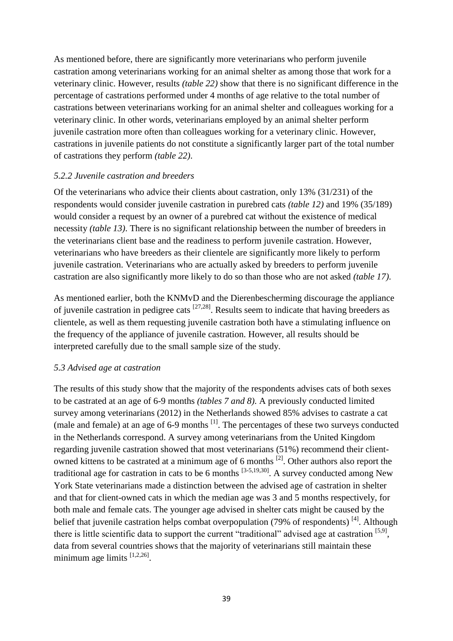As mentioned before, there are significantly more veterinarians who perform juvenile castration among veterinarians working for an animal shelter as among those that work for a veterinary clinic. However, results *(table 22)* show that there is no significant difference in the percentage of castrations performed under 4 months of age relative to the total number of castrations between veterinarians working for an animal shelter and colleagues working for a veterinary clinic. In other words, veterinarians employed by an animal shelter perform juvenile castration more often than colleagues working for a veterinary clinic. However, castrations in juvenile patients do not constitute a significantly larger part of the total number of castrations they perform *(table 22)*.

#### *5.2.2 Juvenile castration and breeders*

Of the veterinarians who advice their clients about castration, only 13% (31/231) of the respondents would consider juvenile castration in purebred cats *(table 12)* and 19% (35/189) would consider a request by an owner of a purebred cat without the existence of medical necessity *(table 13)*. There is no significant relationship between the number of breeders in the veterinarians client base and the readiness to perform juvenile castration. However, veterinarians who have breeders as their clientele are significantly more likely to perform juvenile castration. Veterinarians who are actually asked by breeders to perform juvenile castration are also significantly more likely to do so than those who are not asked *(table 17)*.

As mentioned earlier, both the KNMvD and the Dierenbescherming discourage the appliance of juvenile castration in pedigree cats  $[27,28]$ . Results seem to indicate that having breeders as clientele, as well as them requesting juvenile castration both have a stimulating influence on the frequency of the appliance of juvenile castration. However, all results should be interpreted carefully due to the small sample size of the study.

#### *5.3 Advised age at castration*

The results of this study show that the majority of the respondents advises cats of both sexes to be castrated at an age of 6-9 months *(tables 7 and 8)*. A previously conducted limited survey among veterinarians (2012) in the Netherlands showed 85% advises to castrate a cat (male and female) at an age of 6-9 months  $^{[1]}$ . The percentages of these two surveys conducted in the Netherlands correspond. A survey among veterinarians from the United Kingdom regarding juvenile castration showed that most veterinarians (51%) recommend their clientowned kittens to be castrated at a minimum age of 6 months  $^{[2]}$ . Other authors also report the traditional age for castration in cats to be 6 months  $^{[3-5,19,30]}$ . A survey conducted among New York State veterinarians made a distinction between the advised age of castration in shelter and that for client-owned cats in which the median age was 3 and 5 months respectively, for both male and female cats. The younger age advised in shelter cats might be caused by the belief that juvenile castration helps combat overpopulation (79% of respondents)<sup>[4]</sup>. Although there is little scientific data to support the current "traditional" advised age at castration [5,9], data from several countries shows that the majority of veterinarians still maintain these minimum age limits  $[1,2,26]$ .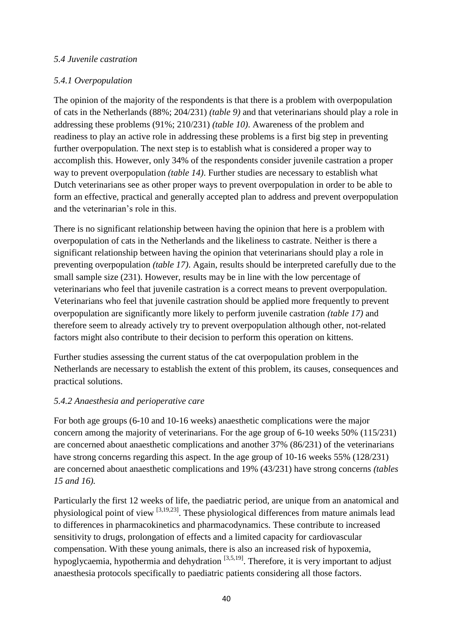#### *5.4 Juvenile castration*

## *5.4.1 Overpopulation*

The opinion of the majority of the respondents is that there is a problem with overpopulation of cats in the Netherlands (88%; 204/231) *(table 9)* and that veterinarians should play a role in addressing these problems (91%; 210/231) *(table 10)*. Awareness of the problem and readiness to play an active role in addressing these problems is a first big step in preventing further overpopulation. The next step is to establish what is considered a proper way to accomplish this. However, only 34% of the respondents consider juvenile castration a proper way to prevent overpopulation *(table 14)*. Further studies are necessary to establish what Dutch veterinarians see as other proper ways to prevent overpopulation in order to be able to form an effective, practical and generally accepted plan to address and prevent overpopulation and the veterinarian's role in this.

There is no significant relationship between having the opinion that here is a problem with overpopulation of cats in the Netherlands and the likeliness to castrate. Neither is there a significant relationship between having the opinion that veterinarians should play a role in preventing overpopulation *(table 17)*. Again, results should be interpreted carefully due to the small sample size (231). However, results may be in line with the low percentage of veterinarians who feel that juvenile castration is a correct means to prevent overpopulation. Veterinarians who feel that juvenile castration should be applied more frequently to prevent overpopulation are significantly more likely to perform juvenile castration *(table 17)* and therefore seem to already actively try to prevent overpopulation although other, not-related factors might also contribute to their decision to perform this operation on kittens.

Further studies assessing the current status of the cat overpopulation problem in the Netherlands are necessary to establish the extent of this problem, its causes, consequences and practical solutions.

#### *5.4.2 Anaesthesia and perioperative care*

For both age groups (6-10 and 10-16 weeks) anaesthetic complications were the major concern among the majority of veterinarians. For the age group of 6-10 weeks 50% (115/231) are concerned about anaesthetic complications and another 37% (86/231) of the veterinarians have strong concerns regarding this aspect. In the age group of 10-16 weeks 55% (128/231) are concerned about anaesthetic complications and 19% (43/231) have strong concerns *(tables 15 and 16).*

Particularly the first 12 weeks of life, the paediatric period, are unique from an anatomical and physiological point of view [3,19,23]. These physiological differences from mature animals lead to differences in pharmacokinetics and pharmacodynamics. These contribute to increased sensitivity to drugs, prolongation of effects and a limited capacity for cardiovascular compensation. With these young animals, there is also an increased risk of hypoxemia, hypoglycaemia, hypothermia and dehydration <sup>[3,5,19]</sup>. Therefore, it is very important to adjust anaesthesia protocols specifically to paediatric patients considering all those factors.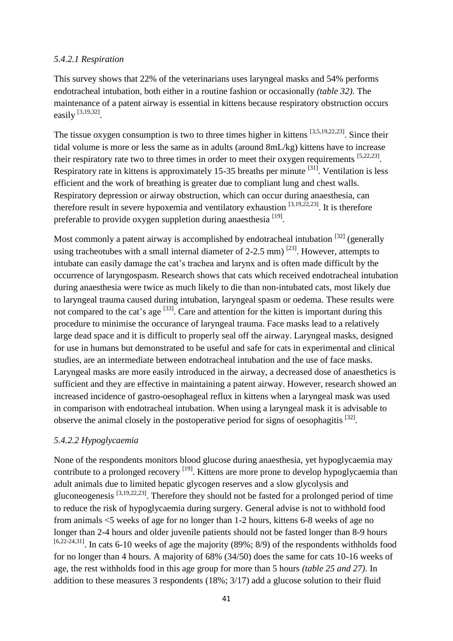#### *5.4.2.1 Respiration*

This survey shows that 22% of the veterinarians uses laryngeal masks and 54% performs endotracheal intubation, both either in a routine fashion or occasionally *(table 32)*. The maintenance of a patent airway is essential in kittens because respiratory obstruction occurs easily  $^{[3,19,32]}$ .

The tissue oxygen consumption is two to three times higher in kittens [3,5,19,22,23]. Since their tidal volume is more or less the same as in adults (around 8mL/kg) kittens have to increase their respiratory rate two to three times in order to meet their oxygen requirements  $[5,22,23]$ . Respiratory rate in kittens is approximately 15-35 breaths per minute <sup>[31]</sup>. Ventilation is less efficient and the work of breathing is greater due to compliant lung and chest walls. Respiratory depression or airway obstruction, which can occur during anaesthesia, can therefore result in severe hypoxemia and ventilatory exhaustion  $[3,19,22,23]$ . It is therefore preferable to provide oxygen suppletion during anaesthesia<sup>[19]</sup>.

Most commonly a patent airway is accomplished by endotracheal intubation  $^{[32]}$  (generally using tracheotubes with a small internal diameter of 2-2.5 mm)  $^{[23]}$ . However, attempts to intubate can easily damage the cat's trachea and larynx and is often made difficult by the occurrence of laryngospasm. Research shows that cats which received endotracheal intubation during anaesthesia were twice as much likely to die than non-intubated cats, most likely due to laryngeal trauma caused during intubation, laryngeal spasm or oedema. These results were not compared to the cat's age  $^{[33]}$ . Care and attention for the kitten is important during this procedure to minimise the occurance of laryngeal trauma. Face masks lead to a relatively large dead space and it is difficult to properly seal off the airway. Laryngeal masks, designed for use in humans but demonstrated to be useful and safe for cats in experimental and clinical studies, are an intermediate between endotracheal intubation and the use of face masks. Laryngeal masks are more easily introduced in the airway, a decreased dose of anaesthetics is sufficient and they are effective in maintaining a patent airway. However, research showed an increased incidence of gastro-oesophageal reflux in kittens when a laryngeal mask was used in comparison with endotracheal intubation. When using a laryngeal mask it is advisable to observe the animal closely in the postoperative period for signs of oesophagitis  $[32]$ .

#### *5.4.2.2 Hypoglycaemia*

None of the respondents monitors blood glucose during anaesthesia, yet hypoglycaemia may contribute to a prolonged recovery <sup>[19]</sup>. Kittens are more prone to develop hypoglycaemia than adult animals due to limited hepatic glycogen reserves and a slow glycolysis and gluconeogenesis  $[3,19,22,23]$ . Therefore they should not be fasted for a prolonged period of time to reduce the risk of hypoglycaemia during surgery. General advise is not to withhold food from animals <5 weeks of age for no longer than 1-2 hours, kittens 6-8 weeks of age no longer than 2-4 hours and older juvenile patients should not be fasted longer than 8-9 hours  $^{[6,22-24,31]}$ . In cats 6-10 weeks of age the majority (89%; 8/9) of the respondents withholds food for no longer than 4 hours. A majority of 68% (34/50) does the same for cats 10-16 weeks of age, the rest withholds food in this age group for more than 5 hours *(table 25 and 27)*. In addition to these measures 3 respondents (18%; 3/17) add a glucose solution to their fluid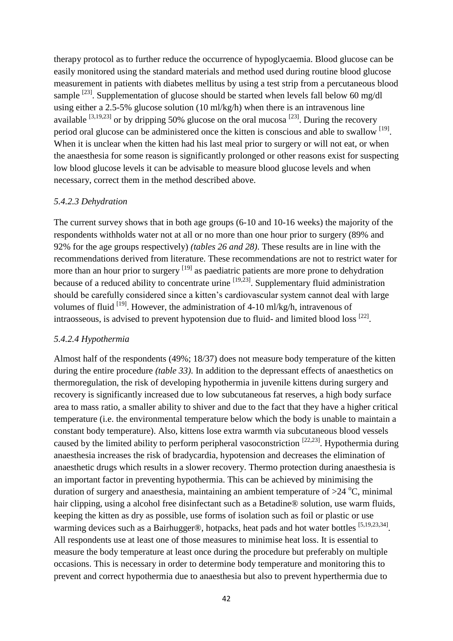therapy protocol as to further reduce the occurrence of hypoglycaemia. Blood glucose can be easily monitored using the standard materials and method used during routine blood glucose measurement in patients with diabetes mellitus by using a test strip from a percutaneous blood sample  $^{[23]}$ . Supplementation of glucose should be started when levels fall below 60 mg/dl using either a 2.5-5% glucose solution (10 ml/kg/h) when there is an intravenous line available  $[3,19,23]$  or by dripping 50% glucose on the oral mucosa  $[23]$ . During the recovery period oral glucose can be administered once the kitten is conscious and able to swallow [19]. When it is unclear when the kitten had his last meal prior to surgery or will not eat, or when the anaesthesia for some reason is significantly prolonged or other reasons exist for suspecting low blood glucose levels it can be advisable to measure blood glucose levels and when necessary, correct them in the method described above.

#### *5.4.2.3 Dehydration*

The current survey shows that in both age groups (6-10 and 10-16 weeks) the majority of the respondents withholds water not at all or no more than one hour prior to surgery (89% and 92% for the age groups respectively) *(tables 26 and 28)*. These results are in line with the recommendations derived from literature. These recommendations are not to restrict water for more than an hour prior to surgery <sup>[19]</sup> as paediatric patients are more prone to dehydration because of a reduced ability to concentrate urine <sup>[19,23]</sup>. Supplementary fluid administration should be carefully considered since a kitten's cardiovascular system cannot deal with large volumes of fluid  $^{[19]}$ . However, the administration of 4-10 ml/kg/h, intravenous of intraosseous, is advised to prevent hypotension due to fluid- and limited blood loss <sup>[22]</sup>.

#### *5.4.2.4 Hypothermia*

Almost half of the respondents (49%; 18/37) does not measure body temperature of the kitten during the entire procedure *(table 33)*. In addition to the depressant effects of anaesthetics on thermoregulation, the risk of developing hypothermia in juvenile kittens during surgery and recovery is significantly increased due to low subcutaneous fat reserves, a high body surface area to mass ratio, a smaller ability to shiver and due to the fact that they have a higher critical temperature (i.e. the environmental temperature below which the body is unable to maintain a constant body temperature). Also, kittens lose extra warmth via subcutaneous blood vessels caused by the limited ability to perform peripheral vasoconstriction  $^{[22,23]}$ . Hypothermia during anaesthesia increases the risk of bradycardia, hypotension and decreases the elimination of anaesthetic drugs which results in a slower recovery. Thermo protection during anaesthesia is an important factor in preventing hypothermia. This can be achieved by minimising the duration of surgery and anaesthesia, maintaining an ambient temperature of  $>$ 24 °C, minimal hair clipping, using a alcohol free disinfectant such as a Betadine® solution, use warm fluids, keeping the kitten as dry as possible, use forms of isolation such as foil or plastic or use warming devices such as a Bairhugger®, hotpacks, heat pads and hot water bottles [5,19,23,34]. All respondents use at least one of those measures to minimise heat loss. It is essential to measure the body temperature at least once during the procedure but preferably on multiple occasions. This is necessary in order to determine body temperature and monitoring this to prevent and correct hypothermia due to anaesthesia but also to prevent hyperthermia due to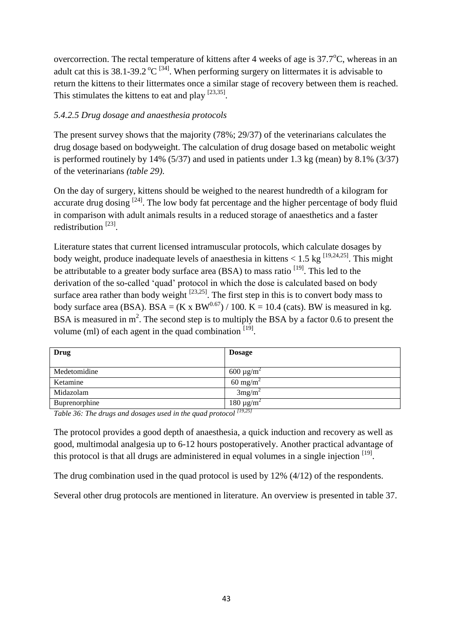overcorrection. The rectal temperature of kittens after 4 weeks of age is  $37.7^{\circ}$ C, whereas in an adult cat this is 38.1-39.2  $^{\circ}C$  <sup>[34]</sup>. When performing surgery on littermates it is advisable to return the kittens to their littermates once a similar stage of recovery between them is reached. This stimulates the kittens to eat and play  $[23,35]$ .

## *5.4.2.5 Drug dosage and anaesthesia protocols*

The present survey shows that the majority (78%; 29/37) of the veterinarians calculates the drug dosage based on bodyweight. The calculation of drug dosage based on metabolic weight is performed routinely by 14% (5/37) and used in patients under 1.3 kg (mean) by 8.1% (3/37) of the veterinarians *(table 29)*.

On the day of surgery, kittens should be weighed to the nearest hundredth of a kilogram for accurate drug dosing  $[24]$ . The low body fat percentage and the higher percentage of body fluid in comparison with adult animals results in a reduced storage of anaesthetics and a faster redistribution<sup>[23]</sup>.

Literature states that current licensed intramuscular protocols, which calculate dosages by body weight, produce inadequate levels of anaesthesia in kittens  $< 1.5$  kg  $^{[19,24,25]}$ . This might be attributable to a greater body surface area (BSA) to mass ratio <sup>[19]</sup>. This led to the derivation of the so-called 'quad' protocol in which the dose is calculated based on body surface area rather than body weight  $^{[23,25]}$ . The first step in this is to convert body mass to body surface area (BSA). BSA =  $(K \times BW^{0.67}) / 100$ .  $K = 10.4$  (cats). BW is measured in kg. BSA is measured in  $m^2$ . The second step is to multiply the BSA by a factor 0.6 to present the volume (ml) of each agent in the quad combination  $[19]$ .

| Drug          | <b>Dosage</b>                              |
|---------------|--------------------------------------------|
| Medetomidine  | 600 $\mu$ g/m <sup>2</sup>                 |
| Ketamine      | $60 \text{ mg/m}^2$                        |
| Midazolam     | 3mg/m <sup>2</sup>                         |
| Buprenorphine | 180 $\mu$ g/m <sup>2</sup><br>$\sqrt{100}$ |

*Table 36: The drugs and dosages used in the quad protocol [19,25]*

The protocol provides a good depth of anaesthesia, a quick induction and recovery as well as good, multimodal analgesia up to 6-12 hours postoperatively. Another practical advantage of this protocol is that all drugs are administered in equal volumes in a single injection  $[19]$ .

The drug combination used in the quad protocol is used by 12% (4/12) of the respondents.

Several other drug protocols are mentioned in literature. An overview is presented in table 37.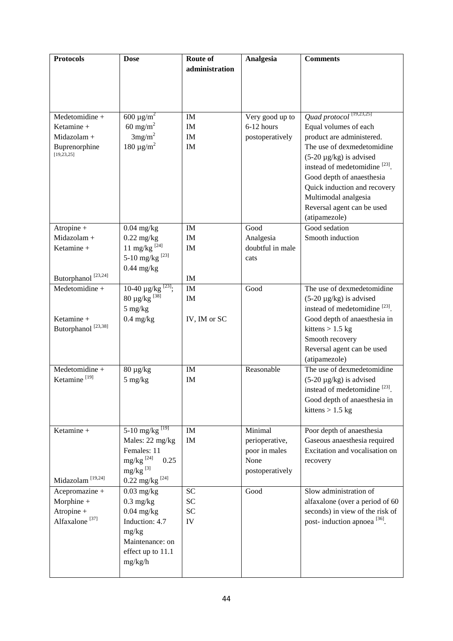| <b>Protocols</b>               | <b>Dose</b>                          | Route of       | Analgesia        | <b>Comments</b>                           |
|--------------------------------|--------------------------------------|----------------|------------------|-------------------------------------------|
|                                |                                      | administration |                  |                                           |
|                                |                                      |                |                  |                                           |
|                                |                                      |                |                  |                                           |
|                                |                                      |                |                  |                                           |
|                                |                                      |                |                  |                                           |
| Medetomidine +                 | 600 $\mu$ g/m <sup>2</sup>           | IM             | Very good up to  | Quad protocol <sup>[19,23,25]</sup>       |
| Ketamine +                     | 60 mg/m <sup>2</sup>                 | IM             | 6-12 hours       | Equal volumes of each                     |
| Midazolam +                    | 3mg/m <sup>2</sup>                   | IM             | postoperatively  | product are administered.                 |
| Buprenorphine                  | 180 $\mu$ g/m <sup>2</sup>           | IM             |                  | The use of dexmedetomidine                |
| [19, 23, 25]                   |                                      |                |                  | $(5-20 \mu g/kg)$ is advised              |
|                                |                                      |                |                  | instead of medetomidine <sup>[23]</sup> . |
|                                |                                      |                |                  | Good depth of anaesthesia                 |
|                                |                                      |                |                  |                                           |
|                                |                                      |                |                  | Quick induction and recovery              |
|                                |                                      |                |                  | Multimodal analgesia                      |
|                                |                                      |                |                  | Reversal agent can be used                |
|                                |                                      |                |                  | (atipamezole)                             |
| Atropine +                     | $0.04$ mg/kg                         | IM             | Good             | Good sedation                             |
| Midazolam +                    | $0.22$ mg/kg                         | IM             | Analgesia        | Smooth induction                          |
| Ketamine +                     | 11 mg/kg $^{[24]}$                   | IM             | doubtful in male |                                           |
|                                | 5-10 mg/kg <sup>[23]</sup>           |                | cats             |                                           |
|                                | $0.44$ mg/kg                         |                |                  |                                           |
| Butorphanol $^{[23,24]}$       |                                      | IM             |                  |                                           |
| Medetomidine +                 | 10-40 $\mu$ g/kg <sup>[23]</sup> ;   | IM             | Good             | The use of dexmedetomidine                |
|                                | $80 \ \mu g/kg$ [38]                 | IM             |                  | $(5-20 \mu g/kg)$ is advised              |
|                                | $5 \text{ mg/kg}$                    |                |                  | instead of medetomidine [23].             |
| Ketamine +                     | $0.4$ mg/kg                          | IV, IM or SC   |                  | Good depth of anaesthesia in              |
| Butorphanol <sup>[23,38]</sup> |                                      |                |                  | kittens $> 1.5$ kg                        |
|                                |                                      |                |                  | Smooth recovery                           |
|                                |                                      |                |                  | Reversal agent can be used                |
|                                |                                      |                |                  | (atipamezole)                             |
| Medetomidine +                 | $80 \mu g/kg$                        | IM             | Reasonable       | The use of dexmedetomidine                |
| Ketamine <sup>[19]</sup>       | 5 mg/kg                              | IM             |                  | $(5-20 \mu g/kg)$ is advised              |
|                                |                                      |                |                  | instead of medetomidine [23].             |
|                                |                                      |                |                  | Good depth of anaesthesia in              |
|                                |                                      |                |                  | kittens $> 1.5$ kg                        |
|                                |                                      |                |                  |                                           |
| Ketamine +                     | 5-10 mg/kg <sup>[19]</sup>           | IM             | Minimal          | Poor depth of anaesthesia                 |
|                                | Males: 22 mg/kg                      | IM             | perioperative,   | Gaseous anaesthesia required              |
|                                | Females: 11                          |                | poor in males    | Excitation and vocalisation on            |
|                                | mg/kg $^{\left[ 24\right] }$<br>0.25 |                | None             | recovery                                  |
|                                | $mg/kg$ <sup>[3]</sup>               |                | postoperatively  |                                           |
| Midazolam <sup>[19,24]</sup>   | $0.22 \; \text{mg/kg} \; ^{[24]}$    |                |                  |                                           |
| Acepromazine +                 | $0.03$ mg/kg                         | <b>SC</b>      | Good             | Slow administration of                    |
| Morphine +                     | $0.3$ mg/kg                          | SC             |                  | alfaxalone (over a period of 60           |
| Atropine +                     | $0.04$ mg/kg                         | <b>SC</b>      |                  | seconds) in view of the risk of           |
| Alfaxalone <sup>[37]</sup>     | Induction: 4.7                       | IV             |                  | post-induction apnoea <sup>[36]</sup> .   |
|                                | mg/kg                                |                |                  |                                           |
|                                | Maintenance: on                      |                |                  |                                           |
|                                |                                      |                |                  |                                           |
|                                | effect up to 11.1                    |                |                  |                                           |
|                                | mg/kg/h                              |                |                  |                                           |
|                                |                                      |                |                  |                                           |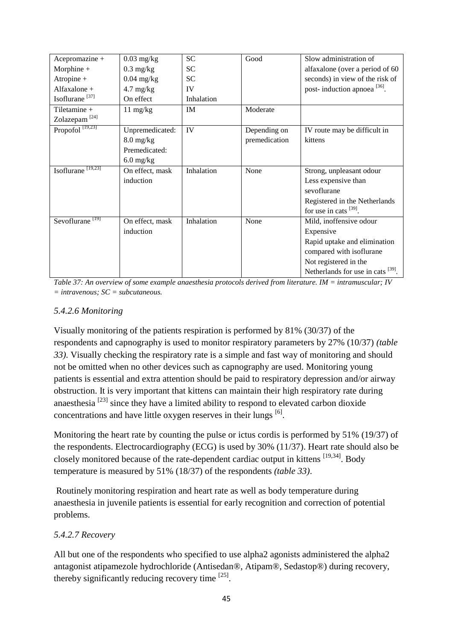| Acepromazine +                | $0.03$ mg/kg                      | <b>SC</b>  | Good          | Slow administration of                  |
|-------------------------------|-----------------------------------|------------|---------------|-----------------------------------------|
| Morphine +                    | $0.3$ mg/kg                       | <b>SC</b>  |               | alfaxalone (over a period of 60         |
| Atropine +                    | $0.04$ mg/kg                      | <b>SC</b>  |               | seconds) in view of the risk of         |
| Alfaxalone +                  | $4.7 \text{ mg/kg}$               | IV         |               | post-induction apnoea <sup>[36]</sup> . |
| Isoflurane <sup>[37]</sup>    | On effect                         | Inhalation |               |                                         |
| Tiletamine +                  | $11 \text{ mg/kg}$                | IM         | Moderate      |                                         |
| Zolazepam <sup>[24]</sup>     |                                   |            |               |                                         |
| Propofol <sup>[19,23]</sup>   | Unpremedicated:                   | IV         | Depending on  | IV route may be difficult in            |
|                               | $8.0 \frac{\text{mg}}{\text{kg}}$ |            | premedication | kittens                                 |
|                               | Premedicated:                     |            |               |                                         |
|                               | $6.0$ mg/kg                       |            |               |                                         |
| Isoflurane <sup>[19,23]</sup> | On effect, mask                   | Inhalation | None          | Strong, unpleasant odour                |
|                               | induction                         |            |               | Less expensive than                     |
|                               |                                   |            |               | sevoflurane                             |
|                               |                                   |            |               | Registered in the Netherlands           |
|                               |                                   |            |               | for use in cats $^{[39]}$ .             |
| Sevoflurane <sup>[19]</sup>   | On effect, mask                   | Inhalation | None          | Mild, inoffensive odour                 |
|                               | induction                         |            |               | Expensive                               |
|                               |                                   |            |               | Rapid uptake and elimination            |
|                               |                                   |            |               | compared with isoflurane                |
|                               |                                   |            |               | Not registered in the                   |
|                               |                                   |            |               | Netherlands for use in cats [39].       |
|                               |                                   |            |               |                                         |

*Table 37: An overview of some example anaesthesia protocols derived from literature. IM = intramuscular; IV = intravenous; SC = subcutaneous.*

#### *5.4.2.6 Monitoring*

Visually monitoring of the patients respiration is performed by 81% (30/37) of the respondents and capnography is used to monitor respiratory parameters by 27% (10/37) *(table 33)*. Visually checking the respiratory rate is a simple and fast way of monitoring and should not be omitted when no other devices such as capnography are used. Monitoring young patients is essential and extra attention should be paid to respiratory depression and/or airway obstruction. It is very important that kittens can maintain their high respiratory rate during anaesthesia  $^{[23]}$  since they have a limited ability to respond to elevated carbon dioxide concentrations and have little oxygen reserves in their lungs  $^{[6]}$ .

Monitoring the heart rate by counting the pulse or ictus cordis is performed by 51% (19/37) of the respondents. Electrocardiography (ECG) is used by 30% (11/37). Heart rate should also be closely monitored because of the rate-dependent cardiac output in kittens <sup>[19,34]</sup>. Body temperature is measured by 51% (18/37) of the respondents *(table 33)*.

Routinely monitoring respiration and heart rate as well as body temperature during anaesthesia in juvenile patients is essential for early recognition and correction of potential problems.

#### *5.4.2.7 Recovery*

All but one of the respondents who specified to use alpha2 agonists administered the alpha2 antagonist atipamezole hydrochloride (Antisedan®, Atipam®, Sedastop®) during recovery, thereby significantly reducing recovery time  $^{[25]}$ .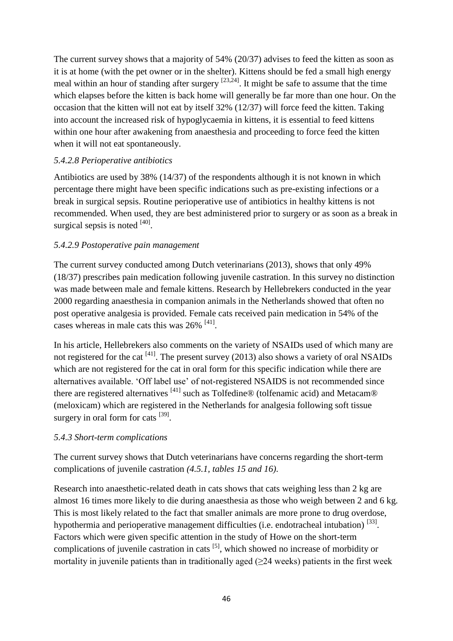The current survey shows that a majority of 54% (20/37) advises to feed the kitten as soon as it is at home (with the pet owner or in the shelter). Kittens should be fed a small high energy meal within an hour of standing after surgery  $[23,24]$ . It might be safe to assume that the time which elapses before the kitten is back home will generally be far more than one hour. On the occasion that the kitten will not eat by itself 32% (12/37) will force feed the kitten. Taking into account the increased risk of hypoglycaemia in kittens, it is essential to feed kittens within one hour after awakening from anaesthesia and proceeding to force feed the kitten when it will not eat spontaneously.

### *5.4.2.8 Perioperative antibiotics*

Antibiotics are used by 38% (14/37) of the respondents although it is not known in which percentage there might have been specific indications such as pre-existing infections or a break in surgical sepsis. Routine perioperative use of antibiotics in healthy kittens is not recommended. When used, they are best administered prior to surgery or as soon as a break in surgical sepsis is noted  $^{[40]}$ .

## *5.4.2.9 Postoperative pain management*

The current survey conducted among Dutch veterinarians (2013), shows that only 49% (18/37) prescribes pain medication following juvenile castration. In this survey no distinction was made between male and female kittens. Research by Hellebrekers conducted in the year 2000 regarding anaesthesia in companion animals in the Netherlands showed that often no post operative analgesia is provided. Female cats received pain medication in 54% of the cases whereas in male cats this was  $26\%$ <sup>[41]</sup>.

In his article, Hellebrekers also comments on the variety of NSAIDs used of which many are not registered for the cat  $^{[41]}$ . The present survey (2013) also shows a variety of oral NSAIDs which are not registered for the cat in oral form for this specific indication while there are alternatives available. 'Off label use' of not-registered NSAIDS is not recommended since there are registered alternatives  $^{[41]}$  such as Tolfedine® (tolfenamic acid) and Metacam® (meloxicam) which are registered in the Netherlands for analgesia following soft tissue surgery in oral form for cats [39].

#### *5.4.3 Short-term complications*

The current survey shows that Dutch veterinarians have concerns regarding the short-term complications of juvenile castration *(4.5.1, tables 15 and 16)*.

Research into anaesthetic-related death in cats shows that cats weighing less than 2 kg are almost 16 times more likely to die during anaesthesia as those who weigh between 2 and 6 kg. This is most likely related to the fact that smaller animals are more prone to drug overdose, hypothermia and perioperative management difficulties (i.e. endotracheal intubation) [33]. Factors which were given specific attention in the study of Howe on the short-term complications of juvenile castration in cats  $[5]$ , which showed no increase of morbidity or mortality in juvenile patients than in traditionally aged  $(\geq 24$  weeks) patients in the first week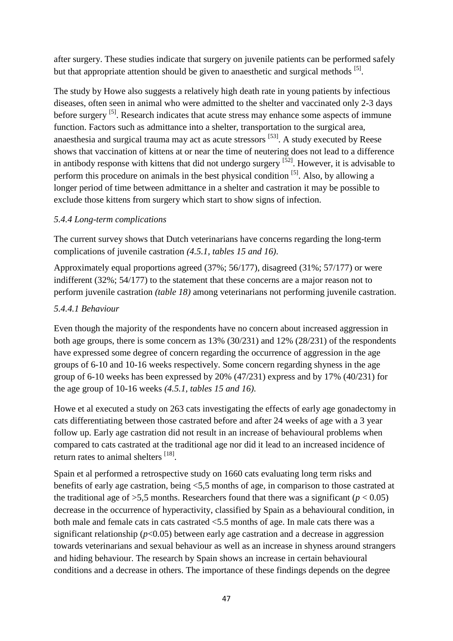after surgery. These studies indicate that surgery on juvenile patients can be performed safely but that appropriate attention should be given to anaesthetic and surgical methods <sup>[5]</sup>.

The study by Howe also suggests a relatively high death rate in young patients by infectious diseases, often seen in animal who were admitted to the shelter and vaccinated only 2-3 days before surgery <sup>[5]</sup>. Research indicates that acute stress may enhance some aspects of immune function. Factors such as admittance into a shelter, transportation to the surgical area, anaesthesia and surgical trauma may act as acute stressors <sup>[53]</sup>. A study executed by Reese shows that vaccination of kittens at or near the time of neutering does not lead to a difference in antibody response with kittens that did not undergo surgery <sup>[52]</sup>. However, it is advisable to perform this procedure on animals in the best physical condition [5]. Also, by allowing a longer period of time between admittance in a shelter and castration it may be possible to exclude those kittens from surgery which start to show signs of infection.

#### *5.4.4 Long-term complications*

The current survey shows that Dutch veterinarians have concerns regarding the long-term complications of juvenile castration *(4.5.1, tables 15 and 16)*.

Approximately equal proportions agreed (37%; 56/177), disagreed (31%; 57/177) or were indifferent (32%; 54/177) to the statement that these concerns are a major reason not to perform juvenile castration *(table 18)* among veterinarians not performing juvenile castration.

## *5.4.4.1 Behaviour*

Even though the majority of the respondents have no concern about increased aggression in both age groups, there is some concern as 13% (30/231) and 12% (28/231) of the respondents have expressed some degree of concern regarding the occurrence of aggression in the age groups of 6-10 and 10-16 weeks respectively. Some concern regarding shyness in the age group of 6-10 weeks has been expressed by 20% (47/231) express and by 17% (40/231) for the age group of 10-16 weeks *(4.5.1, tables 15 and 16)*.

Howe et al executed a study on 263 cats investigating the effects of early age gonadectomy in cats differentiating between those castrated before and after 24 weeks of age with a 3 year follow up. Early age castration did not result in an increase of behavioural problems when compared to cats castrated at the traditional age nor did it lead to an increased incidence of return rates to animal shelters [18].

Spain et al performed a retrospective study on 1660 cats evaluating long term risks and benefits of early age castration, being <5,5 months of age, in comparison to those castrated at the traditional age of  $>5.5$  months. Researchers found that there was a significant ( $p < 0.05$ ) decrease in the occurrence of hyperactivity, classified by Spain as a behavioural condition, in both male and female cats in cats castrated <5.5 months of age. In male cats there was a significant relationship  $(p<0.05)$  between early age castration and a decrease in aggression towards veterinarians and sexual behaviour as well as an increase in shyness around strangers and hiding behaviour. The research by Spain shows an increase in certain behavioural conditions and a decrease in others. The importance of these findings depends on the degree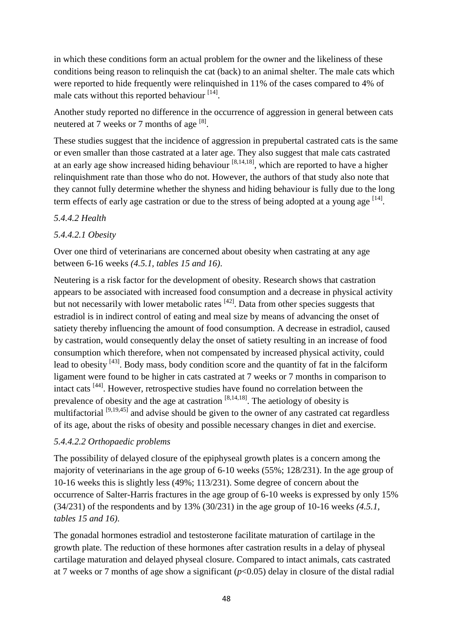in which these conditions form an actual problem for the owner and the likeliness of these conditions being reason to relinquish the cat (back) to an animal shelter. The male cats which were reported to hide frequently were relinquished in 11% of the cases compared to 4% of male cats without this reported behaviour [14].

Another study reported no difference in the occurrence of aggression in general between cats neutered at 7 weeks or 7 months of age  $^{[8]}$ .

These studies suggest that the incidence of aggression in prepubertal castrated cats is the same or even smaller than those castrated at a later age. They also suggest that male cats castrated at an early age show increased hiding behaviour  $[8,14,18]$ , which are reported to have a higher relinquishment rate than those who do not. However, the authors of that study also note that they cannot fully determine whether the shyness and hiding behaviour is fully due to the long term effects of early age castration or due to the stress of being adopted at a young age <sup>[14]</sup>.

## *5.4.4.2 Health*

## *5.4.4.2.1 Obesity*

Over one third of veterinarians are concerned about obesity when castrating at any age between 6-16 weeks *(4.5.1, tables 15 and 16)*.

Neutering is a risk factor for the development of obesity. Research shows that castration appears to be associated with increased food consumption and a decrease in physical activity but not necessarily with lower metabolic rates  $[42]$ . Data from other species suggests that estradiol is in indirect control of eating and meal size by means of advancing the onset of satiety thereby influencing the amount of food consumption. A decrease in estradiol, caused by castration, would consequently delay the onset of satiety resulting in an increase of food consumption which therefore, when not compensated by increased physical activity, could lead to obesity  $[43]$ . Body mass, body condition score and the quantity of fat in the falciform ligament were found to be higher in cats castrated at 7 weeks or 7 months in comparison to intact cats [44]. However, retrospective studies have found no correlation between the prevalence of obesity and the age at castration  $[8,14,18]$ . The aetiology of obesity is multifactorial <sup>[9,19,45]</sup> and advise should be given to the owner of any castrated cat regardless of its age, about the risks of obesity and possible necessary changes in diet and exercise.

#### *5.4.4.2.2 Orthopaedic problems*

The possibility of delayed closure of the epiphyseal growth plates is a concern among the majority of veterinarians in the age group of 6-10 weeks (55%; 128/231). In the age group of 10-16 weeks this is slightly less (49%; 113/231). Some degree of concern about the occurrence of Salter-Harris fractures in the age group of 6-10 weeks is expressed by only 15% (34/231) of the respondents and by 13% (30/231) in the age group of 10-16 weeks *(4.5.1, tables 15 and 16)*.

The gonadal hormones estradiol and testosterone facilitate maturation of cartilage in the growth plate. The reduction of these hormones after castration results in a delay of physeal cartilage maturation and delayed physeal closure. Compared to intact animals, cats castrated at 7 weeks or 7 months of age show a significant  $(p<0.05)$  delay in closure of the distal radial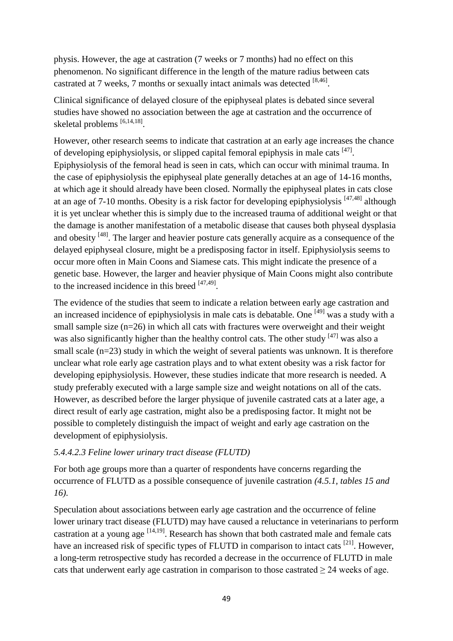physis. However, the age at castration (7 weeks or 7 months) had no effect on this phenomenon. No significant difference in the length of the mature radius between cats castrated at 7 weeks, 7 months or sexually intact animals was detected  $^{[8,46]}$ .

Clinical significance of delayed closure of the epiphyseal plates is debated since several studies have showed no association between the age at castration and the occurrence of skeletal problems [6,14,18].

However, other research seems to indicate that castration at an early age increases the chance of developing epiphysiolysis, or slipped capital femoral epiphysis in male cats  $[47]$ . Epiphysiolysis of the femoral head is seen in cats, which can occur with minimal trauma. In the case of epiphysiolysis the epiphyseal plate generally detaches at an age of 14-16 months, at which age it should already have been closed. Normally the epiphyseal plates in cats close at an age of 7-10 months. Obesity is a risk factor for developing epiphysiolysis [47,48] although it is yet unclear whether this is simply due to the increased trauma of additional weight or that the damage is another manifestation of a metabolic disease that causes both physeal dysplasia and obesity <sup>[48]</sup>. The larger and heavier posture cats generally acquire as a consequence of the delayed epiphyseal closure, might be a predisposing factor in itself. Epiphysiolysis seems to occur more often in Main Coons and Siamese cats. This might indicate the presence of a genetic base. However, the larger and heavier physique of Main Coons might also contribute to the increased incidence in this breed  $[47,49]$ .

The evidence of the studies that seem to indicate a relation between early age castration and an increased incidence of epiphysiolysis in male cats is debatable. One <sup>[49]</sup> was a study with a small sample size  $(n=26)$  in which all cats with fractures were overweight and their weight was also significantly higher than the healthy control cats. The other study  $[47]$  was also a small scale (n=23) study in which the weight of several patients was unknown. It is therefore unclear what role early age castration plays and to what extent obesity was a risk factor for developing epiphysiolysis. However, these studies indicate that more research is needed. A study preferably executed with a large sample size and weight notations on all of the cats. However, as described before the larger physique of juvenile castrated cats at a later age, a direct result of early age castration, might also be a predisposing factor. It might not be possible to completely distinguish the impact of weight and early age castration on the development of epiphysiolysis.

#### *5.4.4.2.3 Feline lower urinary tract disease (FLUTD)*

For both age groups more than a quarter of respondents have concerns regarding the occurrence of FLUTD as a possible consequence of juvenile castration *(4.5.1, tables 15 and 16)*.

Speculation about associations between early age castration and the occurrence of feline lower urinary tract disease (FLUTD) may have caused a reluctance in veterinarians to perform castration at a young age  $[14,19]$ . Research has shown that both castrated male and female cats have an increased risk of specific types of FLUTD in comparison to intact cats <sup>[21]</sup>. However, a long-term retrospective study has recorded a decrease in the occurrence of FLUTD in male cats that underwent early age castration in comparison to those castrated  $\geq 24$  weeks of age.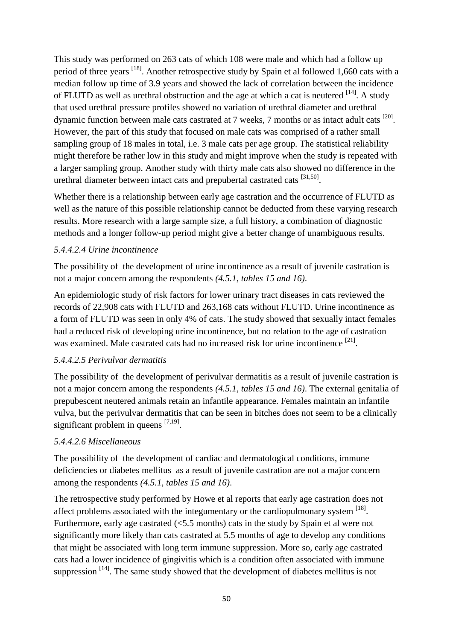This study was performed on 263 cats of which 108 were male and which had a follow up period of three years <sup>[18]</sup>. Another retrospective study by Spain et al followed 1,660 cats with a median follow up time of 3.9 years and showed the lack of correlation between the incidence of FLUTD as well as urethral obstruction and the age at which a cat is neutered  $^{[14]}$ . A study that used urethral pressure profiles showed no variation of urethral diameter and urethral dynamic function between male cats castrated at 7 weeks, 7 months or as intact adult cats <sup>[20]</sup>. However, the part of this study that focused on male cats was comprised of a rather small sampling group of 18 males in total, i.e. 3 male cats per age group. The statistical reliability might therefore be rather low in this study and might improve when the study is repeated with a larger sampling group. Another study with thirty male cats also showed no difference in the urethral diameter between intact cats and prepubertal castrated cats [31,50].

Whether there is a relationship between early age castration and the occurrence of FLUTD as well as the nature of this possible relationship cannot be deducted from these varying research results. More research with a large sample size, a full history, a combination of diagnostic methods and a longer follow-up period might give a better change of unambiguous results.

#### *5.4.4.2.4 Urine incontinence*

The possibility of the development of urine incontinence as a result of juvenile castration is not a major concern among the respondents *(4.5.1, tables 15 and 16)*.

An epidemiologic study of risk factors for lower urinary tract diseases in cats reviewed the records of 22,908 cats with FLUTD and 263,168 cats without FLUTD. Urine incontinence as a form of FLUTD was seen in only 4% of cats. The study showed that sexually intact females had a reduced risk of developing urine incontinence, but no relation to the age of castration was examined. Male castrated cats had no increased risk for urine incontinence [21].

# *5.4.4.2.5 Perivulvar dermatitis*

The possibility of the development of perivulvar dermatitis as a result of juvenile castration is not a major concern among the respondents *(4.5.1, tables 15 and 16)*. The external genitalia of prepubescent neutered animals retain an infantile appearance. Females maintain an infantile vulva, but the perivulvar dermatitis that can be seen in bitches does not seem to be a clinically significant problem in queens  $[7,19]$ .

# *5.4.4.2.6 Miscellaneous*

The possibility of the development of cardiac and dermatological conditions, immune deficiencies or diabetes mellitus as a result of juvenile castration are not a major concern among the respondents *(4.5.1, tables 15 and 16)*.

The retrospective study performed by Howe et al reports that early age castration does not affect problems associated with the integumentary or the cardiopulmonary system  $^{[18]}$ . Furthermore, early age castrated (<5.5 months) cats in the study by Spain et al were not significantly more likely than cats castrated at 5.5 months of age to develop any conditions that might be associated with long term immune suppression. More so, early age castrated cats had a lower incidence of gingivitis which is a condition often associated with immune suppression  $[14]$ . The same study showed that the development of diabetes mellitus is not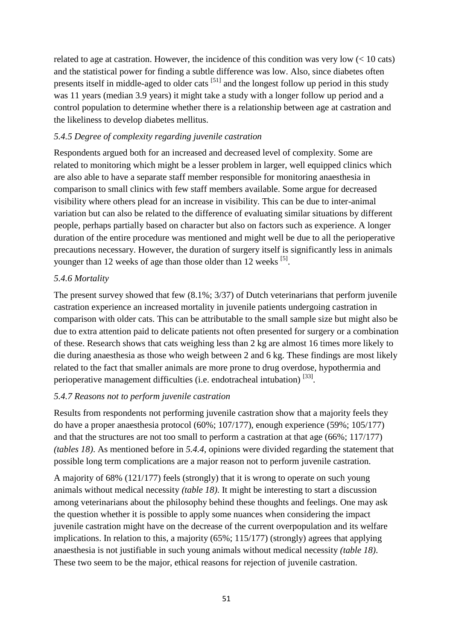related to age at castration. However, the incidence of this condition was very low  $\left($  < 10 cats) and the statistical power for finding a subtle difference was low. Also, since diabetes often presents itself in middle-aged to older cats [51] and the longest follow up period in this study was 11 years (median 3.9 years) it might take a study with a longer follow up period and a control population to determine whether there is a relationship between age at castration and the likeliness to develop diabetes mellitus.

### *5.4.5 Degree of complexity regarding juvenile castration*

Respondents argued both for an increased and decreased level of complexity. Some are related to monitoring which might be a lesser problem in larger, well equipped clinics which are also able to have a separate staff member responsible for monitoring anaesthesia in comparison to small clinics with few staff members available. Some argue for decreased visibility where others plead for an increase in visibility. This can be due to inter-animal variation but can also be related to the difference of evaluating similar situations by different people, perhaps partially based on character but also on factors such as experience. A longer duration of the entire procedure was mentioned and might well be due to all the perioperative precautions necessary. However, the duration of surgery itself is significantly less in animals younger than 12 weeks of age than those older than 12 weeks <sup>[5]</sup>.

#### *5.4.6 Mortality*

The present survey showed that few (8.1%; 3/37) of Dutch veterinarians that perform juvenile castration experience an increased mortality in juvenile patients undergoing castration in comparison with older cats. This can be attributable to the small sample size but might also be due to extra attention paid to delicate patients not often presented for surgery or a combination of these. Research shows that cats weighing less than 2 kg are almost 16 times more likely to die during anaesthesia as those who weigh between 2 and 6 kg. These findings are most likely related to the fact that smaller animals are more prone to drug overdose, hypothermia and perioperative management difficulties (i.e. endotracheal intubation)  $^{[33]}$ .

#### *5.4.7 Reasons not to perform juvenile castration*

Results from respondents not performing juvenile castration show that a majority feels they do have a proper anaesthesia protocol (60%; 107/177), enough experience (59%; 105/177) and that the structures are not too small to perform a castration at that age (66%; 117/177) *(tables 18)*. As mentioned before in *5.4.4*, opinions were divided regarding the statement that possible long term complications are a major reason not to perform juvenile castration.

A majority of 68% (121/177) feels (strongly) that it is wrong to operate on such young animals without medical necessity *(table 18)*. It might be interesting to start a discussion among veterinarians about the philosophy behind these thoughts and feelings. One may ask the question whether it is possible to apply some nuances when considering the impact juvenile castration might have on the decrease of the current overpopulation and its welfare implications. In relation to this, a majority (65%; 115/177) (strongly) agrees that applying anaesthesia is not justifiable in such young animals without medical necessity *(table 18)*. These two seem to be the major, ethical reasons for rejection of juvenile castration.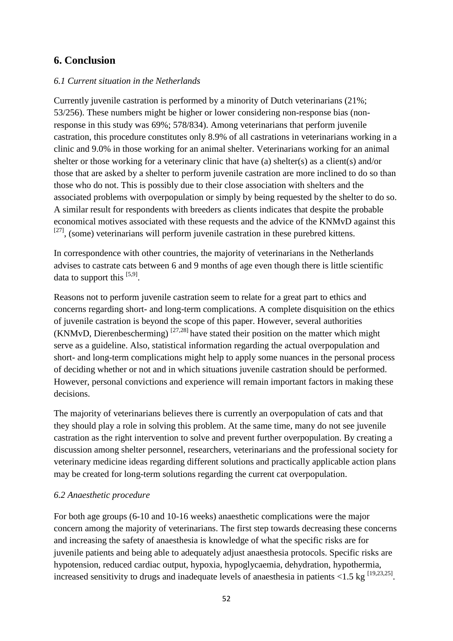# **6. Conclusion**

## *6.1 Current situation in the Netherlands*

Currently juvenile castration is performed by a minority of Dutch veterinarians (21%; 53/256). These numbers might be higher or lower considering non*-*response bias (nonresponse in this study was 69%; 578/834). Among veterinarians that perform juvenile castration, this procedure constitutes only 8.9% of all castrations in veterinarians working in a clinic and 9.0% in those working for an animal shelter. Veterinarians working for an animal shelter or those working for a veterinary clinic that have (a) shelter(s) as a client(s) and/or those that are asked by a shelter to perform juvenile castration are more inclined to do so than those who do not. This is possibly due to their close association with shelters and the associated problems with overpopulation or simply by being requested by the shelter to do so. A similar result for respondents with breeders as clients indicates that despite the probable economical motives associated with these requests and the advice of the KNMvD against this  $[27]$ , (some) veterinarians will perform juvenile castration in these purebred kittens.

In correspondence with other countries, the majority of veterinarians in the Netherlands advises to castrate cats between 6 and 9 months of age even though there is little scientific data to support this  $[5,9]$ .

Reasons not to perform juvenile castration seem to relate for a great part to ethics and concerns regarding short- and long-term complications. A complete disquisition on the ethics of juvenile castration is beyond the scope of this paper. However, several authorities (KNMvD, Dierenbescherming)  $^{[27,28]}$  have stated their position on the matter which might serve as a guideline. Also, statistical information regarding the actual overpopulation and short- and long-term complications might help to apply some nuances in the personal process of deciding whether or not and in which situations juvenile castration should be performed. However, personal convictions and experience will remain important factors in making these decisions.

The majority of veterinarians believes there is currently an overpopulation of cats and that they should play a role in solving this problem. At the same time, many do not see juvenile castration as the right intervention to solve and prevent further overpopulation. By creating a discussion among shelter personnel, researchers, veterinarians and the professional society for veterinary medicine ideas regarding different solutions and practically applicable action plans may be created for long-term solutions regarding the current cat overpopulation.

#### *6.2 Anaesthetic procedure*

For both age groups (6-10 and 10-16 weeks) anaesthetic complications were the major concern among the majority of veterinarians. The first step towards decreasing these concerns and increasing the safety of anaesthesia is knowledge of what the specific risks are for juvenile patients and being able to adequately adjust anaesthesia protocols. Specific risks are hypotension, reduced cardiac output, hypoxia, hypoglycaemia, dehydration, hypothermia, increased sensitivity to drugs and inadequate levels of anaesthesia in patients  $\langle 1.5 \text{ kg} \, \vert^{[19,23,25]}$ .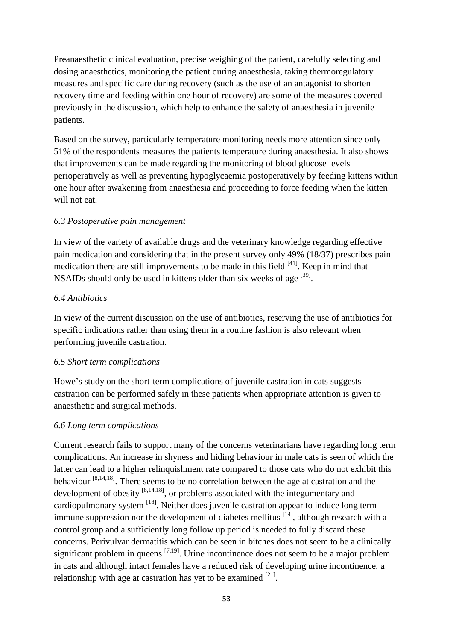Preanaesthetic clinical evaluation, precise weighing of the patient, carefully selecting and dosing anaesthetics, monitoring the patient during anaesthesia, taking thermoregulatory measures and specific care during recovery (such as the use of an antagonist to shorten recovery time and feeding within one hour of recovery) are some of the measures covered previously in the discussion, which help to enhance the safety of anaesthesia in juvenile patients.

Based on the survey, particularly temperature monitoring needs more attention since only 51% of the respondents measures the patients temperature during anaesthesia. It also shows that improvements can be made regarding the monitoring of blood glucose levels perioperatively as well as preventing hypoglycaemia postoperatively by feeding kittens within one hour after awakening from anaesthesia and proceeding to force feeding when the kitten will not eat.

## *6.3 Postoperative pain management*

In view of the variety of available drugs and the veterinary knowledge regarding effective pain medication and considering that in the present survey only 49% (18/37) prescribes pain medication there are still improvements to be made in this field  $[41]$ . Keep in mind that NSAIDs should only be used in kittens older than six weeks of age <sup>[39]</sup>.

#### *6.4 Antibiotics*

In view of the current discussion on the use of antibiotics, reserving the use of antibiotics for specific indications rather than using them in a routine fashion is also relevant when performing juvenile castration.

#### *6.5 Short term complications*

Howe's study on the short-term complications of juvenile castration in cats suggests castration can be performed safely in these patients when appropriate attention is given to anaesthetic and surgical methods.

# *6.6 Long term complications*

Current research fails to support many of the concerns veterinarians have regarding long term complications. An increase in shyness and hiding behaviour in male cats is seen of which the latter can lead to a higher relinquishment rate compared to those cats who do not exhibit this behaviour  $[8,14,18]$ . There seems to be no correlation between the age at castration and the development of obesity  $[8,14,18]$ , or problems associated with the integumentary and cardiopulmonary system <sup>[18]</sup>. Neither does juvenile castration appear to induce long term immune suppression nor the development of diabetes mellitus  $[14]$ , although research with a control group and a sufficiently long follow up period is needed to fully discard these concerns. Perivulvar dermatitis which can be seen in bitches does not seem to be a clinically significant problem in queens  $[7,19]$ . Urine incontinence does not seem to be a major problem in cats and although intact females have a reduced risk of developing urine incontinence, a relationship with age at castration has yet to be examined  $[21]$ .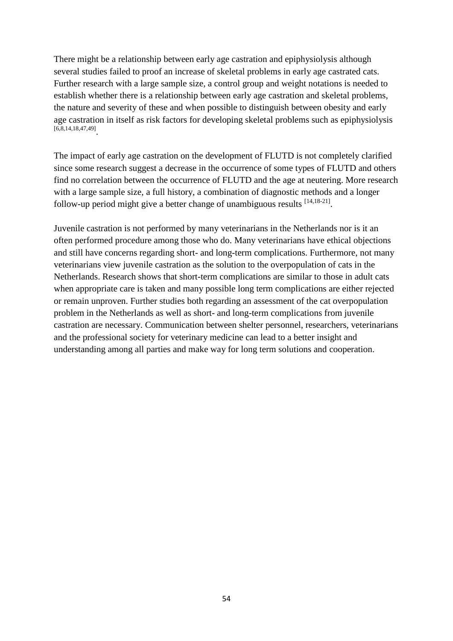There might be a relationship between early age castration and epiphysiolysis although several studies failed to proof an increase of skeletal problems in early age castrated cats. Further research with a large sample size, a control group and weight notations is needed to establish whether there is a relationship between early age castration and skeletal problems, the nature and severity of these and when possible to distinguish between obesity and early age castration in itself as risk factors for developing skeletal problems such as epiphysiolysis [6,8,14,18,47,49] .

The impact of early age castration on the development of FLUTD is not completely clarified since some research suggest a decrease in the occurrence of some types of FLUTD and others find no correlation between the occurrence of FLUTD and the age at neutering. More research with a large sample size, a full history, a combination of diagnostic methods and a longer follow-up period might give a better change of unambiguous results [14,18-21].

Juvenile castration is not performed by many veterinarians in the Netherlands nor is it an often performed procedure among those who do. Many veterinarians have ethical objections and still have concerns regarding short- and long-term complications. Furthermore, not many veterinarians view juvenile castration as the solution to the overpopulation of cats in the Netherlands. Research shows that short-term complications are similar to those in adult cats when appropriate care is taken and many possible long term complications are either rejected or remain unproven. Further studies both regarding an assessment of the cat overpopulation problem in the Netherlands as well as short- and long-term complications from juvenile castration are necessary. Communication between shelter personnel, researchers, veterinarians and the professional society for veterinary medicine can lead to a better insight and understanding among all parties and make way for long term solutions and cooperation.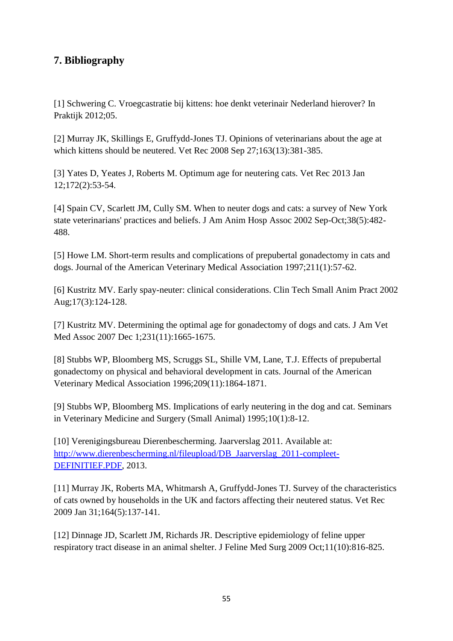# **7. Bibliography**

[1] Schwering C. Vroegcastratie bij kittens: hoe denkt veterinair Nederland hierover? In Praktijk 2012;05.

[2] Murray JK, Skillings E, Gruffydd-Jones TJ. Opinions of veterinarians about the age at which kittens should be neutered. Vet Rec 2008 Sep 27;163(13):381-385.

[3] Yates D, Yeates J, Roberts M. Optimum age for neutering cats. Vet Rec 2013 Jan 12;172(2):53-54.

[4] Spain CV, Scarlett JM, Cully SM. When to neuter dogs and cats: a survey of New York state veterinarians' practices and beliefs. J Am Anim Hosp Assoc 2002 Sep-Oct;38(5):482- 488.

[5] Howe LM. Short-term results and complications of prepubertal gonadectomy in cats and dogs. Journal of the American Veterinary Medical Association 1997;211(1):57-62.

[6] Kustritz MV. Early spay-neuter: clinical considerations. Clin Tech Small Anim Pract 2002 Aug;17(3):124-128.

[7] Kustritz MV. Determining the optimal age for gonadectomy of dogs and cats. J Am Vet Med Assoc 2007 Dec 1;231(11):1665-1675.

[8] Stubbs WP, Bloomberg MS, Scruggs SL, Shille VM, Lane, T.J. Effects of prepubertal gonadectomy on physical and behavioral development in cats. Journal of the American Veterinary Medical Association 1996;209(11):1864-1871.

[9] Stubbs WP, Bloomberg MS. Implications of early neutering in the dog and cat. Seminars in Veterinary Medicine and Surgery (Small Animal) 1995;10(1):8-12.

[10] Verenigingsbureau Dierenbescherming. Jaarverslag 2011. Available at: [http://www.dierenbescherming.nl/fileupload/DB\\_Jaarverslag\\_2011-compleet-](http://www.dierenbescherming.nl/fileupload/DB_Jaarverslag_2011-compleet-DEFINITIEF.PDF)[DEFINITIEF.PDF,](http://www.dierenbescherming.nl/fileupload/DB_Jaarverslag_2011-compleet-DEFINITIEF.PDF) 2013.

[11] Murray JK, Roberts MA, Whitmarsh A, Gruffydd-Jones TJ. Survey of the characteristics of cats owned by households in the UK and factors affecting their neutered status. Vet Rec 2009 Jan 31;164(5):137-141.

[12] Dinnage JD, Scarlett JM, Richards JR. Descriptive epidemiology of feline upper respiratory tract disease in an animal shelter. J Feline Med Surg 2009 Oct;11(10):816-825.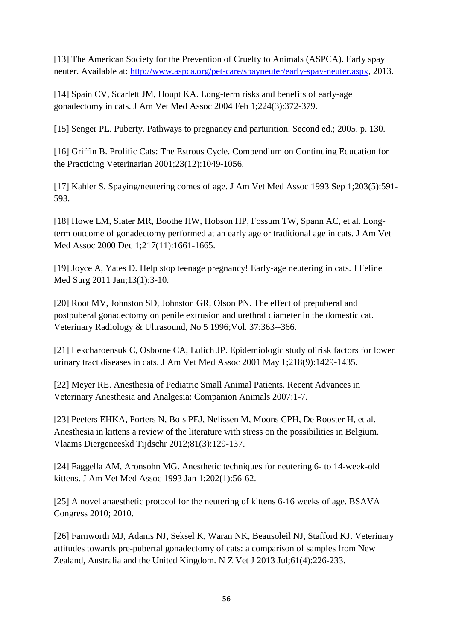[13] The American Society for the Prevention of Cruelty to Animals (ASPCA). Early spay neuter. Available at: [http://www.aspca.org/pet-care/spayneuter/early-spay-neuter.aspx,](http://www.aspca.org/pet-care/spayneuter/early-spay-neuter.aspx) 2013.

[14] Spain CV, Scarlett JM, Houpt KA. Long-term risks and benefits of early-age gonadectomy in cats. J Am Vet Med Assoc 2004 Feb 1;224(3):372-379.

[15] Senger PL. Puberty. Pathways to pregnancy and parturition. Second ed.; 2005. p. 130.

[16] Griffin B. Prolific Cats: The Estrous Cycle. Compendium on Continuing Education for the Practicing Veterinarian 2001;23(12):1049-1056.

[17] Kahler S. Spaying/neutering comes of age. J Am Vet Med Assoc 1993 Sep 1;203(5):591- 593.

[18] Howe LM, Slater MR, Boothe HW, Hobson HP, Fossum TW, Spann AC, et al. Longterm outcome of gonadectomy performed at an early age or traditional age in cats. J Am Vet Med Assoc 2000 Dec 1;217(11):1661-1665.

[19] Joyce A, Yates D. Help stop teenage pregnancy! Early-age neutering in cats. J Feline Med Surg 2011 Jan;13(1):3-10.

[20] Root MV, Johnston SD, Johnston GR, Olson PN. The effect of prepuberal and postpuberal gonadectomy on penile extrusion and urethral diameter in the domestic cat. Veterinary Radiology & Ultrasound, No 5 1996;Vol. 37:363--366.

[21] Lekcharoensuk C, Osborne CA, Lulich JP. Epidemiologic study of risk factors for lower urinary tract diseases in cats. J Am Vet Med Assoc 2001 May 1;218(9):1429-1435.

[22] Meyer RE. Anesthesia of Pediatric Small Animal Patients. Recent Advances in Veterinary Anesthesia and Analgesia: Companion Animals 2007:1-7.

[23] Peeters EHKA, Porters N, Bols PEJ, Nelissen M, Moons CPH, De Rooster H, et al. Anesthesia in kittens a review of the literature with stress on the possibilities in Belgium. Vlaams Diergeneeskd Tijdschr 2012;81(3):129-137.

[24] Faggella AM, Aronsohn MG. Anesthetic techniques for neutering 6- to 14-week-old kittens. J Am Vet Med Assoc 1993 Jan 1;202(1):56-62.

[25] A novel anaesthetic protocol for the neutering of kittens 6-16 weeks of age. BSAVA Congress 2010; 2010.

[26] Farnworth MJ, Adams NJ, Seksel K, Waran NK, Beausoleil NJ, Stafford KJ. Veterinary attitudes towards pre-pubertal gonadectomy of cats: a comparison of samples from New Zealand, Australia and the United Kingdom. N Z Vet J 2013 Jul;61(4):226-233.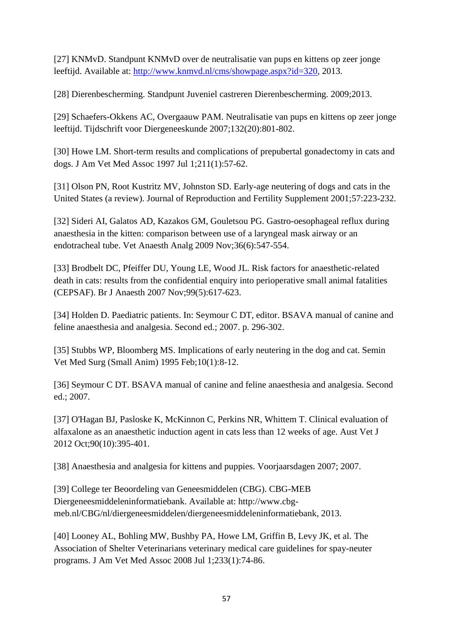[27] KNMvD. Standpunt KNMvD over de neutralisatie van pups en kittens op zeer jonge leeftijd. Available at: [http://www.knmvd.nl/cms/showpage.aspx?id=320,](http://www.knmvd.nl/cms/showpage.aspx?id=320) 2013.

[28] Dierenbescherming. Standpunt Juveniel castreren Dierenbescherming. 2009;2013.

[29] Schaefers-Okkens AC, Overgaauw PAM. Neutralisatie van pups en kittens op zeer jonge leeftijd. Tijdschrift voor Diergeneeskunde 2007;132(20):801-802.

[30] Howe LM. Short-term results and complications of prepubertal gonadectomy in cats and dogs. J Am Vet Med Assoc 1997 Jul 1;211(1):57-62.

[31] Olson PN, Root Kustritz MV, Johnston SD. Early-age neutering of dogs and cats in the United States (a review). Journal of Reproduction and Fertility Supplement 2001;57:223-232.

[32] Sideri AI, Galatos AD, Kazakos GM, Gouletsou PG. Gastro-oesophageal reflux during anaesthesia in the kitten: comparison between use of a laryngeal mask airway or an endotracheal tube. Vet Anaesth Analg 2009 Nov;36(6):547-554.

[33] Brodbelt DC, Pfeiffer DU, Young LE, Wood JL. Risk factors for anaesthetic-related death in cats: results from the confidential enquiry into perioperative small animal fatalities (CEPSAF). Br J Anaesth 2007 Nov;99(5):617-623.

[34] Holden D. Paediatric patients. In: Seymour C DT, editor. BSAVA manual of canine and feline anaesthesia and analgesia. Second ed.; 2007. p. 296-302.

[35] Stubbs WP, Bloomberg MS. Implications of early neutering in the dog and cat. Semin Vet Med Surg (Small Anim) 1995 Feb;10(1):8-12.

[36] Seymour C DT. BSAVA manual of canine and feline anaesthesia and analgesia. Second ed.; 2007.

[37] O'Hagan BJ, Pasloske K, McKinnon C, Perkins NR, Whittem T. Clinical evaluation of alfaxalone as an anaesthetic induction agent in cats less than 12 weeks of age. Aust Vet J 2012 Oct;90(10):395-401.

[38] Anaesthesia and analgesia for kittens and puppies. Voorjaarsdagen 2007; 2007.

[39] College ter Beoordeling van Geneesmiddelen (CBG). CBG-MEB Diergeneesmiddeleninformatiebank. Available at: http://www.cbgmeb.nl/CBG/nl/diergeneesmiddelen/diergeneesmiddeleninformatiebank, 2013.

[40] Looney AL, Bohling MW, Bushby PA, Howe LM, Griffin B, Levy JK, et al. The Association of Shelter Veterinarians veterinary medical care guidelines for spay-neuter programs. J Am Vet Med Assoc 2008 Jul 1;233(1):74-86.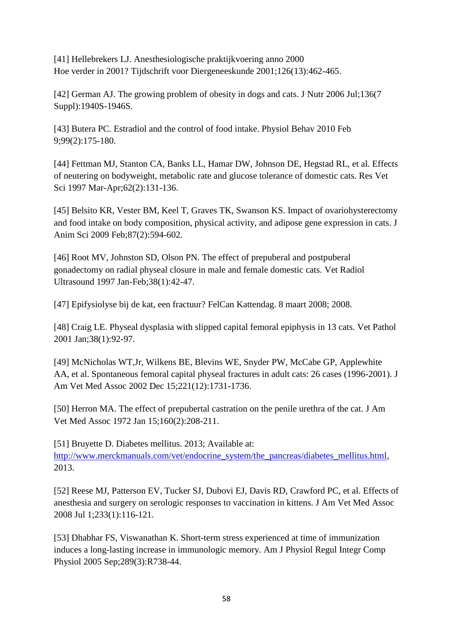[41] Hellebrekers LJ. Anesthesiologische praktijkvoering anno 2000 Hoe verder in 2001? Tijdschrift voor Diergeneeskunde 2001;126(13):462-465.

[42] German AJ. The growing problem of obesity in dogs and cats. J Nutr 2006 Jul;136(7 Suppl):1940S-1946S.

[43] Butera PC. Estradiol and the control of food intake. Physiol Behav 2010 Feb 9;99(2):175-180.

[44] Fettman MJ, Stanton CA, Banks LL, Hamar DW, Johnson DE, Hegstad RL, et al. Effects of neutering on bodyweight, metabolic rate and glucose tolerance of domestic cats. Res Vet Sci 1997 Mar-Apr;62(2):131-136.

[45] Belsito KR, Vester BM, Keel T, Graves TK, Swanson KS. Impact of ovariohysterectomy and food intake on body composition, physical activity, and adipose gene expression in cats. J Anim Sci 2009 Feb;87(2):594-602.

[46] Root MV, Johnston SD, Olson PN. The effect of prepuberal and postpuberal gonadectomy on radial physeal closure in male and female domestic cats. Vet Radiol Ultrasound 1997 Jan-Feb;38(1):42-47.

[47] Epifysiolyse bij de kat, een fractuur? FelCan Kattendag. 8 maart 2008; 2008.

[48] Craig LE. Physeal dysplasia with slipped capital femoral epiphysis in 13 cats. Vet Pathol 2001 Jan;38(1):92-97.

[49] McNicholas WT,Jr, Wilkens BE, Blevins WE, Snyder PW, McCabe GP, Applewhite AA, et al. Spontaneous femoral capital physeal fractures in adult cats: 26 cases (1996-2001). J Am Vet Med Assoc 2002 Dec 15;221(12):1731-1736.

[50] Herron MA. The effect of prepubertal castration on the penile urethra of the cat. J Am Vet Med Assoc 1972 Jan 15;160(2):208-211.

[51] Bruyette D. Diabetes mellitus. 2013; Available at: [http://www.merckmanuals.com/vet/endocrine\\_system/the\\_pancreas/diabetes\\_mellitus.html,](http://www.merckmanuals.com/vet/endocrine_system/the_pancreas/diabetes_mellitus.html) 2013.

[52] Reese MJ, Patterson EV, Tucker SJ, Dubovi EJ, Davis RD, Crawford PC, et al. Effects of anesthesia and surgery on serologic responses to vaccination in kittens. J Am Vet Med Assoc 2008 Jul 1;233(1):116-121.

[53] Dhabhar FS, Viswanathan K. Short-term stress experienced at time of immunization induces a long-lasting increase in immunologic memory. Am J Physiol Regul Integr Comp Physiol 2005 Sep;289(3):R738-44.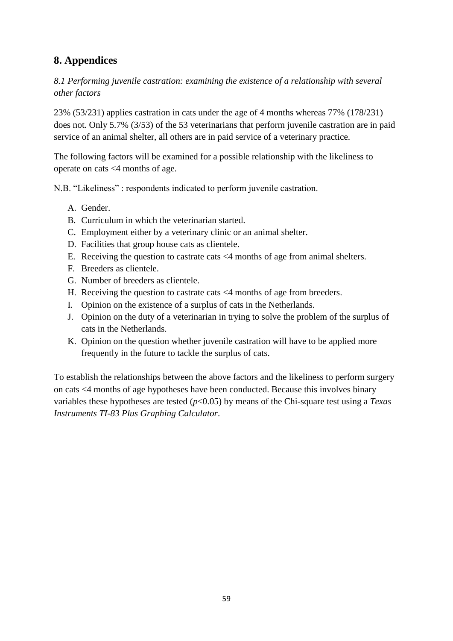# **8. Appendices**

*8.1 Performing juvenile castration: examining the existence of a relationship with several other factors*

23% (53/231) applies castration in cats under the age of 4 months whereas 77% (178/231) does not. Only 5.7% (3/53) of the 53 veterinarians that perform juvenile castration are in paid service of an animal shelter, all others are in paid service of a veterinary practice.

The following factors will be examined for a possible relationship with the likeliness to operate on cats <4 months of age.

N.B. "Likeliness" : respondents indicated to perform juvenile castration.

- A. Gender.
- B. Curriculum in which the veterinarian started.
- C. Employment either by a veterinary clinic or an animal shelter.
- D. Facilities that group house cats as clientele.
- E. Receiving the question to castrate cats <4 months of age from animal shelters.
- F. Breeders as clientele.
- G. Number of breeders as clientele.
- H. Receiving the question to castrate cats <4 months of age from breeders.
- I. Opinion on the existence of a surplus of cats in the Netherlands.
- J. Opinion on the duty of a veterinarian in trying to solve the problem of the surplus of cats in the Netherlands.
- K. Opinion on the question whether juvenile castration will have to be applied more frequently in the future to tackle the surplus of cats.

To establish the relationships between the above factors and the likeliness to perform surgery on cats <4 months of age hypotheses have been conducted. Because this involves binary variables these hypotheses are tested (*p*<0.05) by means of the Chi-square test using a *Texas Instruments TI-83 Plus Graphing Calculator*.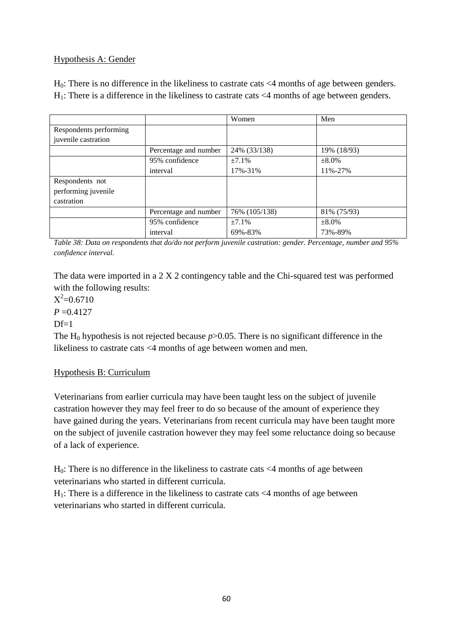# Hypothesis A: Gender

 $H_0$ : There is no difference in the likeliness to castrate cats  $\leq 4$  months of age between genders.  $H_1$ : There is a difference in the likeliness to castrate cats <4 months of age between genders.

|                        |                       | Women         | Men         |
|------------------------|-----------------------|---------------|-------------|
| Respondents performing |                       |               |             |
| juvenile castration    |                       |               |             |
|                        | Percentage and number | 24% (33/138)  | 19% (18/93) |
|                        | 95% confidence        | ±7.1%         | $\pm 8.0\%$ |
|                        | interval              | 17%-31%       | 11%-27%     |
| Respondents not        |                       |               |             |
| performing juvenile    |                       |               |             |
| castration             |                       |               |             |
|                        | Percentage and number | 76% (105/138) | 81% (75/93) |
|                        | 95% confidence        | ±7.1%         | $\pm 8.0\%$ |
|                        | interval              | 69%-83%       | 73%-89%     |

*Table 38: Data on respondents that do/do not perform juvenile castration: gender. Percentage, number and 95% confidence interval.*

The data were imported in a 2 X 2 contingency table and the Chi-squared test was performed with the following results:

 $X^2 = 0.6710$  $P = 0.4127$  $Df=1$ 

The H<sub>0</sub> hypothesis is not rejected because  $p > 0.05$ . There is no significant difference in the likeliness to castrate cats <4 months of age between women and men.

#### Hypothesis B: Curriculum

Veterinarians from earlier curricula may have been taught less on the subject of juvenile castration however they may feel freer to do so because of the amount of experience they have gained during the years. Veterinarians from recent curricula may have been taught more on the subject of juvenile castration however they may feel some reluctance doing so because of a lack of experience.

 $H<sub>0</sub>$ : There is no difference in the likeliness to castrate cats  $\leq 4$  months of age between veterinarians who started in different curricula.

 $H_1$ : There is a difference in the likeliness to castrate cats <4 months of age between veterinarians who started in different curricula.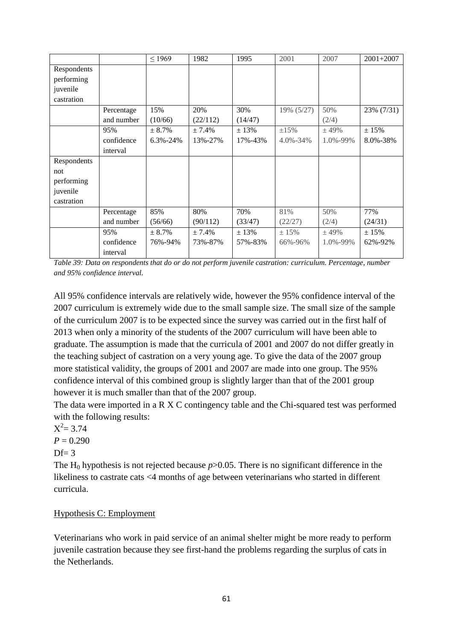|             |            | $\leq$ 1969    | 1982     | 1995    | 2001           | 2007     | $2001 + 2007$ |
|-------------|------------|----------------|----------|---------|----------------|----------|---------------|
| Respondents |            |                |          |         |                |          |               |
| performing  |            |                |          |         |                |          |               |
| juvenile    |            |                |          |         |                |          |               |
| castration  |            |                |          |         |                |          |               |
|             | Percentage | 15%            | 20%      | 30%     | 19% (5/27)     | 50%      | 23% (7/31)    |
|             | and number | (10/66)        | (22/112) | (14/47) |                | (2/4)    |               |
|             | 95%        | $± 8.7\%$      | ± 7.4%   | ± 13%   | ±15%           | $±$ 49%  | ± 15%         |
|             | confidence | $6.3\% - 24\%$ | 13%-27%  | 17%-43% | $4.0\% - 34\%$ | 1.0%-99% | 8.0%-38%      |
|             | interval   |                |          |         |                |          |               |
| Respondents |            |                |          |         |                |          |               |
| not         |            |                |          |         |                |          |               |
| performing  |            |                |          |         |                |          |               |
| juvenile    |            |                |          |         |                |          |               |
| castration  |            |                |          |         |                |          |               |
|             | Percentage | 85%            | 80%      | 70%     | 81%            | 50%      | 77%           |
|             | and number | (56/66)        | (90/112) | (33/47) | (22/27)        | (2/4)    | (24/31)       |
|             | 95%        | ± 8.7%         | ± 7.4%   | ± 13%   | ±15%           | ± 49%    | ± 15%         |
|             | confidence | 76%-94%        | 73%-87%  | 57%-83% | 66%-96%        | 1.0%-99% | 62%-92%       |
|             | interval   |                |          |         |                |          |               |

*Table 39: Data on respondents that do or do not perform juvenile castration: curriculum. Percentage, number and 95% confidence interval.*

All 95% confidence intervals are relatively wide, however the 95% confidence interval of the 2007 curriculum is extremely wide due to the small sample size. The small size of the sample of the curriculum 2007 is to be expected since the survey was carried out in the first half of 2013 when only a minority of the students of the 2007 curriculum will have been able to graduate. The assumption is made that the curricula of 2001 and 2007 do not differ greatly in the teaching subject of castration on a very young age. To give the data of the 2007 group more statistical validity, the groups of 2001 and 2007 are made into one group. The 95% confidence interval of this combined group is slightly larger than that of the 2001 group however it is much smaller than that of the 2007 group.

The data were imported in a R X C contingency table and the Chi-squared test was performed with the following results:

 $X^2 = 3.74$ 

 $P = 0.290$ 

 $Df= 3$ 

The H<sub>0</sub> hypothesis is not rejected because  $p > 0.05$ . There is no significant difference in the likeliness to castrate cats <4 months of age between veterinarians who started in different curricula.

#### Hypothesis C: Employment

Veterinarians who work in paid service of an animal shelter might be more ready to perform juvenile castration because they see first-hand the problems regarding the surplus of cats in the Netherlands.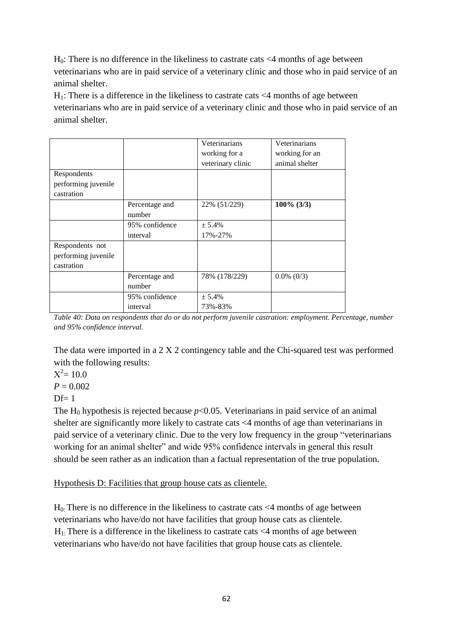$H<sub>0</sub>$ : There is no difference in the likeliness to castrate cats  $\leq$ 4 months of age between veterinarians who are in paid service of a veterinary clinic and those who in paid service of an animal shelter.

 $H_1$ : There is a difference in the likeliness to castrate cats  $\leq 4$  months of age between veterinarians who are in paid service of a veterinary clinic and those who in paid service of an animal shelter.

|                     |                | Veterinarians     | Veterinarians  |
|---------------------|----------------|-------------------|----------------|
|                     |                | working for a     | working for an |
|                     |                | veterinary clinic | animal shelter |
| Respondents         |                |                   |                |
| performing juvenile |                |                   |                |
| castration          |                |                   |                |
|                     | Percentage and | 22% (51/229)      | $100\%$ (3/3)  |
|                     | number         |                   |                |
|                     | 95% confidence | ± 5.4%            |                |
|                     | interval       | 17%-27%           |                |
| Respondents not     |                |                   |                |
| performing juvenile |                |                   |                |
| castration          |                |                   |                |
|                     | Percentage and | 78% (178/229)     | $0.0\%$ (0/3)  |
|                     | number         |                   |                |
|                     | 95% confidence | ± 5.4%            |                |
|                     | interval       | 73%-83%           |                |

*Table 40: Data on respondents that do or do not perform juvenile castration: employment. Percentage, number and 95% confidence interval.*

The data were imported in a 2 X 2 contingency table and the Chi-squared test was performed with the following results:

 $X^2 = 10.0$ 

 $P = 0.002$ 

 $Df=1$ 

The H<sub>0</sub> hypothesis is rejected because  $p<0.05$ . Veterinarians in paid service of an animal shelter are significantly more likely to castrate cats <4 months of age than veterinarians in paid service of a veterinary clinic. Due to the very low frequency in the group "veterinarians working for an animal shelter" and wide 95% confidence intervals in general this result should be seen rather as an indication than a factual representation of the true population.

Hypothesis D: Facilities that group house cats as clientele.

 $H_0$ . There is no difference in the likeliness to castrate cats  $\leq 4$  months of age between veterinarians who have/do not have facilities that group house cats as clientele.  $H_1$ . There is a difference in the likeliness to castrate cats  $\leq 4$  months of age between veterinarians who have/do not have facilities that group house cats as clientele.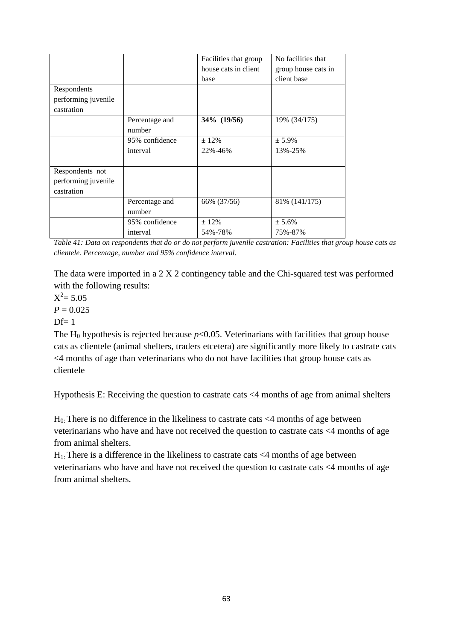|                     |                | Facilities that group | No facilities that  |
|---------------------|----------------|-----------------------|---------------------|
|                     |                | house cats in client  | group house cats in |
|                     |                | base                  | client base         |
| Respondents         |                |                       |                     |
| performing juvenile |                |                       |                     |
| castration          |                |                       |                     |
|                     | Percentage and | 34\% (19/56)          | 19% (34/175)        |
|                     | number         |                       |                     |
|                     | 95% confidence | $\pm 12\%$            | $± 5.9\%$           |
|                     | interval       | 22%-46%               | 13%-25%             |
|                     |                |                       |                     |
| Respondents not     |                |                       |                     |
| performing juvenile |                |                       |                     |
| castration          |                |                       |                     |
|                     | Percentage and | 66% (37/56)           | 81% (141/175)       |
|                     | number         |                       |                     |
|                     | 95% confidence | $± 12\%$              | ± 5.6%              |
|                     | interval       | 54%-78%               | 75%-87%             |

*Table 41: Data on respondents that do or do not perform juvenile castration: Facilities that group house cats as clientele. Percentage, number and 95% confidence interval.*

 $X^2 = 5.05$ 

 $P = 0.025$ 

 $Df=1$ 

The H<sub>0</sub> hypothesis is rejected because  $p<0.05$ . Veterinarians with facilities that group house cats as clientele (animal shelters, traders etcetera) are significantly more likely to castrate cats <4 months of age than veterinarians who do not have facilities that group house cats as clientele

#### Hypothesis E: Receiving the question to castrate cats <4 months of age from animal shelters

 $H<sub>0</sub>$ : There is no difference in the likeliness to castrate cats <4 months of age between veterinarians who have and have not received the question to castrate cats <4 months of age from animal shelters.

 $H_{1}$ : There is a difference in the likeliness to castrate cats <4 months of age between veterinarians who have and have not received the question to castrate cats <4 months of age from animal shelters.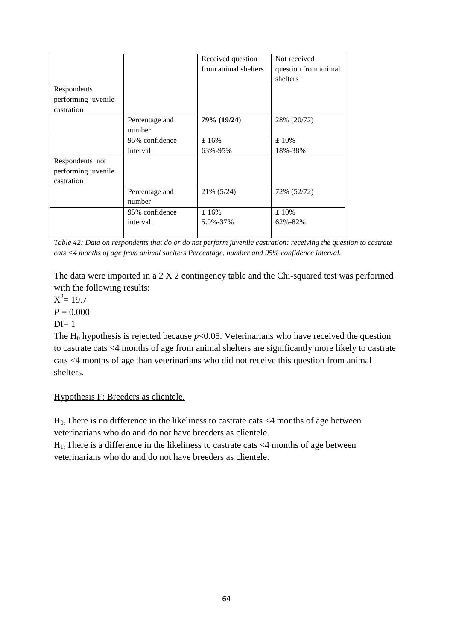|                     |                | Received question    | Not received         |
|---------------------|----------------|----------------------|----------------------|
|                     |                | from animal shelters | question from animal |
|                     |                |                      | shelters             |
| Respondents         |                |                      |                      |
| performing juvenile |                |                      |                      |
| castration          |                |                      |                      |
|                     | Percentage and | 79% (19/24)          | 28% (20/72)          |
|                     | number         |                      |                      |
|                     | 95% confidence | ±16%                 | $\pm 10\%$           |
|                     | interval       | 63%-95%              | 18%-38%              |
| Respondents not     |                |                      |                      |
| performing juvenile |                |                      |                      |
| castration          |                |                      |                      |
|                     | Percentage and | 21% (5/24)           | 72% (52/72)          |
|                     | number         |                      |                      |
|                     | 95% confidence | ±16%                 | $±10\%$              |
|                     | interval       | 5.0%-37%             | 62%-82%              |
|                     |                |                      |                      |

*Table 42: Data on respondents that do or do not perform juvenile castration: receiving the question to castrate cats <4 months of age from animal shelters Percentage, number and 95% confidence interval.*

 $X^2 = 19.7$  $P = 0.000$ 

 $Df=1$ 

The H<sub>0</sub> hypothesis is rejected because  $p<0.05$ . Veterinarians who have received the question to castrate cats <4 months of age from animal shelters are significantly more likely to castrate cats <4 months of age than veterinarians who did not receive this question from animal shelters.

# Hypothesis F: Breeders as clientele.

 $H_0$ . There is no difference in the likeliness to castrate cats  $\leq 4$  months of age between veterinarians who do and do not have breeders as clientele.

 $H_1$ : There is a difference in the likeliness to castrate cats  $\leq 4$  months of age between veterinarians who do and do not have breeders as clientele.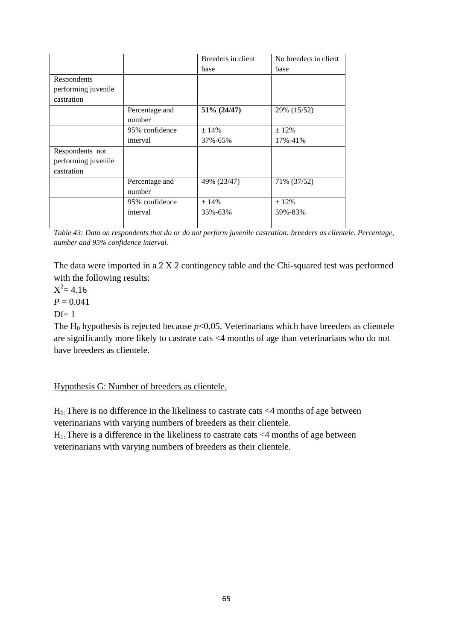|                     |                | Breeders in client | No breeders in client |
|---------------------|----------------|--------------------|-----------------------|
|                     |                | base               | base                  |
| Respondents         |                |                    |                       |
| performing juvenile |                |                    |                       |
| castration          |                |                    |                       |
|                     | Percentage and | 51% (24/47)        | 29% (15/52)           |
|                     | number         |                    |                       |
|                     | 95% confidence | ± 14%              | $± 12\%$              |
|                     | interval       | 37%-65%            | 17%-41%               |
| Respondents not     |                |                    |                       |
| performing juvenile |                |                    |                       |
| castration          |                |                    |                       |
|                     | Percentage and | 49% (23/47)        | 71% (37/52)           |
|                     | number         |                    |                       |
|                     | 95% confidence | ±14%               | $± 12\%$              |
|                     | interval       | 35%-63%            | 59%-83%               |
|                     |                |                    |                       |

*Table 43: Data on respondents that do or do not perform juvenile castration: breeders as clientele. Percentage, number and 95% confidence interval.*

 $X^2 = 4.16$ 

 $P = 0.041$ 

 $Df=1$ 

The H<sub>0</sub> hypothesis is rejected because  $p<0.05$ . Veterinarians which have breeders as clientele are significantly more likely to castrate cats <4 months of age than veterinarians who do not have breeders as clientele.

Hypothesis G: Number of breeders as clientele.

 $H<sub>0</sub>$ : There is no difference in the likeliness to castrate cats <4 months of age between veterinarians with varying numbers of breeders as their clientele.

 $H_1$ : There is a difference in the likeliness to castrate cats  $\leq 4$  months of age between veterinarians with varying numbers of breeders as their clientele.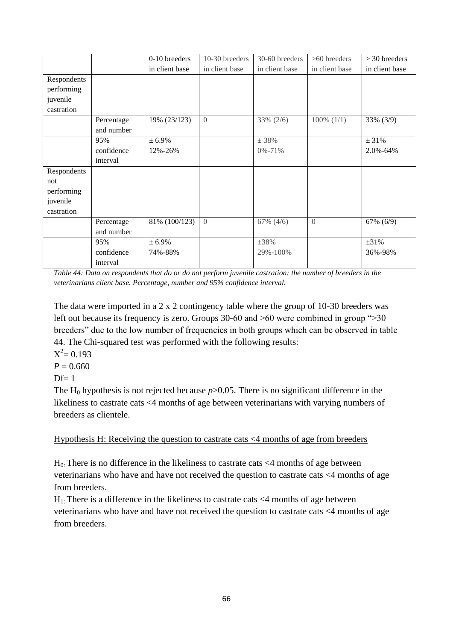|             |            | 0-10 breeders  | 10-30 breeders | 30-60 breeders | >60 breeders    | $>$ 30 breeders |
|-------------|------------|----------------|----------------|----------------|-----------------|-----------------|
|             |            | in client base | in client base | in client base | in client base  | in client base  |
| Respondents |            |                |                |                |                 |                 |
| performing  |            |                |                |                |                 |                 |
| juvenile    |            |                |                |                |                 |                 |
| castration  |            |                |                |                |                 |                 |
|             | Percentage | 19% (23/123)   | $\theta$       | 33% (2/6)      | $100\%$ $(1/1)$ | 33% (3/9)       |
|             | and number |                |                |                |                 |                 |
|             | 95%        | ± 6.9%         |                | ± 38%          |                 | ± 31%           |
|             | confidence | 12%-26%        |                | $0\% - 71\%$   |                 | 2.0%-64%        |
|             | interval   |                |                |                |                 |                 |
| Respondents |            |                |                |                |                 |                 |
| not         |            |                |                |                |                 |                 |
| performing  |            |                |                |                |                 |                 |
| juvenile    |            |                |                |                |                 |                 |
| castration  |            |                |                |                |                 |                 |
|             | Percentage | 81% (100/123)  | $\overline{0}$ | $67\%$ $(4/6)$ | $\overline{0}$  | 67% (6/9)       |
|             | and number |                |                |                |                 |                 |
|             | 95%        | ± 6.9%         |                | $\pm 38\%$     |                 | $\pm 31\%$      |
|             | confidence | 74%-88%        |                | 29%-100%       |                 | 36%-98%         |
|             | interval   |                |                |                |                 |                 |

*Table 44: Data on respondents that do or do not perform juvenile castration: the number of breeders in the veterinarians client base. Percentage, number and 95% confidence interval.*

The data were imported in a 2 x 2 contingency table where the group of 10-30 breeders was left out because its frequency is zero. Groups 30-60 and  $>60$  were combined in group " $>30$ breeders" due to the low number of frequencies in both groups which can be observed in table 44. The Chi-squared test was performed with the following results:

 $X^2 = 0.193$ 

 $P = 0.660$ 

 $Df=1$ 

The H<sub>0</sub> hypothesis is not rejected because  $p > 0.05$ . There is no significant difference in the likeliness to castrate cats <4 months of age between veterinarians with varying numbers of breeders as clientele.

Hypothesis H: Receiving the question to castrate cats <4 months of age from breeders

 $H<sub>0</sub>$ : There is no difference in the likeliness to castrate cats  $\langle 4 \rangle$  months of age between veterinarians who have and have not received the question to castrate cats <4 months of age from breeders.

 $H_1$ : There is a difference in the likeliness to castrate cats  $\leq 4$  months of age between veterinarians who have and have not received the question to castrate cats <4 months of age from breeders.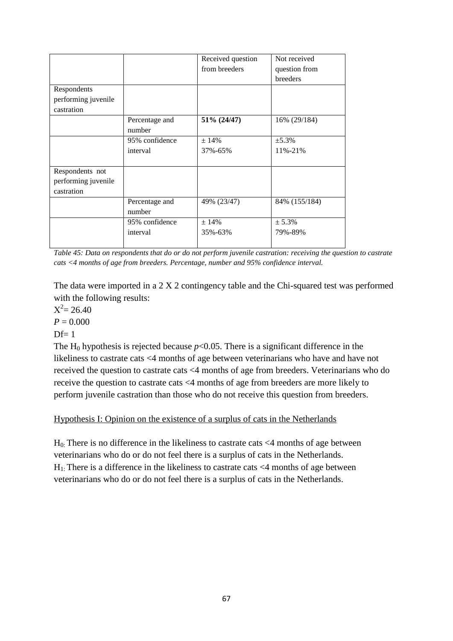|                     |                | Received question | Not received  |
|---------------------|----------------|-------------------|---------------|
|                     |                | from breeders     | question from |
|                     |                |                   | breeders      |
| Respondents         |                |                   |               |
| performing juvenile |                |                   |               |
| castration          |                |                   |               |
|                     | Percentage and | 51% (24/47)       | 16% (29/184)  |
|                     | number         |                   |               |
|                     | 95% confidence | ± 14%             | ±5.3%         |
|                     | interval       | 37%-65%           | 11%-21%       |
|                     |                |                   |               |
| Respondents not     |                |                   |               |
| performing juvenile |                |                   |               |
| castration          |                |                   |               |
|                     | Percentage and | 49% (23/47)       | 84% (155/184) |
|                     | number         |                   |               |
|                     | 95% confidence | ± 14%             | ± 5.3%        |
|                     | interval       | 35%-63%           | 79%-89%       |
|                     |                |                   |               |

*Table 45: Data on respondents that do or do not perform juvenile castration: receiving the question to castrate cats <4 months of age from breeders. Percentage, number and 95% confidence interval.*

 $X^2 = 26.40$ 

 $P = 0.000$ 

 $Df=1$ 

The H<sub>0</sub> hypothesis is rejected because  $p<0.05$ . There is a significant difference in the likeliness to castrate cats <4 months of age between veterinarians who have and have not received the question to castrate cats <4 months of age from breeders. Veterinarians who do receive the question to castrate cats <4 months of age from breeders are more likely to perform juvenile castration than those who do not receive this question from breeders.

# Hypothesis I: Opinion on the existence of a surplus of cats in the Netherlands

 $H<sub>0</sub>$ : There is no difference in the likeliness to castrate cats <4 months of age between veterinarians who do or do not feel there is a surplus of cats in the Netherlands.  $H_1$ : There is a difference in the likeliness to castrate cats  $\leq 4$  months of age between veterinarians who do or do not feel there is a surplus of cats in the Netherlands.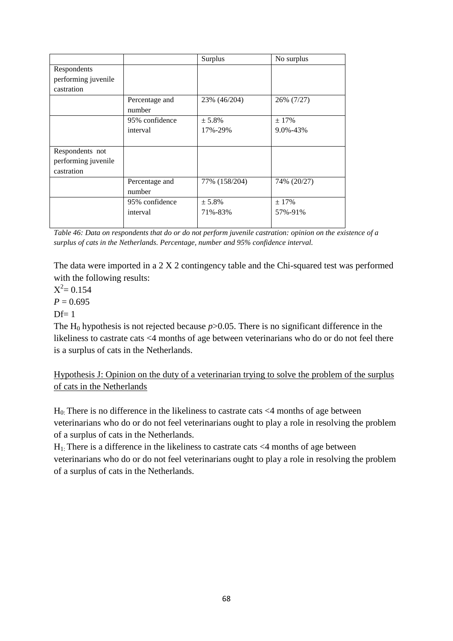|                     |                | Surplus       | No surplus  |
|---------------------|----------------|---------------|-------------|
| Respondents         |                |               |             |
| performing juvenile |                |               |             |
| castration          |                |               |             |
|                     | Percentage and | 23% (46/204)  | 26% (7/27)  |
|                     | number         |               |             |
|                     | 95% confidence | $± 5.8\%$     | ± 17%       |
|                     | interval       | 17%-29%       | 9.0%-43%    |
|                     |                |               |             |
| Respondents not     |                |               |             |
| performing juvenile |                |               |             |
| castration          |                |               |             |
|                     | Percentage and | 77% (158/204) | 74% (20/27) |
|                     | number         |               |             |
|                     | 95% confidence | ± 5.8%        | ± 17%       |
|                     | interval       | 71%-83%       | 57%-91%     |
|                     |                |               |             |

*Table 46: Data on respondents that do or do not perform juvenile castration: opinion on the existence of a surplus of cats in the Netherlands. Percentage, number and 95% confidence interval.*

 $X^2 = 0.154$ 

 $P = 0.695$ 

 $Df=1$ 

The H<sub>0</sub> hypothesis is not rejected because  $p > 0.05$ . There is no significant difference in the likeliness to castrate cats <4 months of age between veterinarians who do or do not feel there is a surplus of cats in the Netherlands.

Hypothesis J: Opinion on the duty of a veterinarian trying to solve the problem of the surplus of cats in the Netherlands

 $H<sub>0</sub>$ : There is no difference in the likeliness to castrate cats <4 months of age between veterinarians who do or do not feel veterinarians ought to play a role in resolving the problem of a surplus of cats in the Netherlands.

 $H_1$ . There is a difference in the likeliness to castrate cats  $\leq 4$  months of age between veterinarians who do or do not feel veterinarians ought to play a role in resolving the problem of a surplus of cats in the Netherlands.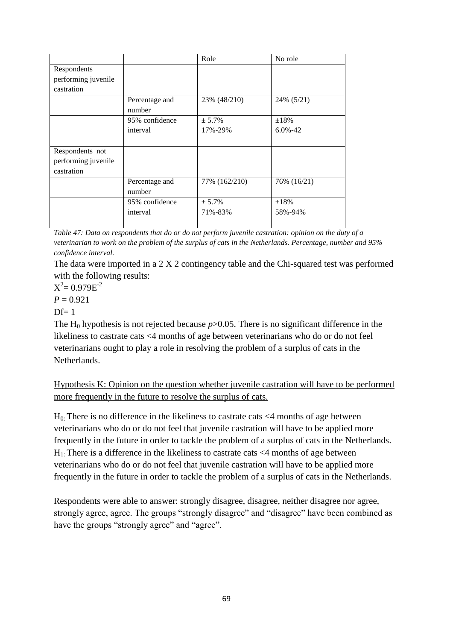|                     |                | Role          | No role      |
|---------------------|----------------|---------------|--------------|
| Respondents         |                |               |              |
| performing juvenile |                |               |              |
| castration          |                |               |              |
|                     | Percentage and | 23% (48/210)  | 24% (5/21)   |
|                     | number         |               |              |
|                     | 95% confidence | ± 5.7%        | ±18%         |
|                     | interval       | 17%-29%       | $6.0\% - 42$ |
|                     |                |               |              |
| Respondents not     |                |               |              |
| performing juvenile |                |               |              |
| castration          |                |               |              |
|                     | Percentage and | 77% (162/210) | 76% (16/21)  |
|                     | number         |               |              |
|                     | 95% confidence | ± 5.7%        | $\pm 18\%$   |
|                     | interval       | 71%-83%       | 58%-94%      |
|                     |                |               |              |

*Table 47: Data on respondents that do or do not perform juvenile castration: opinion on the duty of a veterinarian to work on the problem of the surplus of cats in the Netherlands. Percentage, number and 95% confidence interval.*

The data were imported in a 2 X 2 contingency table and the Chi-squared test was performed with the following results:

 $X^2 = 0.979E^{-2}$ 

 $P = 0.921$ 

 $Df=1$ 

The H<sub>0</sub> hypothesis is not rejected because  $p > 0.05$ . There is no significant difference in the likeliness to castrate cats <4 months of age between veterinarians who do or do not feel veterinarians ought to play a role in resolving the problem of a surplus of cats in the Netherlands.

Hypothesis K: Opinion on the question whether juvenile castration will have to be performed more frequently in the future to resolve the surplus of cats.

 $H<sub>0</sub>$ : There is no difference in the likeliness to castrate cats  $\langle 4 \rangle$  months of age between veterinarians who do or do not feel that juvenile castration will have to be applied more frequently in the future in order to tackle the problem of a surplus of cats in the Netherlands.  $H_1$ . There is a difference in the likeliness to castrate cats  $\leq 4$  months of age between veterinarians who do or do not feel that juvenile castration will have to be applied more frequently in the future in order to tackle the problem of a surplus of cats in the Netherlands.

Respondents were able to answer: strongly disagree, disagree, neither disagree nor agree, strongly agree, agree. The groups "strongly disagree" and "disagree" have been combined as have the groups "strongly agree" and "agree".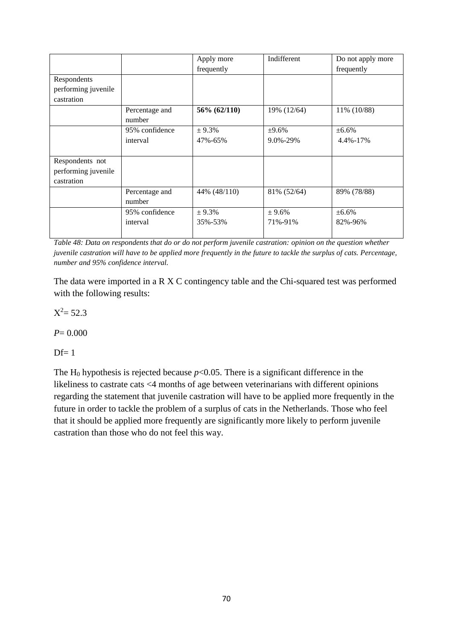|                     |                | Apply more   | Indifferent | Do not apply more |
|---------------------|----------------|--------------|-------------|-------------------|
|                     |                | frequently   |             | frequently        |
| Respondents         |                |              |             |                   |
| performing juvenile |                |              |             |                   |
| castration          |                |              |             |                   |
|                     | Percentage and | 56% (62/110) | 19% (12/64) | 11% (10/88)       |
|                     | number         |              |             |                   |
|                     | 95% confidence | ± 9.3%       | ±9.6%       | ±6.6%             |
|                     | interval       | 47%-65%      | 9.0%-29%    | 4.4%-17%          |
|                     |                |              |             |                   |
| Respondents not     |                |              |             |                   |
| performing juvenile |                |              |             |                   |
| castration          |                |              |             |                   |
|                     | Percentage and | 44% (48/110) | 81% (52/64) | 89% (78/88)       |
|                     | number         |              |             |                   |
|                     | 95% confidence | ± 9.3%       | ± 9.6%      | ±6.6%             |
|                     | interval       | 35%-53%      | 71%-91%     | 82%-96%           |
|                     |                |              |             |                   |

*Table 48: Data on respondents that do or do not perform juvenile castration: opinion on the question whether juvenile castration will have to be applied more frequently in the future to tackle the surplus of cats. Percentage, number and 95% confidence interval.*

 $X^2 = 52.3$ 

*P*= 0.000

 $Df=1$ 

The H<sub>0</sub> hypothesis is rejected because  $p<0.05$ . There is a significant difference in the likeliness to castrate cats <4 months of age between veterinarians with different opinions regarding the statement that juvenile castration will have to be applied more frequently in the future in order to tackle the problem of a surplus of cats in the Netherlands. Those who feel that it should be applied more frequently are significantly more likely to perform juvenile castration than those who do not feel this way.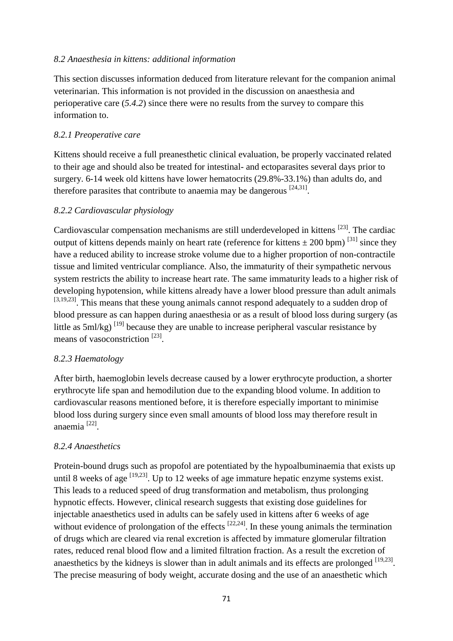#### *8.2 Anaesthesia in kittens: additional information*

This section discusses information deduced from literature relevant for the companion animal veterinarian. This information is not provided in the discussion on anaesthesia and perioperative care (*5.4.2*) since there were no results from the survey to compare this information to.

### *8.2.1 Preoperative care*

Kittens should receive a full preanesthetic clinical evaluation, be properly vaccinated related to their age and should also be treated for intestinal- and ectoparasites several days prior to surgery. 6-14 week old kittens have lower hematocrits (29.8%-33.1%) than adults do, and therefore parasites that contribute to anaemia may be dangerous  $[24,31]$ .

## *8.2.2 Cardiovascular physiology*

Cardiovascular compensation mechanisms are still underdeveloped in kittens <sup>[23]</sup>. The cardiac output of kittens depends mainly on heart rate (reference for kittens  $\pm$  200 bpm)<sup>[31]</sup> since they have a reduced ability to increase stroke volume due to a higher proportion of non-contractile tissue and limited ventricular compliance. Also, the immaturity of their sympathetic nervous system restricts the ability to increase heart rate. The same immaturity leads to a higher risk of developing hypotension, while kittens already have a lower blood pressure than adult animals [3,19,23]. This means that these young animals cannot respond adequately to a sudden drop of blood pressure as can happen during anaesthesia or as a result of blood loss during surgery (as little as  $5 \text{ml/kg}$ )  $^{[19]}$  because they are unable to increase peripheral vascular resistance by means of vasoconstriction<sup>[23]</sup>.

#### *8.2.3 Haematology*

After birth, haemoglobin levels decrease caused by a lower erythrocyte production, a shorter erythrocyte life span and hemodilution due to the expanding blood volume. In addition to cardiovascular reasons mentioned before, it is therefore especially important to minimise blood loss during surgery since even small amounts of blood loss may therefore result in anaemia [22] .

#### *8.2.4 Anaesthetics*

Protein-bound drugs such as propofol are potentiated by the hypoalbuminaemia that exists up until 8 weeks of age  $[19,23]$ . Up to 12 weeks of age immature hepatic enzyme systems exist. This leads to a reduced speed of drug transformation and metabolism, thus prolonging hypnotic effects. However, clinical research suggests that existing dose guidelines for injectable anaesthetics used in adults can be safely used in kittens after 6 weeks of age without evidence of prolongation of the effects  $[22,24]$ . In these young animals the termination of drugs which are cleared via renal excretion is affected by immature glomerular filtration rates, reduced renal blood flow and a limited filtration fraction. As a result the excretion of anaesthetics by the kidneys is slower than in adult animals and its effects are prolonged  $[19,23]$ . The precise measuring of body weight, accurate dosing and the use of an anaesthetic which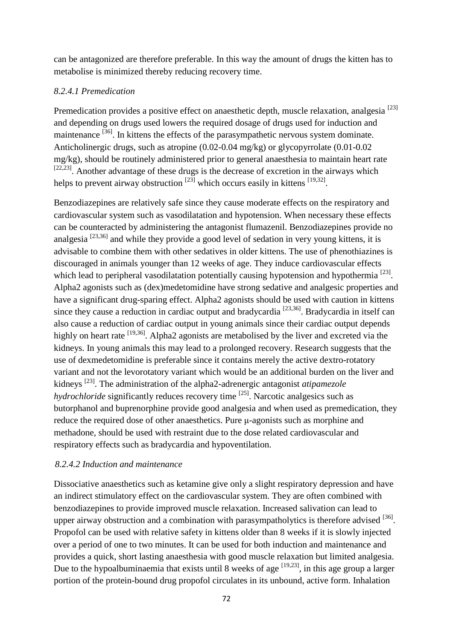can be antagonized are therefore preferable. In this way the amount of drugs the kitten has to metabolise is minimized thereby reducing recovery time.

#### *8.2.4.1 Premedication*

Premedication provides a positive effect on anaesthetic depth, muscle relaxation, analgesia<sup>[23]</sup> and depending on drugs used lowers the required dosage of drugs used for induction and maintenance <sup>[36]</sup>. In kittens the effects of the parasympathetic nervous system dominate. Anticholinergic drugs, such as atropine (0.02-0.04 mg/kg) or glycopyrrolate (0.01-0.02 mg/kg), should be routinely administered prior to general anaesthesia to maintain heart rate  $[22,23]$ . Another advantage of these drugs is the decrease of excretion in the airways which helps to prevent airway obstruction  $^{[23]}$  which occurs easily in kittens  $^{[19,32]}$ .

Benzodiazepines are relatively safe since they cause moderate effects on the respiratory and cardiovascular system such as vasodilatation and hypotension. When necessary these effects can be counteracted by administering the antagonist flumazenil. Benzodiazepines provide no analgesia  $^{[23,36]}$  and while they provide a good level of sedation in very young kittens, it is advisable to combine them with other sedatives in older kittens. The use of phenothiazines is discouraged in animals younger than 12 weeks of age. They induce cardiovascular effects which lead to peripheral vasodilatation potentially causing hypotension and hypothermia<sup>[23]</sup>. Alpha2 agonists such as (dex)medetomidine have strong sedative and analgesic properties and have a significant drug-sparing effect. Alpha2 agonists should be used with caution in kittens since they cause a reduction in cardiac output and bradycardia  $[23,36]$ . Bradycardia in itself can also cause a reduction of cardiac output in young animals since their cardiac output depends highly on heart rate <sup>[19,36]</sup>. Alpha2 agonists are metabolised by the liver and excreted via the kidneys. In young animals this may lead to a prolonged recovery. Research suggests that the use of dexmedetomidine is preferable since it contains merely the active dextro-rotatory variant and not the levorotatory variant which would be an additional burden on the liver and kidneys [23] . The administration of the alpha2-adrenergic antagonist *atipamezole hydrochloride* significantly reduces recovery time <sup>[25]</sup>. Narcotic analgesics such as butorphanol and buprenorphine provide good analgesia and when used as premedication, they reduce the required dose of other anaesthetics. Pure μ-agonists such as morphine and methadone, should be used with restraint due to the dose related cardiovascular and respiratory effects such as bradycardia and hypoventilation.

#### *8.2.4.2 Induction and maintenance*

Dissociative anaesthetics such as ketamine give only a slight respiratory depression and have an indirect stimulatory effect on the cardiovascular system. They are often combined with benzodiazepines to provide improved muscle relaxation. Increased salivation can lead to upper airway obstruction and a combination with parasympatholytics is therefore advised  $^{[36]}$ . Propofol can be used with relative safety in kittens older than 8 weeks if it is slowly injected over a period of one to two minutes. It can be used for both induction and maintenance and provides a quick, short lasting anaesthesia with good muscle relaxation but limited analgesia. Due to the hypoalbuminaemia that exists until 8 weeks of age  $[19,23]$ , in this age group a larger portion of the protein-bound drug propofol circulates in its unbound, active form. Inhalation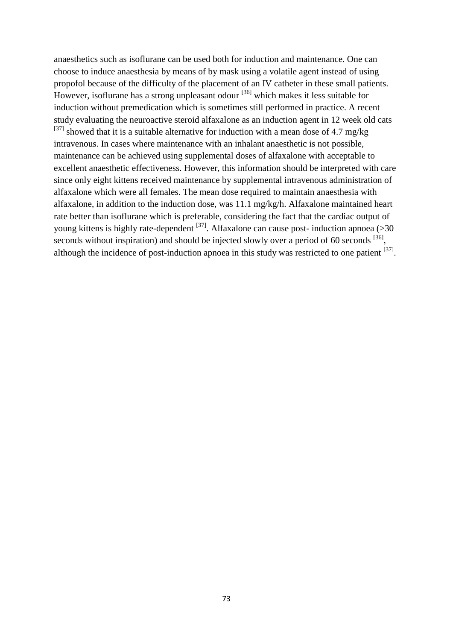anaesthetics such as isoflurane can be used both for induction and maintenance. One can choose to induce anaesthesia by means of by mask using a volatile agent instead of using propofol because of the difficulty of the placement of an IV catheter in these small patients. However, isoflurane has a strong unpleasant odour <sup>[36]</sup> which makes it less suitable for induction without premedication which is sometimes still performed in practice. A recent study evaluating the neuroactive steroid alfaxalone as an induction agent in 12 week old cats  $^{[37]}$  showed that it is a suitable alternative for induction with a mean dose of 4.7 mg/kg intravenous. In cases where maintenance with an inhalant anaesthetic is not possible, maintenance can be achieved using supplemental doses of alfaxalone with acceptable to excellent anaesthetic effectiveness. However, this information should be interpreted with care since only eight kittens received maintenance by supplemental intravenous administration of alfaxalone which were all females. The mean dose required to maintain anaesthesia with alfaxalone, in addition to the induction dose, was 11.1 mg/kg/h. Alfaxalone maintained heart rate better than isoflurane which is preferable, considering the fact that the cardiac output of young kittens is highly rate-dependent  $^{[37]}$ . Alfaxalone can cause post- induction apnoea (>30) seconds without inspiration) and should be injected slowly over a period of 60 seconds  $^{[36]}$ , although the incidence of post-induction apnoea in this study was restricted to one patient  $^{[37]}$ .